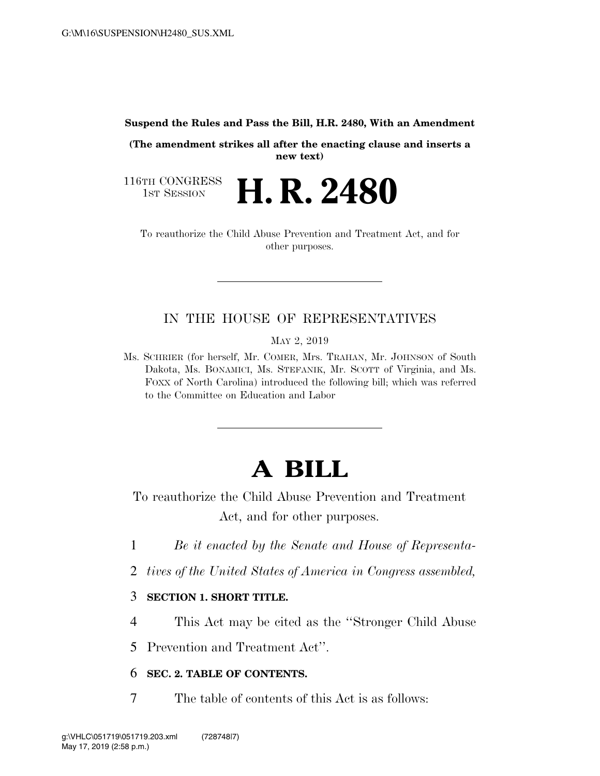**Suspend the Rules and Pass the Bill, H.R. 2480, With an Amendment** 

**(The amendment strikes all after the enacting clause and inserts a new text)** 

116TH CONGRESS<br>1st Session

**H. R. 2480** 

To reauthorize the Child Abuse Prevention and Treatment Act, and for other purposes.

# IN THE HOUSE OF REPRESENTATIVES

MAY 2, 2019

Ms. SCHRIER (for herself, Mr. COMER, Mrs. TRAHAN, Mr. JOHNSON of South Dakota, Ms. BONAMICI, Ms. STEFANIK, Mr. SCOTT of Virginia, and Ms. FOXX of North Carolina) introduced the following bill; which was referred to the Committee on Education and Labor

# **A BILL**

To reauthorize the Child Abuse Prevention and Treatment Act, and for other purposes.

- 1 *Be it enacted by the Senate and House of Representa-*
- 2 *tives of the United States of America in Congress assembled,*

### 3 **SECTION 1. SHORT TITLE.**

- 4 This Act may be cited as the ''Stronger Child Abuse
- 5 Prevention and Treatment Act''.

## 6 **SEC. 2. TABLE OF CONTENTS.**

7 The table of contents of this Act is as follows: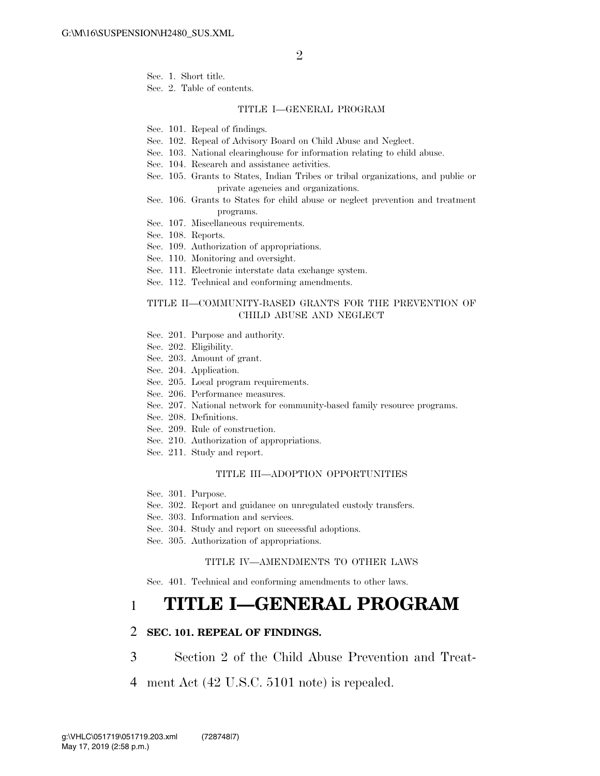Sec. 1. Short title.

Sec. 2. Table of contents.

#### TITLE I—GENERAL PROGRAM

Sec. 101. Repeal of findings.

- Sec. 102. Repeal of Advisory Board on Child Abuse and Neglect.
- Sec. 103. National clearinghouse for information relating to child abuse.
- Sec. 104. Research and assistance activities.
- Sec. 105. Grants to States, Indian Tribes or tribal organizations, and public or private agencies and organizations.
- Sec. 106. Grants to States for child abuse or neglect prevention and treatment programs.
- Sec. 107. Miscellaneous requirements.
- Sec. 108. Reports.
- Sec. 109. Authorization of appropriations.
- Sec. 110. Monitoring and oversight.
- Sec. 111. Electronic interstate data exchange system.
- Sec. 112. Technical and conforming amendments.

#### TITLE II—COMMUNITY-BASED GRANTS FOR THE PREVENTION OF CHILD ABUSE AND NEGLECT

- Sec. 201. Purpose and authority.
- Sec. 202. Eligibility.
- Sec. 203. Amount of grant.
- Sec. 204. Application.
- Sec. 205. Local program requirements.
- Sec. 206. Performance measures.
- Sec. 207. National network for community-based family resource programs.
- Sec. 208. Definitions.
- Sec. 209. Rule of construction.
- Sec. 210. Authorization of appropriations.
- Sec. 211. Study and report.

#### TITLE III—ADOPTION OPPORTUNITIES

- Sec. 301. Purpose.
- Sec. 302. Report and guidance on unregulated custody transfers.
- Sec. 303. Information and services.
- Sec. 304. Study and report on successful adoptions.
- Sec. 305. Authorization of appropriations.

#### TITLE IV—AMENDMENTS TO OTHER LAWS

Sec. 401. Technical and conforming amendments to other laws.

# 1 **TITLE I—GENERAL PROGRAM**

#### 2 **SEC. 101. REPEAL OF FINDINGS.**

- 3 Section 2 of the Child Abuse Prevention and Treat-
- 4 ment Act (42 U.S.C. 5101 note) is repealed.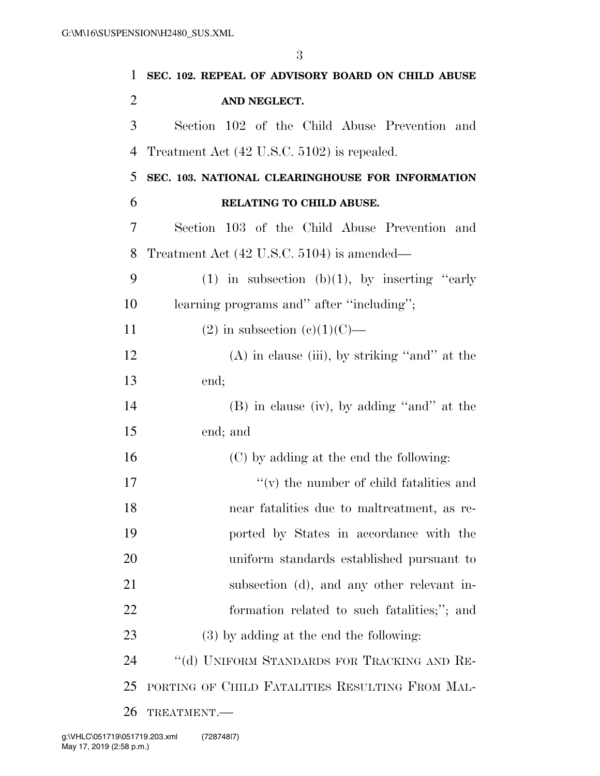| 1              | SEC. 102. REPEAL OF ADVISORY BOARD ON CHILD ABUSE |
|----------------|---------------------------------------------------|
| $\overline{2}$ | AND NEGLECT.                                      |
| 3              | Section 102 of the Child Abuse Prevention and     |
| $\overline{4}$ | Treatment Act (42 U.S.C. 5102) is repealed.       |
| 5              | SEC. 103. NATIONAL CLEARINGHOUSE FOR INFORMATION  |
| 6              | RELATING TO CHILD ABUSE.                          |
| 7              | Section 103 of the Child Abuse Prevention and     |
| 8              | Treatment Act (42 U.S.C. 5104) is amended—        |
| 9              | (1) in subsection (b)(1), by inserting "early     |
| 10             | learning programs and" after "including";         |
| 11             | $(2)$ in subsection $(e)(1)(C)$ —                 |
| 12             | $(A)$ in clause (iii), by striking "and" at the   |
| 13             | end;                                              |
| 14             | $(B)$ in clause (iv), by adding "and" at the      |
| 15             | end; and                                          |
| 16             | (C) by adding at the end the following:           |
| 17             | $f'(v)$ the number of child fatalities and        |
| 18             | near fatalities due to maltreatment, as re-       |
| 19             | ported by States in accordance with the           |
| 20             | uniform standards established pursuant to         |
| 21             | subsection (d), and any other relevant in-        |
| 22             | formation related to such fatalities;"; and       |
| 23             | $(3)$ by adding at the end the following:         |
| 24             | "(d) UNIFORM STANDARDS FOR TRACKING AND RE-       |
| 25             | PORTING OF CHILD FATALITIES RESULTING FROM MAL-   |
| 26             | TREATMENT.                                        |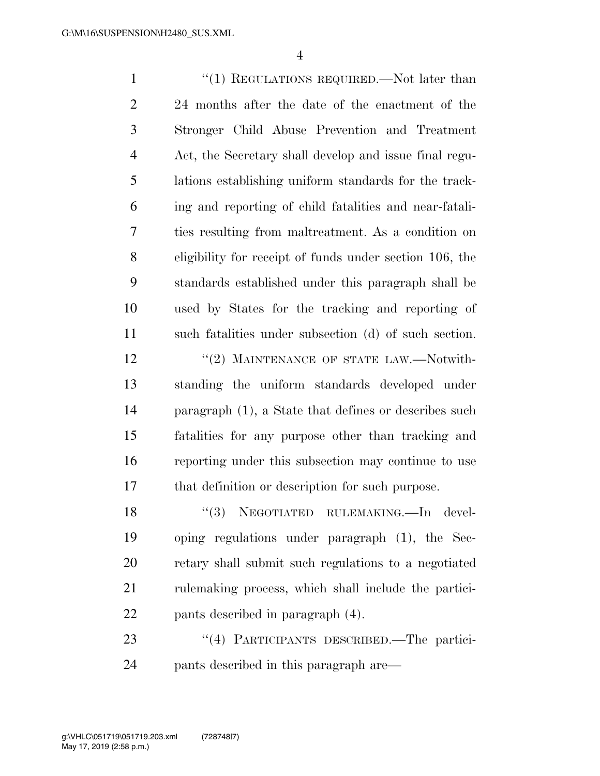1 ''(1) REGULATIONS REQUIRED.—Not later than 24 months after the date of the enactment of the Stronger Child Abuse Prevention and Treatment Act, the Secretary shall develop and issue final regu- lations establishing uniform standards for the track- ing and reporting of child fatalities and near-fatali- ties resulting from maltreatment. As a condition on eligibility for receipt of funds under section 106, the standards established under this paragraph shall be used by States for the tracking and reporting of such fatalities under subsection (d) of such section. 12 "(2) MAINTENANCE OF STATE LAW.—Notwith- standing the uniform standards developed under paragraph (1), a State that defines or describes such fatalities for any purpose other than tracking and reporting under this subsection may continue to use that definition or description for such purpose. 18 ''(3) NEGOTIATED RULEMAKING.—In devel-

 oping regulations under paragraph (1), the Sec- retary shall submit such regulations to a negotiated rulemaking process, which shall include the partici-pants described in paragraph (4).

23 "(4) PARTICIPANTS DESCRIBED.—The partici-pants described in this paragraph are—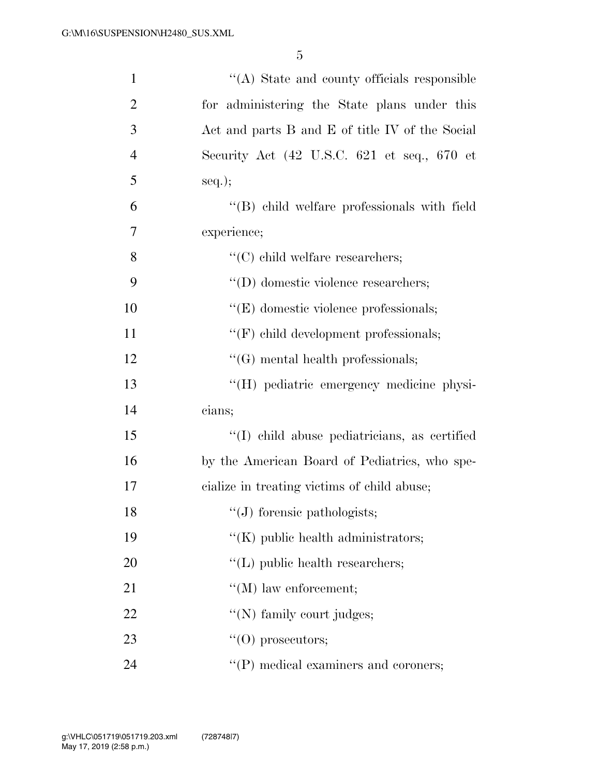| $\mathbf{1}$   | "(A) State and county officials responsible                             |
|----------------|-------------------------------------------------------------------------|
| $\overline{2}$ | for administering the State plans under this                            |
| 3              | Act and parts B and E of title IV of the Social                         |
| $\overline{4}$ | Security Act $(42 \text{ U.S.C. } 621 \text{ et seq.}, 670 \text{ et }$ |
| 5              | $seq.$ ;                                                                |
| 6              | "(B) child welfare professionals with field                             |
| $\overline{7}$ | experience;                                                             |
| 8              | $\lq\lq$ child welfare researchers;                                     |
| 9              | $\lq\lq$ (D) domestic violence researchers;                             |
| 10             | $\lq\lq(E)$ domestic violence professionals;                            |
| 11             | "(F) child development professionals;                                   |
| 12             | $\lq\lq(G)$ mental health professionals;                                |
| 13             | "(H) pediatric emergency medicine physi-                                |
| 14             | cians;                                                                  |
| 15             | "(I) child abuse pediatricians, as certified                            |
| 16             | by the American Board of Pediatrics, who spe-                           |
| 17             | cialize in treating victims of child abuse;                             |
| 18             | "(J) forensic pathologists;                                             |
| 19             | "(K) public health administrators;                                      |
| 20             | $\lq\lq$ (L) public health researchers;                                 |
| 21             | $\lq\lq (M)$ law enforcement;                                           |
| 22             | "(N) family court judges;                                               |
| 23             | $\lq\lq$ (O) prosecutors;                                               |
| 24             | "(P) medical examiners and coroners;                                    |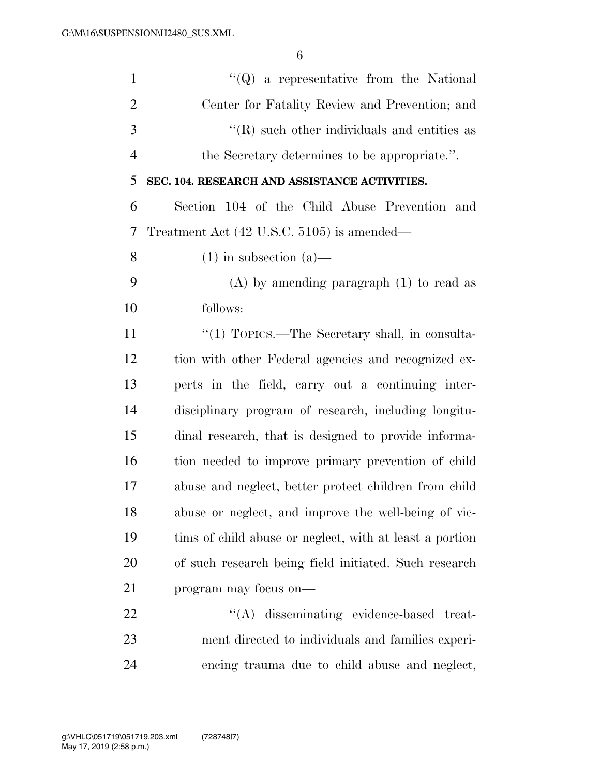| $\mathbf{1}$   | $\lq\lq Q$ a representative from the National           |
|----------------|---------------------------------------------------------|
| $\overline{2}$ | Center for Fatality Review and Prevention; and          |
| 3              | $\lq\lq$ such other individuals and entities as         |
| $\overline{4}$ | the Secretary determines to be appropriate.".           |
| 5              | SEC. 104. RESEARCH AND ASSISTANCE ACTIVITIES.           |
| 6              | Section 104 of the Child Abuse Prevention and           |
| 7              | Treatment Act (42 U.S.C. 5105) is amended—              |
| 8              | $(1)$ in subsection $(a)$ —                             |
| 9              | $(A)$ by amending paragraph $(1)$ to read as            |
| 10             | follows:                                                |
| 11             | "(1) TOPICS.—The Secretary shall, in consulta-          |
| 12             | tion with other Federal agencies and recognized ex-     |
| 13             | perts in the field, carry out a continuing inter-       |
| 14             | disciplinary program of research, including longitu-    |
| 15             | dinal research, that is designed to provide informa-    |
| 16             | tion needed to improve primary prevention of child      |
| 17             | abuse and neglect, better protect children from child   |
| 18             | abuse or neglect, and improve the well-being of vic-    |
| 19             | time of child abuse or neglect, with at least a portion |
| 20             | of such research being field initiated. Such research   |
| 21             | program may focus on—                                   |
| 22             | "(A) disseminating evidence-based treat-                |
| 23             | ment directed to individuals and families experi-       |
| 24             | encing trauma due to child abuse and neglect,           |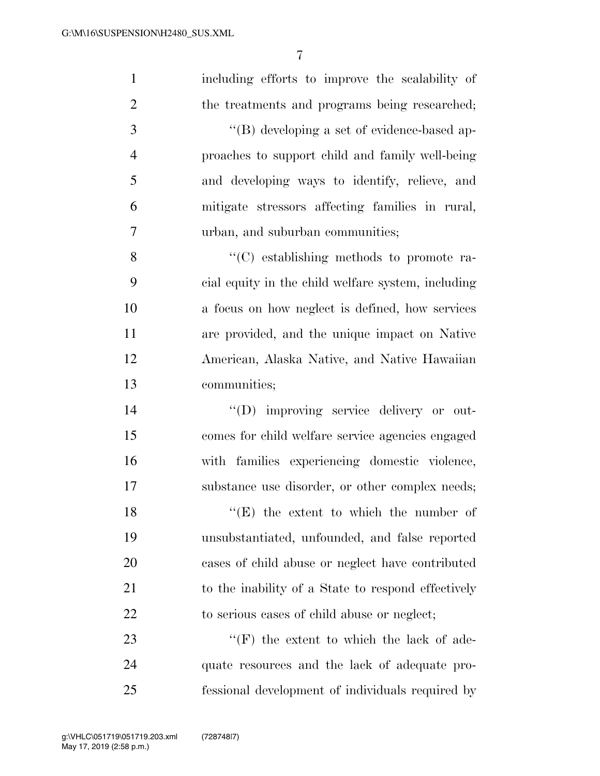| $\mathbf{1}$   | including efforts to improve the scalability of          |
|----------------|----------------------------------------------------------|
| $\overline{2}$ | the treatments and programs being researched;            |
| 3              | "(B) developing a set of evidence-based ap-              |
| $\overline{4}$ | proaches to support child and family well-being          |
| 5              | and developing ways to identify, relieve, and            |
| 6              | mitigate stressors affecting families in rural,          |
| $\tau$         | urban, and suburban communities;                         |
| 8              | $\cdot$ (C) establishing methods to promote ra-          |
| 9              | cial equity in the child welfare system, including       |
| 10             | a focus on how neglect is defined, how services          |
| 11             | are provided, and the unique impact on Native            |
| 12             | American, Alaska Native, and Native Hawaiian             |
| 13             | communities;                                             |
| 14             | "(D) improving service delivery or out-                  |
| 15             | comes for child welfare service agencies engaged         |
| 16             | with families experiencing domestic violence,            |
| 17             | substance use disorder, or other complex needs;          |
| 18             | $\lq$ <sup>"</sup> (E) the extent to which the number of |
| 19             | unsubstantiated, unfounded, and false reported           |
| 20             | cases of child abuse or neglect have contributed         |
| 21             | to the inability of a State to respond effectively       |
| 22             | to serious cases of child abuse or neglect;              |
| 23             | $\lq\lq(F)$ the extent to which the lack of ade-         |
| 24             | quate resources and the lack of adequate pro-            |
| 25             | fessional development of individuals required by         |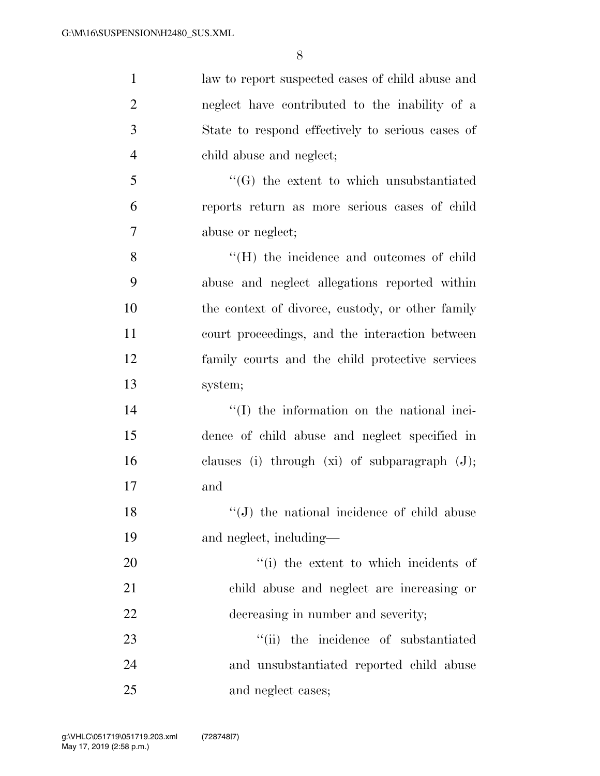| $\mathbf{1}$   | law to report suspected cases of child abuse and   |
|----------------|----------------------------------------------------|
| $\overline{2}$ | neglect have contributed to the inability of a     |
| 3              | State to respond effectively to serious cases of   |
| $\overline{4}$ | child abuse and neglect;                           |
| 5              | $\lq\lq(G)$ the extent to which unsubstantiated    |
| 6              | reports return as more serious cases of child      |
| 7              | abuse or neglect;                                  |
| 8              | "(H) the incidence and outcomes of child           |
| 9              | abuse and neglect allegations reported within      |
| 10             | the context of divorce, custody, or other family   |
| 11             | court proceedings, and the interaction between     |
| 12             | family courts and the child protective services    |
| 13             | system;                                            |
| 14             | "(I) the information on the national inci-         |
| 15             | dence of child abuse and neglect specified in      |
| 16             | clauses (i) through $(xi)$ of subparagraph $(J)$ ; |
| 17             | and                                                |
| 18             | $\lq\lq$ (J) the national incidence of child abuse |
| 19             | and neglect, including—                            |
| 20             | "(i) the extent to which incidents of              |
| 21             | child abuse and neglect are increasing or          |
| 22             | decreasing in number and severity;                 |
| 23             | "(ii) the incidence of substantiated               |
| 24             | and unsubstantiated reported child abuse           |
| 25             | and neglect cases;                                 |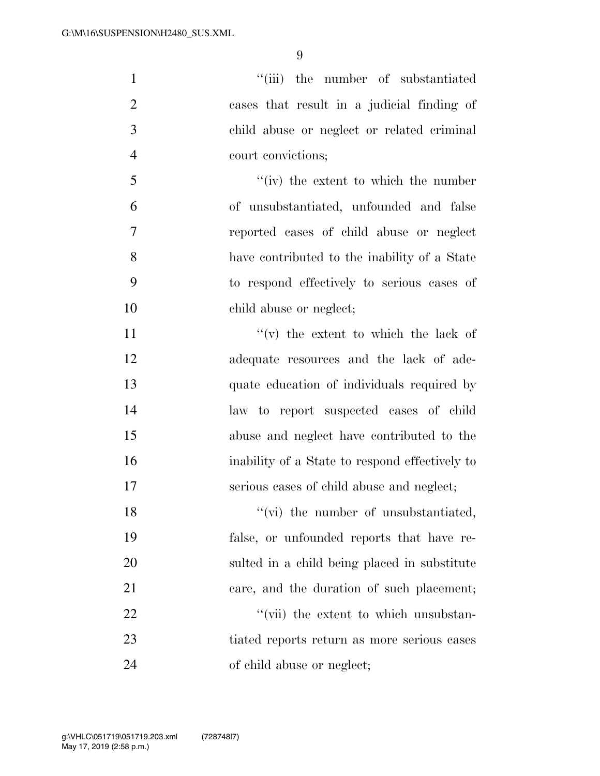| $\mathbf{1}$   | "(iii) the number of substantiated             |
|----------------|------------------------------------------------|
| $\overline{2}$ | cases that result in a judicial finding of     |
| 3              | child abuse or neglect or related criminal     |
| $\overline{4}$ | court convictions;                             |
| 5              | $f'(iv)$ the extent to which the number        |
| 6              | of unsubstantiated, unfounded and false        |
| 7              | reported cases of child abuse or neglect       |
| 8              | have contributed to the inability of a State   |
| 9              | to respond effectively to serious cases of     |
| 10             | child abuse or neglect;                        |
| 11             | $f'(v)$ the extent to which the lack of        |
| 12             | adequate resources and the lack of ade-        |
| 13             | quate education of individuals required by     |
| 14             | law to report suspected cases of child         |
| 15             | abuse and neglect have contributed to the      |
| 16             | inability of a State to respond effectively to |
| 17             | serious cases of child abuse and neglect;      |
| 18             | "(vi) the number of unsubstantiated,           |
| 19             | false, or unfounded reports that have re-      |
| 20             | sulted in a child being placed in substitute   |
| 21             | care, and the duration of such placement;      |
| 22             | "(vii) the extent to which unsubstan-          |
| 23             | tiated reports return as more serious cases    |
| 24             | of child abuse or neglect;                     |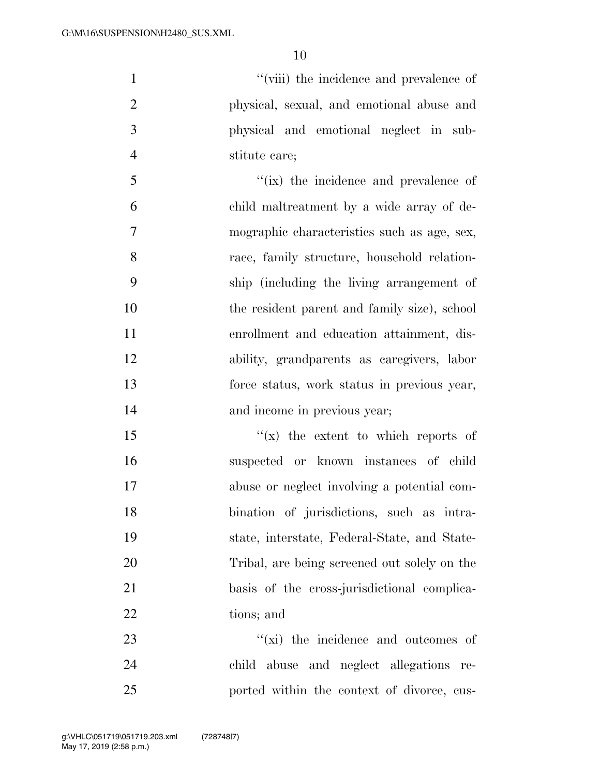$''$ (viii) the incidence and prevalence of physical, sexual, and emotional abuse and physical and emotional neglect in sub-stitute care;

 ''(ix) the incidence and prevalence of child maltreatment by a wide array of de- mographic characteristics such as age, sex, race, family structure, household relation- ship (including the living arrangement of 10 the resident parent and family size), school enrollment and education attainment, dis- ability, grandparents as caregivers, labor force status, work status in previous year, and income in previous year;

 $\frac{1}{x}$  the extent to which reports of suspected or known instances of child abuse or neglect involving a potential com- bination of jurisdictions, such as intra- state, interstate, Federal-State, and State- Tribal, are being screened out solely on the basis of the cross-jurisdictional complica-tions; and

23  $\frac{1}{2}$   $\frac{1}{2}$  the incidence and outcomes of child abuse and neglect allegations re-ported within the context of divorce, cus-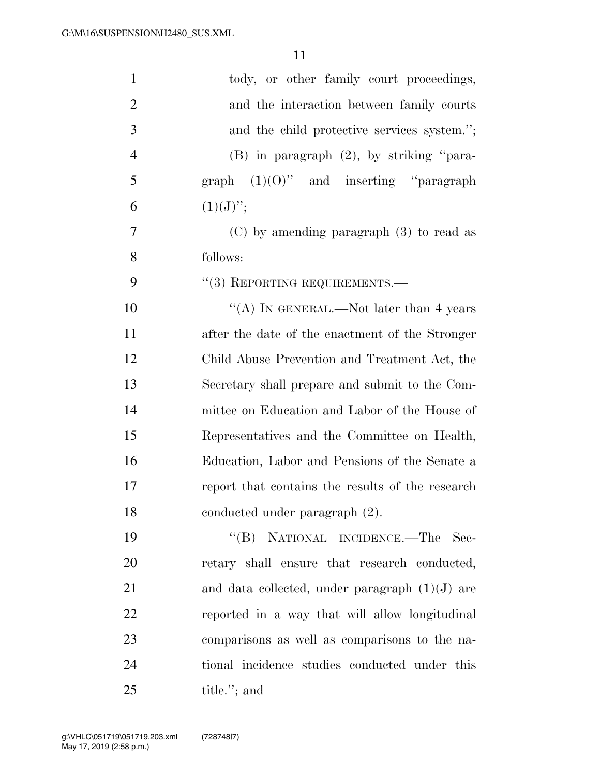| $\mathbf{1}$   | tody, or other family court proceedings,         |
|----------------|--------------------------------------------------|
| $\overline{2}$ | and the interaction between family courts        |
| 3              | and the child protective services system.";      |
| $\overline{4}$ | $(B)$ in paragraph $(2)$ , by striking "para-    |
| 5              | graph $(1)(0)$ " and inserting "paragraph"       |
| 6              | $(1)(J)$ ";                                      |
| 7              | $(C)$ by amending paragraph $(3)$ to read as     |
| 8              | follows:                                         |
| 9              | $(3)$ REPORTING REQUIREMENTS.—                   |
| 10             | "(A) IN GENERAL.—Not later than 4 years          |
| 11             | after the date of the enactment of the Stronger  |
| 12             | Child Abuse Prevention and Treatment Act, the    |
| 13             | Secretary shall prepare and submit to the Com-   |
| 14             | mittee on Education and Labor of the House of    |
| 15             | Representatives and the Committee on Health,     |
| 16             | Education, Labor and Pensions of the Senate a    |
| 17             | report that contains the results of the research |
| 18             | conducted under paragraph (2).                   |
| 19             | NATIONAL INCIDENCE.—The<br>$\lq\lq (B)$<br>Sec-  |
| 20             | retary shall ensure that research conducted,     |
| 21             | and data collected, under paragraph $(1)(J)$ are |
| 22             | reported in a way that will allow longitudinal   |
| 23             | comparisons as well as comparisons to the na-    |
| 24             | tional incidence studies conducted under this    |
| 25             | title."; and                                     |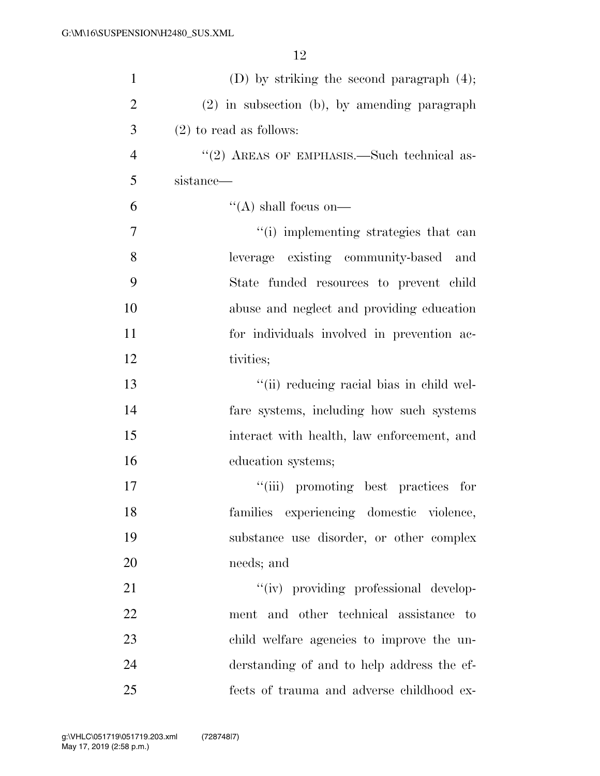| $\mathbf{1}$   | (D) by striking the second paragraph $(4)$ ;   |
|----------------|------------------------------------------------|
| $\overline{2}$ | $(2)$ in subsection (b), by amending paragraph |
| 3              | $(2)$ to read as follows:                      |
| $\overline{4}$ | "(2) AREAS OF EMPHASIS.—Such technical as-     |
| 5              | sistance—                                      |
| 6              | $\lq\lq$ shall focus on—                       |
| 7              | "(i) implementing strategies that can          |
| 8              | leverage existing community-based and          |
| 9              | State funded resources to prevent child        |
| 10             | abuse and neglect and providing education      |
| 11             | for individuals involved in prevention ac-     |
| 12             | tivities;                                      |
| 13             | "(ii) reducing racial bias in child wel-       |
| 14             | fare systems, including how such systems       |
| 15             | interact with health, law enforcement, and     |
| 16             | education systems;                             |
| 17             | "(iii) promoting best practices for            |
| 18             | families experiencing domestic violence,       |
| 19             | substance use disorder, or other complex       |
| 20             | needs; and                                     |
| 21             | "(iv) providing professional develop-          |
| 22             | ment and other technical assistance to         |
| 23             | child welfare agencies to improve the un-      |
| 24             | derstanding of and to help address the ef-     |
| 25             | fects of trauma and adverse childhood ex-      |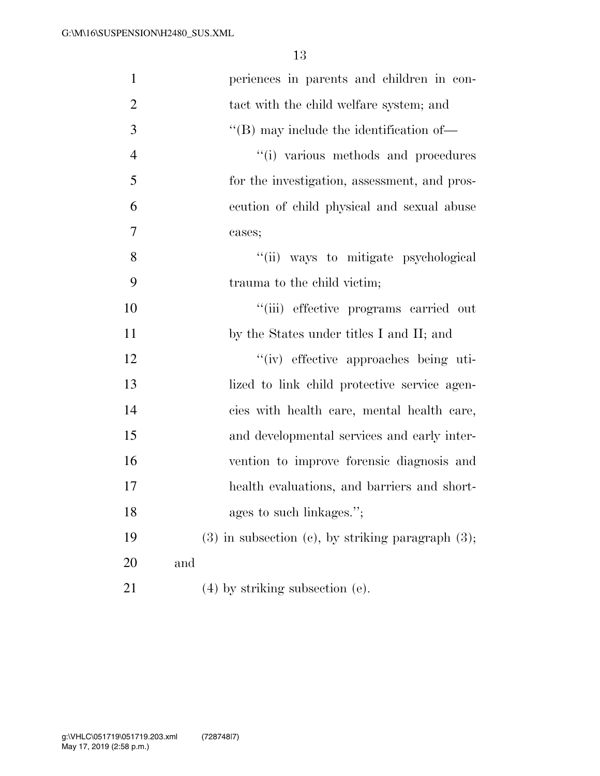| $\mathbf{1}$   | periences in parents and children in con-                 |
|----------------|-----------------------------------------------------------|
| $\overline{2}$ | tact with the child welfare system; and                   |
| 3              | $\lq\lq$ (B) may include the identification of $\lq$      |
| $\overline{4}$ | "(i) various methods and procedures                       |
| 5              | for the investigation, assessment, and pros-              |
| 6              | ecution of child physical and sexual abuse                |
| $\tau$         | cases;                                                    |
| 8              | "(ii) ways to mitigate psychological                      |
| 9              | trauma to the child victim;                               |
| 10             | "(iii) effective programs carried out                     |
| 11             | by the States under titles I and II; and                  |
| 12             | "(iv) effective approaches being uti-                     |
| 13             | lized to link child protective service agen-              |
| 14             | cies with health care, mental health care,                |
| 15             | and developmental services and early inter-               |
| 16             | vention to improve forensic diagnosis and                 |
| 17             | health evaluations, and barriers and short-               |
| 18             | ages to such linkages.";                                  |
| 19             | $(3)$ in subsection $(e)$ , by striking paragraph $(3)$ ; |
| 20             | and                                                       |
| 21             | $(4)$ by striking subsection $(e)$ .                      |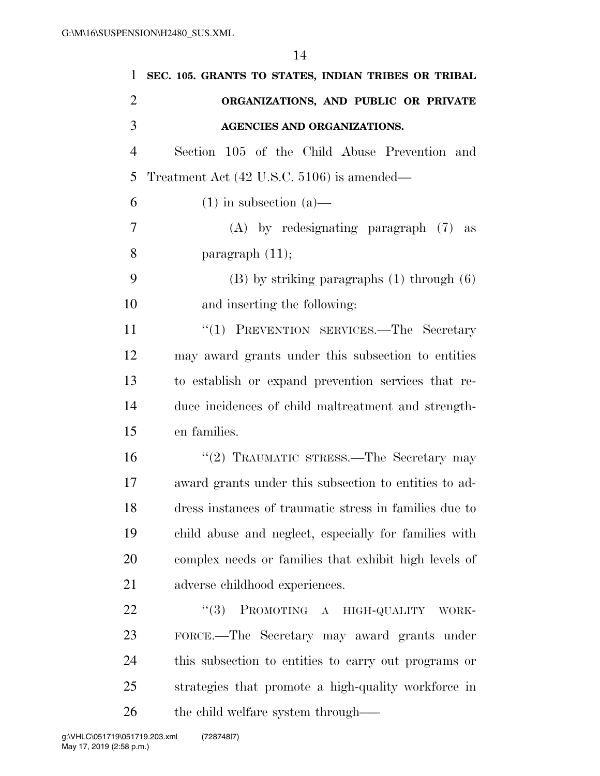| 1              | SEC. 105. GRANTS TO STATES, INDIAN TRIBES OR TRIBAL    |
|----------------|--------------------------------------------------------|
| $\overline{2}$ | ORGANIZATIONS, AND PUBLIC OR PRIVATE                   |
| 3              | AGENCIES AND ORGANIZATIONS.                            |
| $\overline{4}$ | Section 105 of the Child Abuse Prevention and          |
| 5              | Treatment Act (42 U.S.C. 5106) is amended—             |
| 6              | $(1)$ in subsection $(a)$ —                            |
| 7              | $(A)$ by redesignating paragraph $(7)$ as              |
| 8              | paragraph $(11)$ ;                                     |
| 9              | $(B)$ by striking paragraphs $(1)$ through $(6)$       |
| 10             | and inserting the following:                           |
| 11             | "(1) PREVENTION SERVICES.-The Secretary                |
| 12             | may award grants under this subsection to entities     |
| 13             | to establish or expand prevention services that re-    |
| 14             | duce incidences of child maltreatment and strength-    |
| 15             | en families.                                           |
| 16             | "(2) TRAUMATIC STRESS.—The Secretary may               |
| 17             | award grants under this subsection to entities to ad-  |
| 18             | dress instances of traumatic stress in families due to |
| 19             | child abuse and neglect, especially for families with  |
| 20             | complex needs or families that exhibit high levels of  |
| 21             | adverse childhood experiences.                         |
| 22             | "(3) PROMOTING A HIGH-QUALITY<br>WORK-                 |
| 23             | FORCE.—The Secretary may award grants under            |
| 24             | this subsection to entities to carry out programs or   |
| 25             | strategies that promote a high-quality workforce in    |
| 26             | the child welfare system through—                      |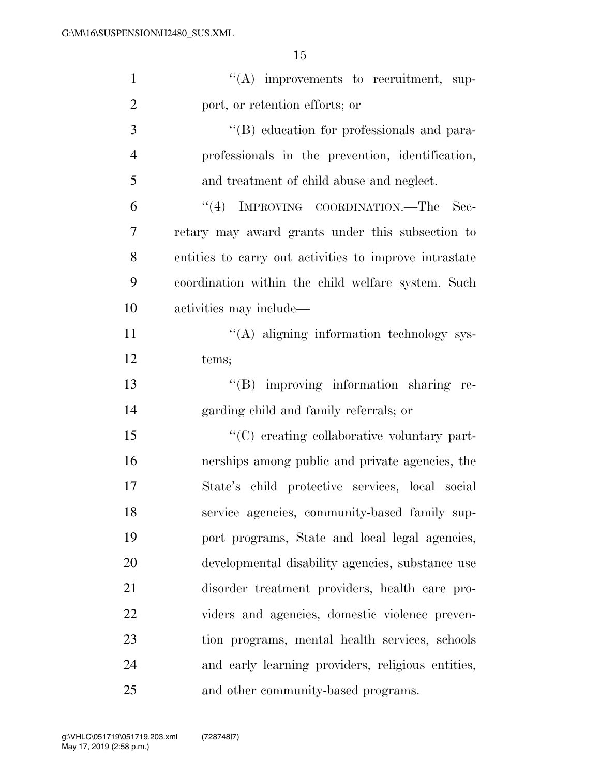| $\mathbf{1}$   | $\lq\lq$ improvements to recruitment, sup-             |
|----------------|--------------------------------------------------------|
| $\overline{2}$ | port, or retention efforts; or                         |
| 3              | "(B) education for professionals and para-             |
| $\overline{4}$ | professionals in the prevention, identification,       |
| 5              | and treatment of child abuse and neglect.              |
| 6              | "(4) IMPROVING COORDINATION.—The Sec-                  |
| 7              | retary may award grants under this subsection to       |
| 8              | entities to carry out activities to improve intrastate |
| 9              | coordination within the child welfare system. Such     |
| 10             | activities may include—                                |
| 11             | "(A) aligning information technology sys-              |
| 12             | tems;                                                  |
| 13             | "(B) improving information sharing re-                 |
| 14             | garding child and family referrals; or                 |
| 15             | "(C) creating collaborative voluntary part-            |
| 16             | nerships among public and private agencies, the        |
| 17             | State's child protective services, local social        |
| 18             | service agencies, community-based family sup-          |
| 19             | port programs, State and local legal agencies,         |
| <b>20</b>      | developmental disability agencies, substance use       |
| 21             | disorder treatment providers, health care pro-         |
| 22             | viders and agencies, domestic violence preven-         |
| 23             | tion programs, mental health services, schools         |
| 24             | and early learning providers, religious entities,      |
| 25             | and other community-based programs.                    |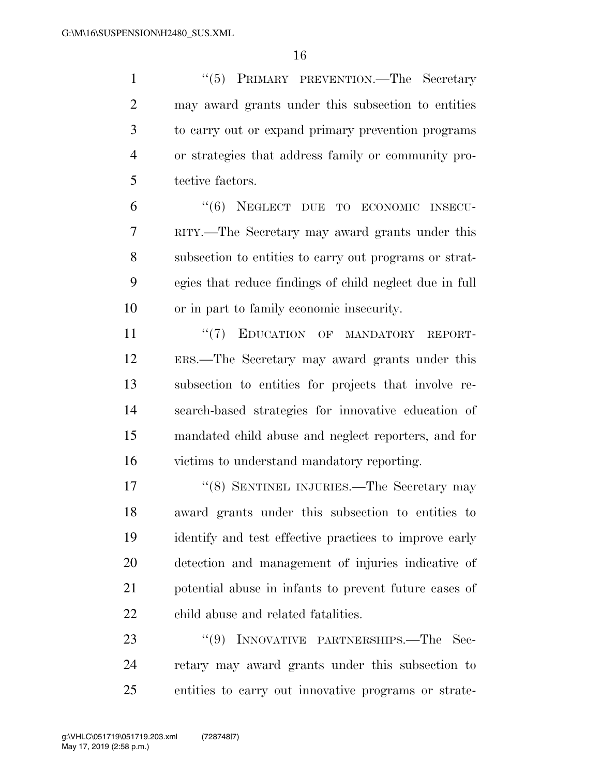1 ''(5) PRIMARY PREVENTION.—The Secretary may award grants under this subsection to entities to carry out or expand primary prevention programs or strategies that address family or community pro-tective factors.

 ''(6) NEGLECT DUE TO ECONOMIC INSECU- RITY.—The Secretary may award grants under this subsection to entities to carry out programs or strat- egies that reduce findings of child neglect due in full or in part to family economic insecurity.

 $\frac{1}{7}$  EDUCATION OF MANDATORY REPORT- ERS.—The Secretary may award grants under this subsection to entities for projects that involve re- search-based strategies for innovative education of mandated child abuse and neglect reporters, and for victims to understand mandatory reporting.

17 ''(8) SENTINEL INJURIES.—The Secretary may award grants under this subsection to entities to identify and test effective practices to improve early detection and management of injuries indicative of potential abuse in infants to prevent future cases of child abuse and related fatalities.

23 "(9) INNOVATIVE PARTNERSHIPS.—The Sec- retary may award grants under this subsection to entities to carry out innovative programs or strate-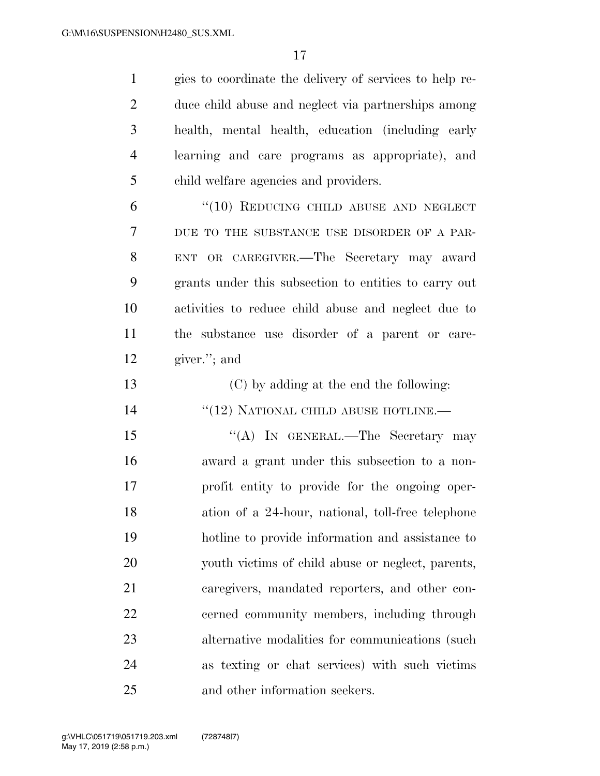| $\mathbf{1}$   | gies to coordinate the delivery of services to help re- |
|----------------|---------------------------------------------------------|
| $\overline{2}$ | duce child abuse and neglect via partnerships among     |
| 3              | health, mental health, education (including early       |
| $\overline{4}$ | learning and care programs as appropriate), and         |
| 5              | child welfare agencies and providers.                   |
| 6              | $``(10)$ REDUCING CHILD ABUSE AND NEGLECT               |
| 7              | DUE TO THE SUBSTANCE USE DISORDER OF A PAR-             |
| 8              | ENT OR CAREGIVER.—The Secretary may award               |
| 9              | grants under this subsection to entities to carry out   |
| 10             | activities to reduce child abuse and neglect due to     |
| 11             | the substance use disorder of a parent or care-         |
| 12             | giver."; and                                            |
| 13             | (C) by adding at the end the following:                 |
| 14             | $``(12)$ NATIONAL CHILD ABUSE HOTLINE.—                 |
| 15             | "(A) IN GENERAL.—The Secretary may                      |
| 16             | award a grant under this subsection to a non-           |
| 17             | profit entity to provide for the ongoing oper-          |
| 18             | ation of a 24-hour, national, toll-free telephone       |
| 19             | hotline to provide information and assistance to        |
| 20             | youth victims of child abuse or neglect, parents,       |
| 21             | caregivers, mandated reporters, and other con-          |
| 22             | cerned community members, including through             |
| 23             | alternative modalities for communications (such         |
| 24             | as texting or chat services) with such victims          |
| 25             | and other information seekers.                          |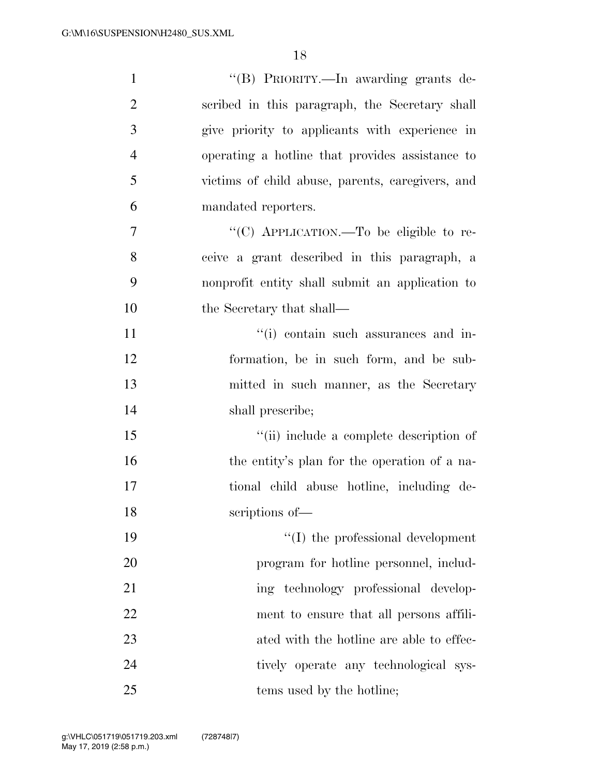| $\mathbf{1}$   | "(B) PRIORITY.—In awarding grants de-            |
|----------------|--------------------------------------------------|
| $\overline{2}$ | scribed in this paragraph, the Secretary shall   |
| 3              | give priority to applicants with experience in   |
| $\overline{4}$ | operating a hotline that provides assistance to  |
| 5              | victims of child abuse, parents, caregivers, and |
| 6              | mandated reporters.                              |
| 7              | "(C) APPLICATION.—To be eligible to re-          |
| 8              | ceive a grant described in this paragraph, a     |
| 9              | nonprofit entity shall submit an application to  |
| 10             | the Secretary that shall—                        |
| 11             | "(i) contain such assurances and in-             |
| 12             | formation, be in such form, and be sub-          |
| 13             | mitted in such manner, as the Secretary          |
| 14             | shall prescribe;                                 |
| 15             | "(ii) include a complete description of          |
| 16             | the entity's plan for the operation of a na-     |
| 17             | tional child abuse hotline, including de-        |
| 18             | scriptions of-                                   |
| 19             | $\lq\lq$ (I) the professional development        |
| 20             | program for hotline personnel, includ-           |
| 21             | ing technology professional develop-             |
| 22             | ment to ensure that all persons affili-          |
| 23             | ated with the hotline are able to effec-         |
| 24             | tively operate any technological sys-            |
| 25             | tems used by the hotline;                        |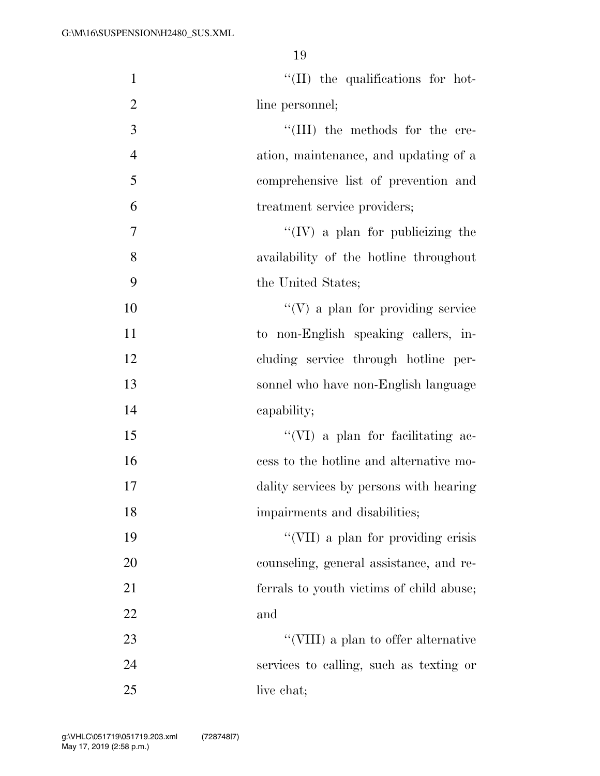| $\mathbf{1}$   | $\lq\lq$ (II) the qualifications for hot- |
|----------------|-------------------------------------------|
| $\overline{2}$ | line personnel;                           |
| 3              | "(III) the methods for the cre-           |
| $\overline{4}$ | ation, maintenance, and updating of a     |
| 5              | comprehensive list of prevention and      |
| 6              | treatment service providers;              |
| $\overline{7}$ | $``(IV)$ a plan for publicizing the       |
| 8              | availability of the hotline throughout    |
| 9              | the United States;                        |
| 10             | $\lq\lq(V)$ a plan for providing service  |
| 11             | to non-English speaking callers, in-      |
| 12             | cluding service through hotline per-      |
| 13             | sonnel who have non-English language      |
| 14             | capability;                               |
| 15             | "(VI) a plan for facilitating ac-         |
| 16             | cess to the hotline and alternative mo-   |
| 17             | dality services by persons with hearing   |
| 18             | impairments and disabilities;             |
| 19             | "(VII) a plan for providing crisis        |
| 20             | counseling, general assistance, and re-   |
| 21             | ferrals to youth victims of child abuse;  |
| 22             | and                                       |
| 23             | "(VIII) a plan to offer alternative       |
| 24             | services to calling, such as texting or   |
| 25             | live chat;                                |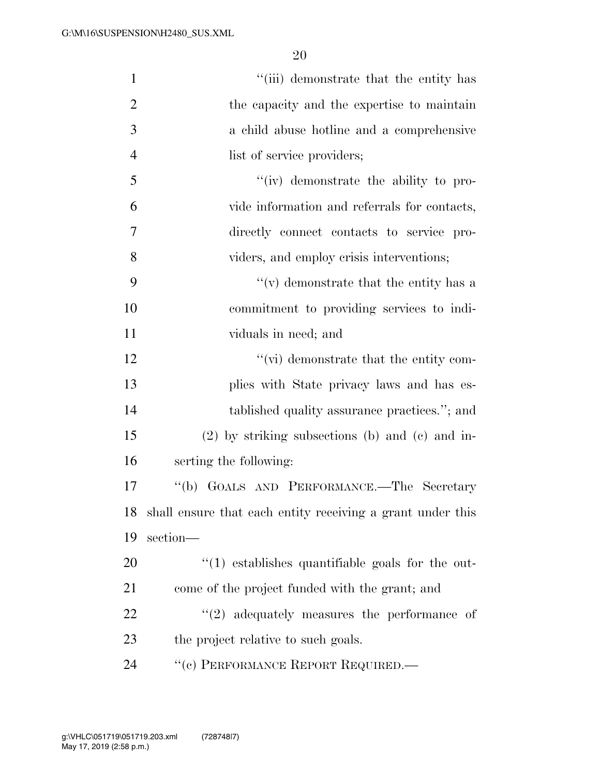| $\mathbf{1}$   | "(iii) demonstrate that the entity has                        |
|----------------|---------------------------------------------------------------|
| $\overline{2}$ | the capacity and the expertise to maintain                    |
| 3              | a child abuse hotline and a comprehensive                     |
| $\overline{4}$ | list of service providers;                                    |
| 5              | "(iv) demonstrate the ability to pro-                         |
| 6              | vide information and referrals for contacts,                  |
| 7              | directly connect contacts to service pro-                     |
| 8              | viders, and employ crisis interventions;                      |
| 9              | $f'(v)$ demonstrate that the entity has a                     |
| 10             | commitment to providing services to indi-                     |
| 11             | viduals in need; and                                          |
| 12             | $\lq\lq$ (vi) demonstrate that the entity com-                |
| 13             | plies with State privacy laws and has es-                     |
| 14             | tablished quality assurance practices."; and                  |
| 15             | $(2)$ by striking subsections (b) and (c) and in-             |
| 16             | serting the following:                                        |
| 17             | "(b) GOALS AND PERFORMANCE.—The Secretary                     |
|                | 18 shall ensure that each entity receiving a grant under this |
| 19             | section-                                                      |
| 20             | $"(1)$ establishes quantifiable goals for the out-            |
| 21             | come of the project funded with the grant; and                |
| 22             | $\lq(2)$ adequately measures the performance of               |
| 23             | the project relative to such goals.                           |
| 24             | "(c) PERFORMANCE REPORT REQUIRED.—                            |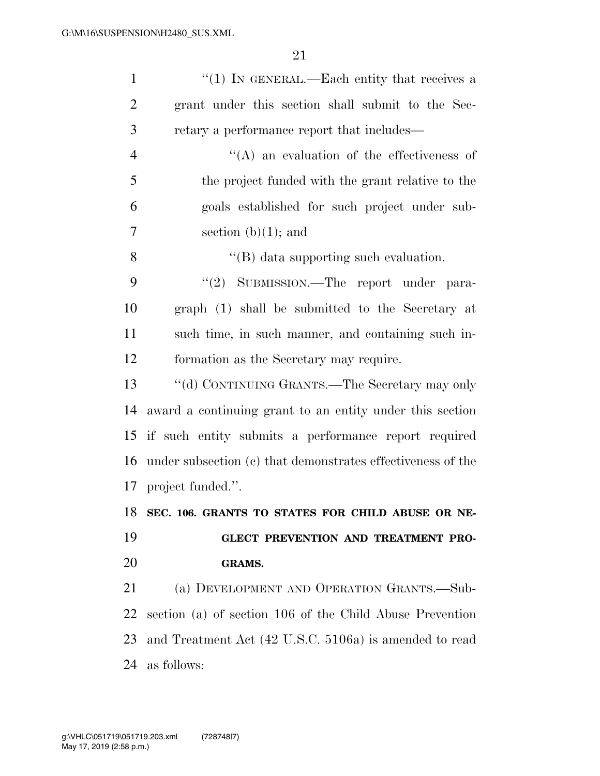| $\mathbf{1}$   | "(1) IN GENERAL.—Each entity that receives a                |
|----------------|-------------------------------------------------------------|
| $\overline{2}$ | grant under this section shall submit to the Sec-           |
| 3              | retary a performance report that includes—                  |
| $\overline{4}$ | $\lq\lq$ an evaluation of the effectiveness of              |
| 5              | the project funded with the grant relative to the           |
| 6              | goals established for such project under sub-               |
| 7              | section $(b)(1)$ ; and                                      |
| 8              | $\lq\lq$ data supporting such evaluation.                   |
| 9              | "(2) SUBMISSION.—The report under para-                     |
| 10             | graph (1) shall be submitted to the Secretary at            |
| 11             | such time, in such manner, and containing such in-          |
| 12             | formation as the Secretary may require.                     |
| 13             | "(d) CONTINUING GRANTS.—The Secretary may only              |
| 14             | award a continuing grant to an entity under this section    |
| 15             | if such entity submits a performance report required        |
| 16             |                                                             |
|                | under subsection (c) that demonstrates effectiveness of the |
| 17             | project funded.".                                           |
| 18             | SEC. 106. GRANTS TO STATES FOR CHILD ABUSE OR NE-           |
| 19             | GLECT PREVENTION AND TREATMENT PRO-                         |
| <b>20</b>      | <b>GRAMS.</b>                                               |
| 21             | (a) DEVELOPMENT AND OPERATION GRANTS.—Sub-                  |
| 22             | section (a) of section 106 of the Child Abuse Prevention    |
| 23             | and Treatment Act (42 U.S.C. 5106a) is amended to read      |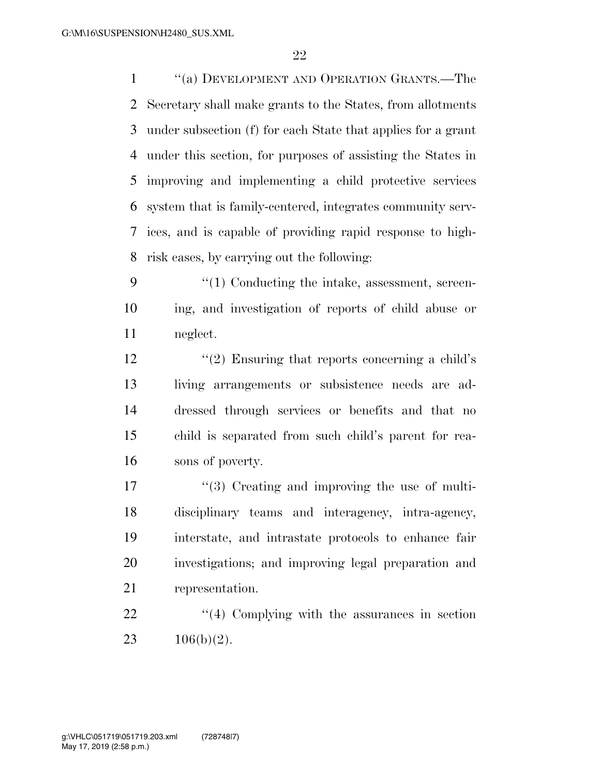''(a) DEVELOPMENT AND OPERATION GRANTS.—The Secretary shall make grants to the States, from allotments under subsection (f) for each State that applies for a grant under this section, for purposes of assisting the States in improving and implementing a child protective services system that is family-centered, integrates community serv- ices, and is capable of providing rapid response to high-risk cases, by carrying out the following:

9  $\frac{4}{1}$  Conducting the intake, assessment, screen- ing, and investigation of reports of child abuse or neglect.

 $\frac{1}{2}$   $\frac{1}{2}$  Ensuring that reports concerning a child's living arrangements or subsistence needs are ad- dressed through services or benefits and that no child is separated from such child's parent for rea-sons of poverty.

17 ''(3) Creating and improving the use of multi- disciplinary teams and interagency, intra-agency, interstate, and intrastate protocols to enhance fair investigations; and improving legal preparation and representation.

22 ''(4) Complying with the assurances in section 23  $106(b)(2)$ .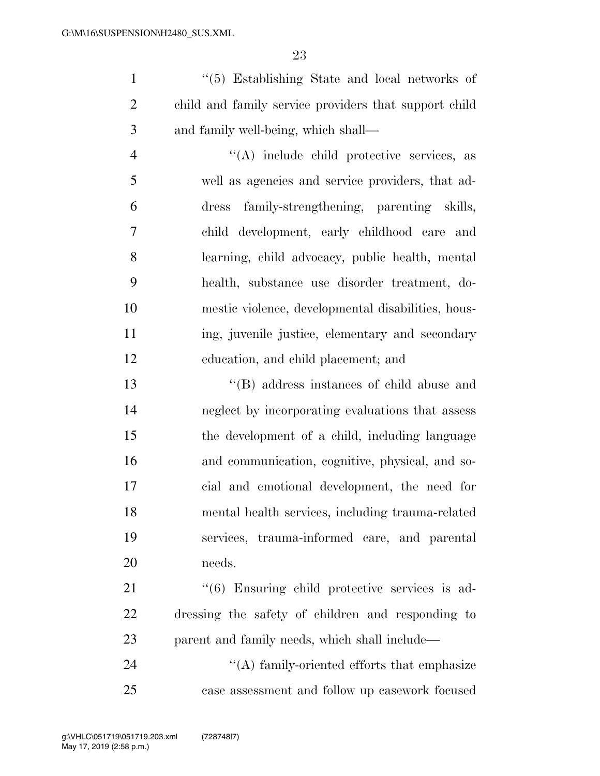''(5) Establishing State and local networks of child and family service providers that support child and family well-being, which shall—

 ''(A) include child protective services, as well as agencies and service providers, that ad- dress family-strengthening, parenting skills, child development, early childhood care and learning, child advocacy, public health, mental health, substance use disorder treatment, do- mestic violence, developmental disabilities, hous- ing, juvenile justice, elementary and secondary education, and child placement; and

 ''(B) address instances of child abuse and neglect by incorporating evaluations that assess the development of a child, including language and communication, cognitive, physical, and so- cial and emotional development, the need for mental health services, including trauma-related services, trauma-informed care, and parental needs.

21 ''(6) Ensuring child protective services is ad- dressing the safety of children and responding to parent and family needs, which shall include—

24 ''(A) family-oriented efforts that emphasize case assessment and follow up casework focused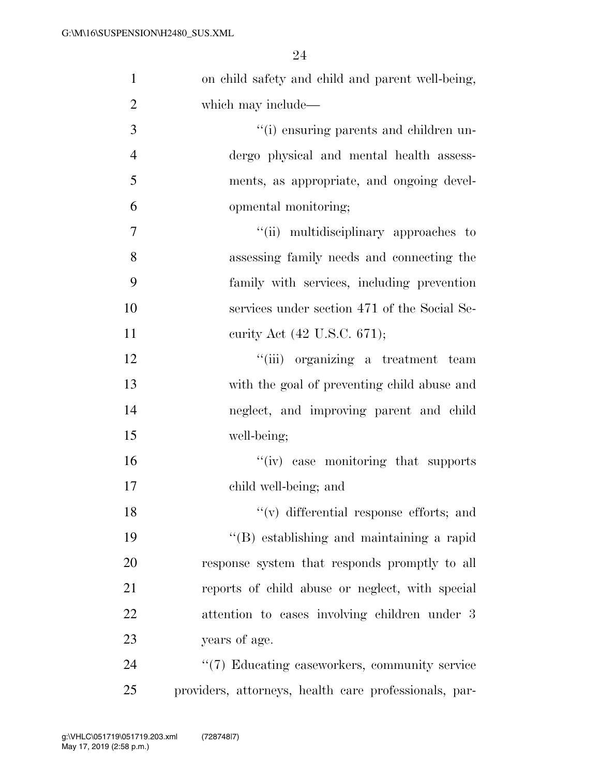| $\mathbf{1}$   | on child safety and child and parent well-being,      |
|----------------|-------------------------------------------------------|
| $\overline{2}$ | which may include—                                    |
| 3              | "(i) ensuring parents and children un-                |
| $\overline{4}$ | dergo physical and mental health assess-              |
| 5              | ments, as appropriate, and ongoing devel-             |
| 6              | opmental monitoring;                                  |
| $\overline{7}$ | "(ii) multidisciplinary approaches to                 |
| 8              | assessing family needs and connecting the             |
| 9              | family with services, including prevention            |
| 10             | services under section 471 of the Social Se-          |
| 11             | curity Act (42 U.S.C. 671);                           |
| 12             | "(iii) organizing a treatment team                    |
| 13             | with the goal of preventing child abuse and           |
| 14             | neglect, and improving parent and child               |
| 15             | well-being;                                           |
| 16             | "(iv) case monitoring that supports                   |
| 17             | child well-being; and                                 |
| 18             | "(v) differential response efforts; and               |
| 19             | "(B) establishing and maintaining a rapid             |
| 20             | response system that responds promptly to all         |
| 21             | reports of child abuse or neglect, with special       |
| 22             | attention to cases involving children under 3         |
| 23             | years of age.                                         |
| 24             | "(7) Educating caseworkers, community service         |
| 25             | providers, attorneys, health care professionals, par- |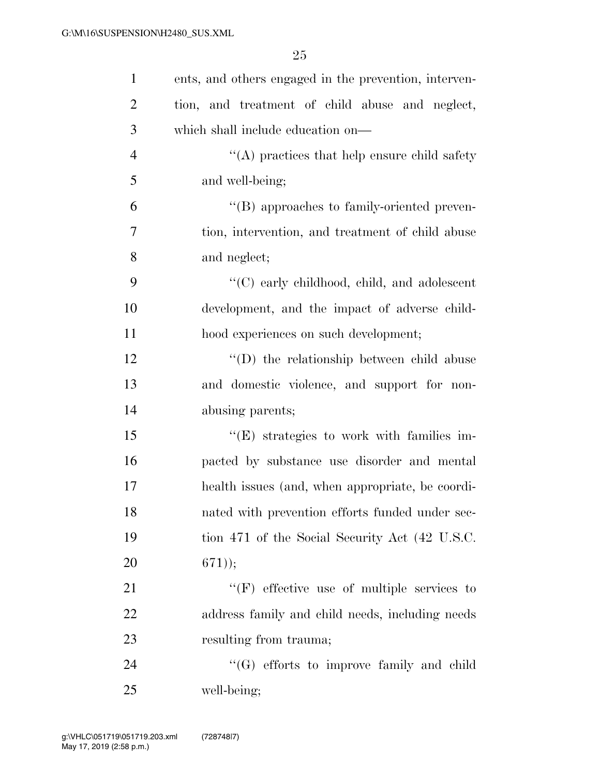| $\mathbf{1}$   | ents, and others engaged in the prevention, interven- |
|----------------|-------------------------------------------------------|
| $\overline{2}$ | tion, and treatment of child abuse and neglect,       |
| 3              | which shall include education on—                     |
| $\overline{4}$ | $\cdot$ (A) practices that help ensure child safety   |
| 5              | and well-being;                                       |
| 6              | "(B) approaches to family-oriented preven-            |
| $\overline{7}$ | tion, intervention, and treatment of child abuse      |
| 8              | and neglect;                                          |
| 9              | $\lq\lq$ (C) early childhood, child, and adolescent   |
| 10             | development, and the impact of adverse child-         |
| 11             | hood experiences on such development;                 |
| 12             | $\lq\lq$ the relationship between child abuse         |
| 13             | and domestic violence, and support for non-           |
| 14             | abusing parents;                                      |
| 15             | $\lq\lq(E)$ strategies to work with families im-      |
| 16             | pacted by substance use disorder and mental           |
| 17             | health issues (and, when appropriate, be coordi-      |
| 18             | nated with prevention efforts funded under sec-       |
| 19             | tion 471 of the Social Security Act (42 U.S.C.        |
| 20             | $(671)$ ;                                             |
| 21             | $\lq\lq(F)$ effective use of multiple services to     |
| 22             | address family and child needs, including needs       |
| 23             | resulting from trauma;                                |
| 24             | $\lq\lq(G)$ efforts to improve family and child       |
| 25             | well-being;                                           |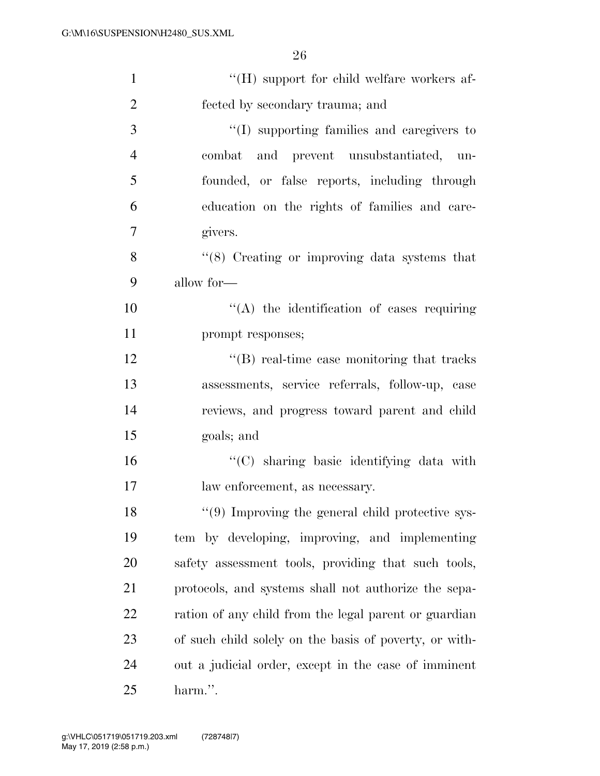| $\mathbf{1}$   | $\lq\lq (H)$ support for child welfare workers af-     |
|----------------|--------------------------------------------------------|
| $\overline{2}$ | fected by secondary trauma; and                        |
| 3              | $\lq\lq$ supporting families and caregivers to         |
| $\overline{4}$ | combat and prevent unsubstantiated, un-                |
| 5              | founded, or false reports, including through           |
| 6              | education on the rights of families and care-          |
| $\overline{7}$ | givers.                                                |
| 8              | $\cdot$ (8) Creating or improving data systems that    |
| 9              | allow for-                                             |
| 10             | "(A) the identification of cases requiring             |
| 11             | prompt responses;                                      |
| 12             | $\lq\lq$ real-time case monitoring that tracks         |
| 13             | assessments, service referrals, follow-up, case        |
| 14             | reviews, and progress toward parent and child          |
| 15             | goals; and                                             |
| 16             | "(C) sharing basic identifying data with               |
| 17             | law enforcement, as necessary.                         |
| 18             | $\lq(9)$ Improving the general child protective sys-   |
| 19             | tem by developing, improving, and implementing         |
| 20             | safety assessment tools, providing that such tools,    |
| 21             | protocols, and systems shall not authorize the sepa-   |
| 22             | ration of any child from the legal parent or guardian  |
| 23             | of such child solely on the basis of poverty, or with- |
| 24             | out a judicial order, except in the case of imminent   |
| 25             | harm.".                                                |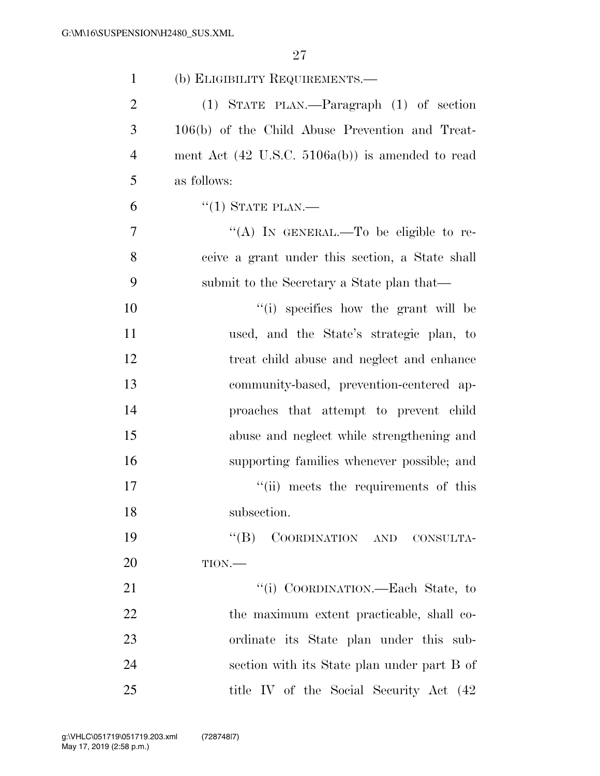| $\mathbf{1}$   | (b) ELIGIBILITY REQUIREMENTS.—                              |
|----------------|-------------------------------------------------------------|
| $\overline{2}$ | $(1)$ STATE PLAN.—Paragraph $(1)$ of section                |
| 3              | 106(b) of the Child Abuse Prevention and Treat-             |
| 4              | ment Act $(42 \text{ U.S.C. } 5106a(b))$ is amended to read |
| 5              | as follows:                                                 |
| 6              | $``(1)$ STATE PLAN.—                                        |
| 7              | "(A) IN GENERAL.—To be eligible to re-                      |
| 8              | ceive a grant under this section, a State shall             |
| 9              | submit to the Secretary a State plan that—                  |
| 10             | "(i) specifies how the grant will be                        |
| 11             | used, and the State's strategic plan, to                    |
| 12             | treat child abuse and neglect and enhance                   |
| 13             | community-based, prevention-centered ap-                    |
| 14             | proaches that attempt to prevent child                      |
| 15             | abuse and neglect while strengthening and                   |
| 16             | supporting families whenever possible; and                  |
| 17             | "(ii) meets the requirements of this                        |
| 18             | subsection.                                                 |
| 19             | "(B) COORDINATION AND CONSULTA-                             |
| 20             | $TION$ .                                                    |
| 21             | "(i) COORDINATION.—Each State, to                           |
| 22             | the maximum extent practicable, shall co-                   |
| 23             | ordinate its State plan under this sub-                     |
| 24             | section with its State plan under part B of                 |
| 25             | title IV of the Social Security Act (42)                    |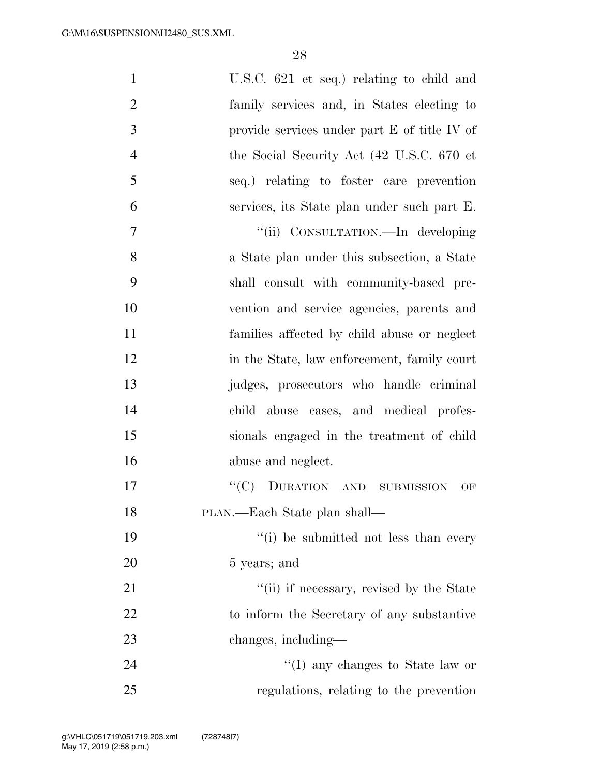| $\mathbf{1}$   | U.S.C. 621 et seq.) relating to child and    |
|----------------|----------------------------------------------|
| $\overline{2}$ | family services and, in States electing to   |
| 3              | provide services under part E of title IV of |
| $\overline{4}$ | the Social Security Act (42 U.S.C. 670 et    |
| 5              | seq.) relating to foster care prevention     |
| 6              | services, its State plan under such part E.  |
| 7              | "(ii) CONSULTATION.—In developing            |
| 8              | a State plan under this subsection, a State  |
| 9              | shall consult with community-based pre-      |
| 10             | vention and service agencies, parents and    |
| 11             | families affected by child abuse or neglect  |
| 12             | in the State, law enforcement, family court  |
| 13             | judges, prosecutors who handle criminal      |
| 14             | child abuse cases, and medical profes-       |
| 15             | sionals engaged in the treatment of child    |
| 16             | abuse and neglect.                           |
| 17             | "(C) DURATION AND SUBMISSION<br>OF           |
| 18             | PLAN.—Each State plan shall—                 |
| 19             | "(i) be submitted not less than every        |
| 20             | 5 years; and                                 |
| 21             | "(ii) if necessary, revised by the State     |
| 22             | to inform the Secretary of any substantive   |
| 23             | changes, including—                          |
| 24             | "(I) any changes to State law or             |
| 25             | regulations, relating to the prevention      |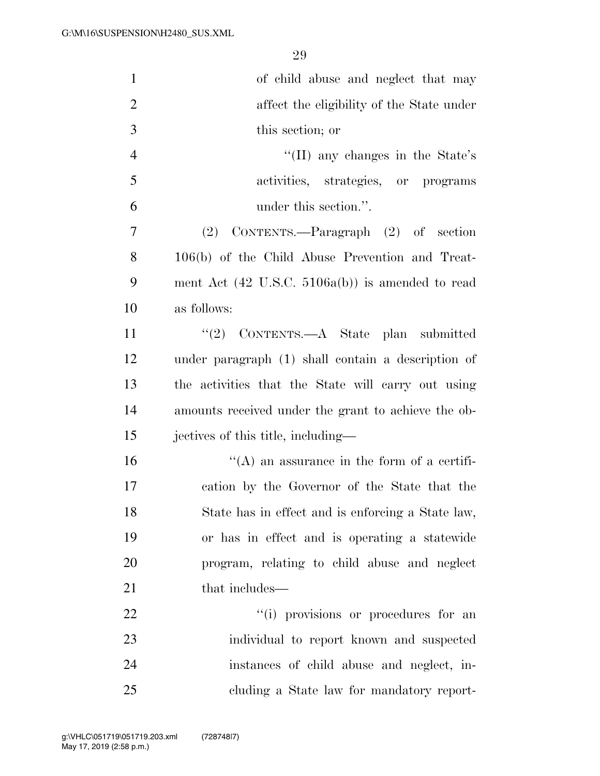| $\mathbf{1}$   | of child abuse and neglect that may                         |
|----------------|-------------------------------------------------------------|
| $\overline{2}$ | affect the eligibility of the State under                   |
| 3              | this section; or                                            |
| $\overline{4}$ | "(II) any changes in the State's                            |
| 5              | activities, strategies, or programs                         |
| 6              | under this section.".                                       |
| 7              | (2) CONTENTS.—Paragraph (2) of section                      |
| 8              | 106(b) of the Child Abuse Prevention and Treat-             |
| 9              | ment Act $(42 \text{ U.S.C. } 5106a(b))$ is amended to read |
| 10             | as follows:                                                 |
| 11             | "(2) CONTENTS.—A State plan submitted                       |
| 12             | under paragraph (1) shall contain a description of          |
| 13             | the activities that the State will carry out using          |
| 14             | amounts received under the grant to achieve the ob-         |
| 15             | jectives of this title, including—                          |
| 16             | $\lq\lq$ an assurance in the form of a certifi-             |
| 17             | cation by the Governor of the State that the                |
| 18             | State has in effect and is enforcing a State law,           |
| 19             | or has in effect and is operating a statewide               |
| 20             | program, relating to child abuse and neglect                |
| 21             | that includes—                                              |
| 22             | "(i) provisions or procedures for an                        |
| 23             | individual to report known and suspected                    |
| 24             | instances of child abuse and neglect, in-                   |
| 25             | cluding a State law for mandatory report-                   |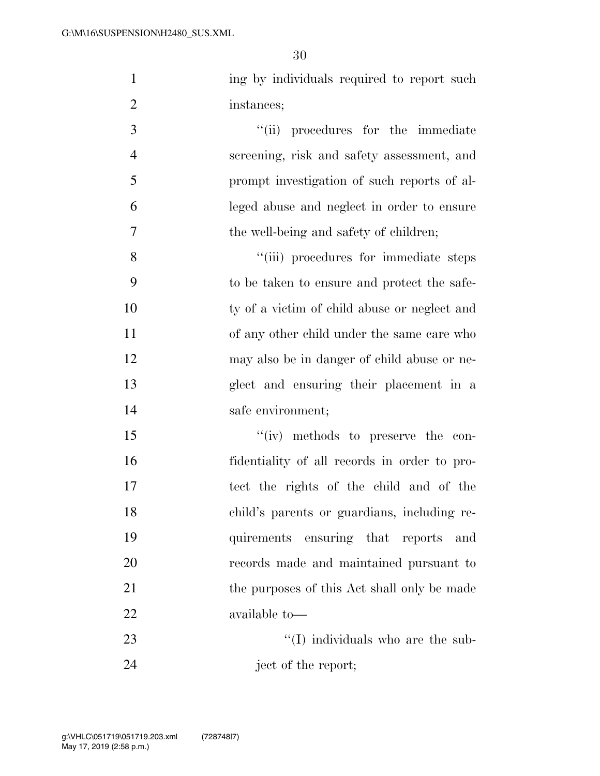| $\mathbf{1}$   | ing by individuals required to report such   |
|----------------|----------------------------------------------|
| $\overline{2}$ | instances;                                   |
| 3              | "(ii) procedures for the immediate           |
| $\overline{4}$ | screening, risk and safety assessment, and   |
| 5              | prompt investigation of such reports of al-  |
| 6              | leged abuse and neglect in order to ensure   |
| 7              | the well-being and safety of children;       |
| 8              | "(iii) procedures for immediate steps        |
| 9              | to be taken to ensure and protect the safe-  |
| 10             | ty of a victim of child abuse or neglect and |
| 11             | of any other child under the same care who   |
| 12             | may also be in danger of child abuse or ne-  |
| 13             | glect and ensuring their placement in a      |
| 14             | safe environment;                            |
| 15             | "(iv) methods to preserve the con-           |
| 16             | fidentiality of all records in order to pro- |
| 17             | tect the rights of the child and of the      |
| 18             | child's parents or guardians, including re-  |
| 19             | ensuring that reports<br>quirements<br>and   |
| 20             | records made and maintained pursuant to      |
| 21             | the purposes of this Act shall only be made  |
| 22             | available to-                                |
| 23             | "(I) individuals who are the sub-            |
| 24             | ject of the report;                          |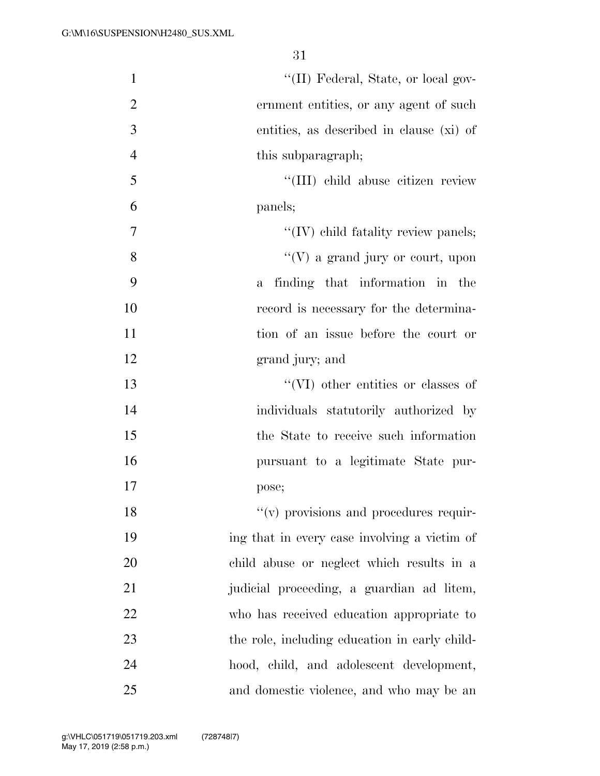| $\mathbf{1}$   | "(II) Federal, State, or local gov-           |
|----------------|-----------------------------------------------|
| $\overline{2}$ | ernment entities, or any agent of such        |
| 3              | entities, as described in clause (xi) of      |
| $\overline{4}$ | this subparagraph;                            |
| 5              | "(III) child abuse citizen review             |
| 6              | panels;                                       |
| 7              | "(IV) child fatality review panels;           |
| 8              | $\lq\lq(V)$ a grand jury or court, upon       |
| 9              | finding that information in the<br>a          |
| 10             | record is necessary for the determina-        |
| 11             | tion of an issue before the court or          |
| 12             | grand jury; and                               |
| 13             | "(VI) other entities or classes of            |
| 14             | individuals statutorily authorized by         |
| 15             | the State to receive such information         |
| 16             | pursuant to a legitimate State pur-           |
| 17             | pose;                                         |
| 18             | "(v) provisions and procedures requir-        |
| 19             | ing that in every case involving a victim of  |
| 20             | child abuse or neglect which results in a     |
| 21             | judicial proceeding, a guardian ad litem,     |
| 22             | who has received education appropriate to     |
| 23             | the role, including education in early child- |
| 24             | hood, child, and adolescent development,      |
| 25             | and domestic violence, and who may be an      |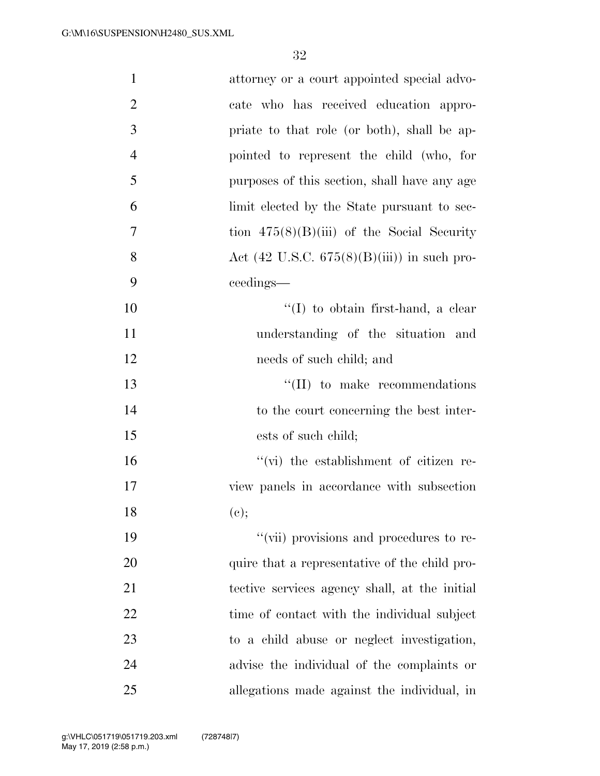| $\mathbf{1}$   | attorney or a court appointed special advo-            |
|----------------|--------------------------------------------------------|
| $\overline{2}$ | cate who has received education appro-                 |
| 3              | priate to that role (or both), shall be ap-            |
| $\overline{4}$ | pointed to represent the child (who, for               |
| 5              | purposes of this section, shall have any age           |
| 6              | limit elected by the State pursuant to sec-            |
| 7              | tion $475(8)(B)(iii)$ of the Social Security           |
| 8              | Act $(42 \text{ U.S.C. } 675(8)(B)(iii))$ in such pro- |
| 9              | ceedings—                                              |
| 10             | "(I) to obtain first-hand, a clear                     |
| 11             | understanding of the situation and                     |
| 12             | needs of such child; and                               |
| 13             | $\lq\lq$ (II) to make recommendations                  |
| 14             | to the court concerning the best inter-                |
| 15             | ests of such child;                                    |
| 16             | "(vi) the establishment of citizen re-                 |
| 17             | view panels in accordance with subsection              |
| 18             | (e);                                                   |
| 19             | "(vii) provisions and procedures to re-                |
| 20             | quire that a representative of the child pro-          |
| 21             | tective services agency shall, at the initial          |
| 22             | time of contact with the individual subject            |
| 23             | to a child abuse or neglect investigation,             |
| 24             | advise the individual of the complaints or             |
| 25             | allegations made against the individual, in            |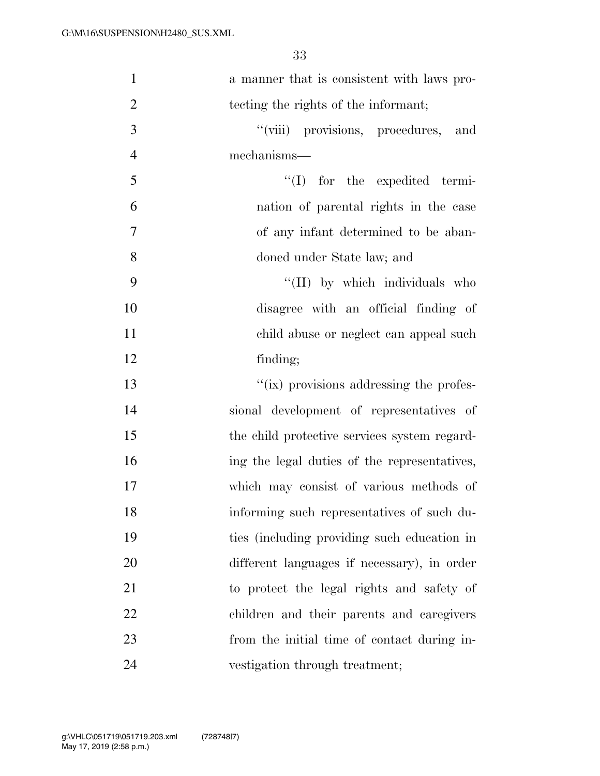| $\mathbf{1}$   | a manner that is consistent with laws pro-   |
|----------------|----------------------------------------------|
| $\overline{2}$ | tecting the rights of the informant;         |
| 3              | "(viii) provisions, procedures, and          |
| $\overline{4}$ | mechanisms—                                  |
| 5              | $\lq\lq$ (I) for the expedited termi-        |
| 6              | nation of parental rights in the case        |
| $\tau$         | of any infant determined to be aban-         |
| 8              | doned under State law; and                   |
| 9              | "(II) by which individuals who               |
| 10             | disagree with an official finding of         |
| 11             | child abuse or neglect can appeal such       |
| 12             | finding;                                     |
| 13             | "(ix) provisions addressing the profes-      |
| 14             | sional development of representatives of     |
| 15             | the child protective services system regard- |
| 16             | ing the legal duties of the representatives, |
| 17             | which may consist of various methods of      |
| 18             | informing such representatives of such du-   |
| 19             | ties (including providing such education in  |
| 20             | different languages if necessary), in order  |
| 21             | to protect the legal rights and safety of    |
| 22             | children and their parents and caregivers    |
| 23             | from the initial time of contact during in-  |
| 24             | vestigation through treatment;               |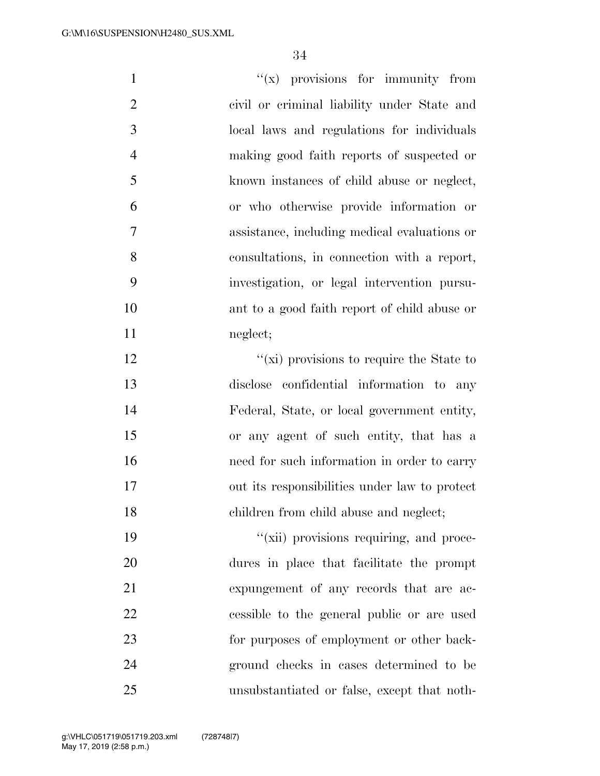| $\mathbf{1}$   | $f(x)$ provisions for immunity from          |
|----------------|----------------------------------------------|
| $\overline{2}$ | civil or criminal liability under State and  |
| 3              | local laws and regulations for individuals   |
| $\overline{4}$ | making good faith reports of suspected or    |
| 5              | known instances of child abuse or neglect,   |
| 6              | or who otherwise provide information or      |
| $\tau$         | assistance, including medical evaluations or |
| 8              | consultations, in connection with a report,  |
| 9              | investigation, or legal intervention pursu-  |
| 10             | ant to a good faith report of child abuse or |
| 11             | neglect;                                     |
| 12             | "(xi) provisions to require the State to     |
| 13             | disclose confidential information to any     |
| 14             | Federal, State, or local government entity,  |
| 15             | or any agent of such entity, that has a      |

16 need for such information in order to carry out its responsibilities under law to protect children from child abuse and neglect;

 $''(\n$ ii) provisions requiring, and proce- dures in place that facilitate the prompt expungement of any records that are ac- cessible to the general public or are used for purposes of employment or other back- ground checks in cases determined to be unsubstantiated or false, except that noth-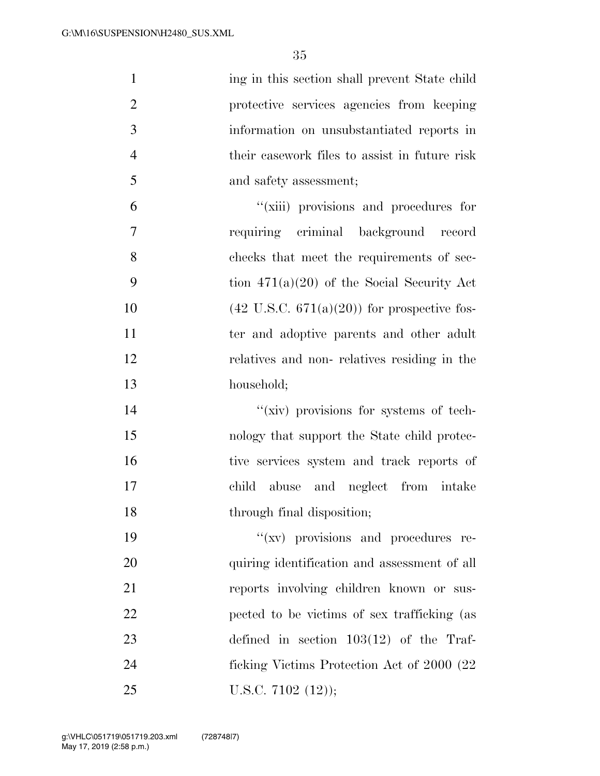| $\mathbf{1}$   | ing in this section shall prevent State child          |
|----------------|--------------------------------------------------------|
| $\overline{2}$ | protective services agencies from keeping              |
| 3              | information on unsubstantiated reports in              |
| $\overline{4}$ | their casework files to assist in future risk          |
| 5              | and safety assessment;                                 |
| 6              | "(xiii) provisions and procedures for                  |
| $\overline{7}$ | requiring criminal background record                   |
| 8              | checks that meet the requirements of sec-              |
| 9              | tion $471(a)(20)$ of the Social Security Act           |
| 10             | $(42 \text{ U.S.C. } 671(a)(20))$ for prospective fos- |
| 11             | ter and adoptive parents and other adult               |
| 12             | relatives and non-relatives residing in the            |
| 13             | household;                                             |
| 14             | "(xiv) provisions for systems of tech-                 |
| 15             | nology that support the State child protec-            |
| 16             | tive services system and track reports of              |
| 17             | abuse and neglect from intake<br>child                 |
| 18             | through final disposition;                             |
| 19             | "(xv) provisions and procedures re-                    |
| 20             | quiring identification and assessment of all           |
| 21             | reports involving children known or sus-               |
| 22             | pected to be victims of sex trafficking (as            |
| 23             | defined in section $103(12)$ of the Traf-              |
| 24             | ficking Victims Protection Act of 2000 (22             |
| 25             | U.S.C. $7102$ $(12)$ ;                                 |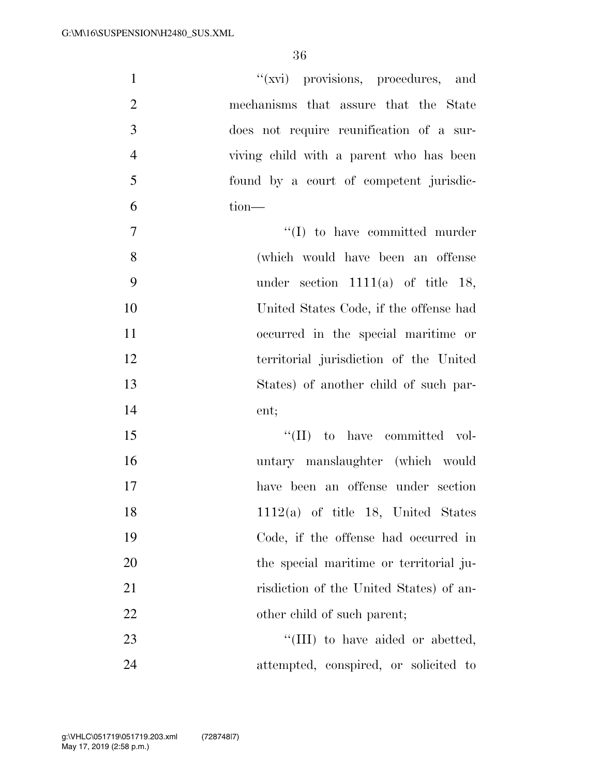| $\mathbf{1}$   | "(xvi) provisions, procedures, and       |
|----------------|------------------------------------------|
| $\overline{2}$ | mechanisms that assure that the State    |
| 3              | does not require reunification of a sur- |
| $\overline{4}$ | viving child with a parent who has been  |
| 5              | found by a court of competent jurisdic-  |
| 6              | tion-                                    |
| $\tau$         | $``(I)$ to have committed murder         |
| 8              | (which would have been an offense        |
| 9              | under section $1111(a)$ of title 18,     |
| 10             | United States Code, if the offense had   |
| 11             | occurred in the special maritime or      |
| 12             | territorial jurisdiction of the United   |
| 13             | States) of another child of such par-    |
| 14             | ent;                                     |
| 15             | $\lq\lq$ (II) to have committed vol-     |
| 16             | untary manslaughter (which would         |
| 17             | have been an offense under section       |
| 18             | $1112(a)$ of title 18, United States     |
| 19             | Code, if the offense had occurred in     |
| 20             | the special maritime or territorial ju-  |
| 21             | risdiction of the United States) of an-  |
| 22             | other child of such parent;              |
| 23             | "(III) to have aided or abetted,         |
| 24             | attempted, conspired, or solicited to    |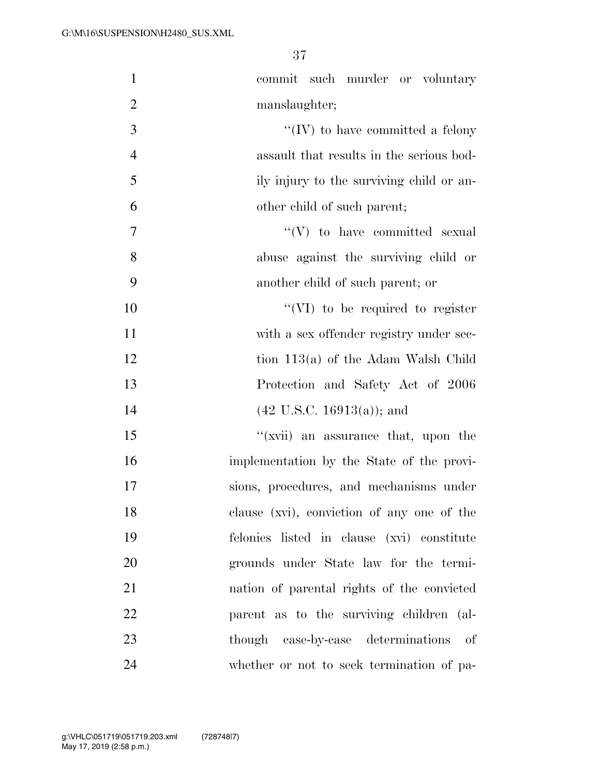| $\mathbf{1}$   | commit such murder or voluntary            |
|----------------|--------------------------------------------|
| $\overline{2}$ | manslaughter;                              |
| 3              | $\lq\lq (IV)$ to have committed a felony   |
| $\overline{4}$ | assault that results in the serious bod-   |
| 5              | ily injury to the surviving child or an-   |
| 6              | other child of such parent;                |
| $\tau$         | $\lq\lq(V)$ to have committed sexual       |
| 8              | abuse against the surviving child or       |
| 9              | another child of such parent; or           |
| 10             | $\lq\lq$ (VI) to be required to register   |
| 11             | with a sex offender registry under sec-    |
| 12             | tion $113(a)$ of the Adam Walsh Child      |
| 13             | Protection and Safety Act of 2006          |
| 14             | $(42 \text{ U.S.C. } 16913(a))$ ; and      |
| 15             | "(xvii) an assurance that, upon the        |
| 16             | implementation by the State of the provi-  |
| 17             | sions, procedures, and mechanisms under    |
| 18             | clause (xvi), conviction of any one of the |
| 19             | felonies listed in clause (xvi) constitute |
| 20             | grounds under State law for the termi-     |
| 21             | nation of parental rights of the convicted |
| 22             | parent as to the surviving children (al-   |
| 23             | though case-by-case determinations of      |
| 24             | whether or not to seek termination of pa-  |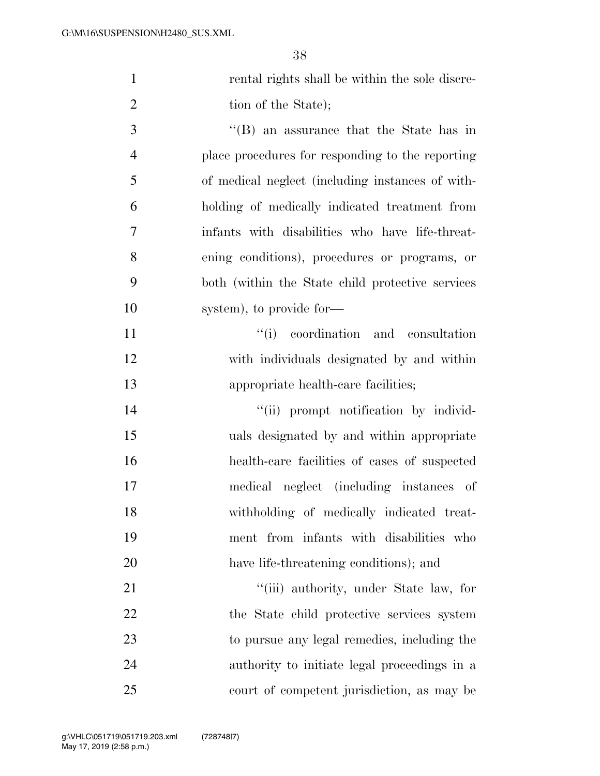| $\mathbf{1}$   | rental rights shall be within the sole discre-    |
|----------------|---------------------------------------------------|
| $\overline{2}$ | tion of the State);                               |
| 3              | $\lq\lq$ an assurance that the State has in       |
| $\overline{4}$ | place procedures for responding to the reporting  |
| 5              | of medical neglect (including instances of with-  |
| 6              | holding of medically indicated treatment from     |
| 7              | infants with disabilities who have life-threat-   |
| 8              | ening conditions), procedures or programs, or     |
| 9              | both (within the State child protective services) |
| 10             | system), to provide for-                          |
| 11             | "(i) coordination and consultation                |
| 12             | with individuals designated by and within         |
| 13             | appropriate health-care facilities;               |
| 14             | "(ii) prompt notification by individ-             |
| 15             | uals designated by and within appropriate         |
| 16             | health-care facilities of cases of suspected      |
| 17             | medical neglect (including instances of           |
| 18             | withholding of medically indicated treat-         |
| 19             | ment from infants with disabilities who           |
| 20             | have life-threatening conditions); and            |
| 21             | "(iii) authority, under State law, for            |
| 22             | the State child protective services system        |
| 23             | to pursue any legal remedies, including the       |
| 24             | authority to initiate legal proceedings in a      |
| 25             | court of competent jurisdiction, as may be        |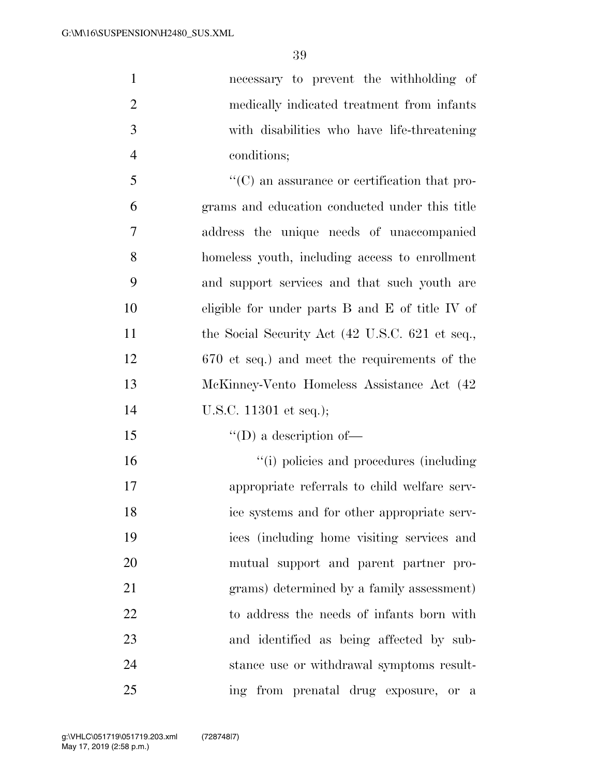necessary to prevent the withholding of medically indicated treatment from infants with disabilities who have life-threatening conditions; ''(C) an assurance or certification that pro-grams and education conducted under this title

 address the unique needs of unaccompanied homeless youth, including access to enrollment and support services and that such youth are eligible for under parts B and E of title IV of 11 the Social Security Act (42 U.S.C. 621 et seq., 670 et seq.) and meet the requirements of the McKinney-Vento Homeless Assistance Act (42 U.S.C. 11301 et seq.);

15  $\text{``(D) a description of}$ 

 $\frac{1}{10}$  policies and procedures (including appropriate referrals to child welfare serv- ice systems and for other appropriate serv- ices (including home visiting services and mutual support and parent partner pro- grams) determined by a family assessment) to address the needs of infants born with and identified as being affected by sub- stance use or withdrawal symptoms result-ing from prenatal drug exposure, or a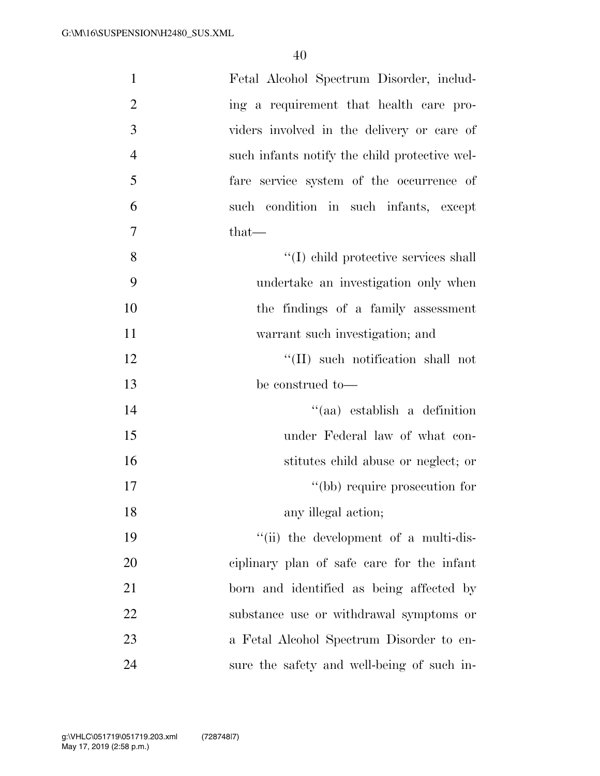| $\mathbf{1}$   | Fetal Alcohol Spectrum Disorder, includ-      |
|----------------|-----------------------------------------------|
| $\overline{2}$ | ing a requirement that health care pro-       |
| 3              | viders involved in the delivery or care of    |
| $\overline{4}$ | such infants notify the child protective wel- |
| 5              | fare service system of the occurrence of      |
| 6              | such condition in such infants, except        |
| 7              | that—                                         |
| 8              | "(I) child protective services shall          |
| 9              | undertake an investigation only when          |
| 10             | the findings of a family assessment           |
| 11             | warrant such investigation; and               |
| 12             | "(II) such notification shall not             |
| 13             | be construed to-                              |
| 14             | "(aa) establish a definition                  |
| 15             | under Federal law of what con-                |
| 16             | stitutes child abuse or neglect; or           |
| 17             | "(bb) require prosecution for                 |
| 18             | any illegal action;                           |
| 19             | "(ii) the development of a multi-dis-         |
| 20             | ciplinary plan of safe care for the infant    |
| 21             | born and identified as being affected by      |
| 22             | substance use or withdrawal symptoms or       |
| 23             | a Fetal Alcohol Spectrum Disorder to en-      |
| 24             | sure the safety and well-being of such in-    |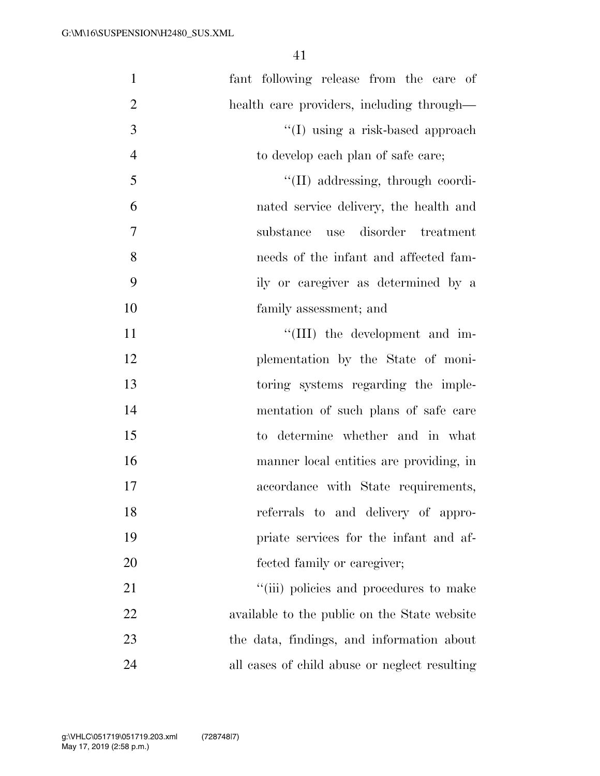| $\mathbf{1}$   | fant following release from the care of       |
|----------------|-----------------------------------------------|
| $\overline{2}$ | health care providers, including through—     |
| 3              | "(I) using a risk-based approach              |
| $\overline{4}$ | to develop each plan of safe care;            |
| 5              | "(II) addressing, through coordi-             |
| 6              | nated service delivery, the health and        |
| $\overline{7}$ | disorder treatment<br>substance<br>use        |
| 8              | needs of the infant and affected fam-         |
| 9              | ily or caregiver as determined by a           |
| 10             | family assessment; and                        |
| 11             | "(III) the development and im-                |
| 12             | plementation by the State of moni-            |
| 13             | toring systems regarding the imple-           |
| 14             | mentation of such plans of safe care          |
| 15             | to determine whether and in what              |
| 16             | manner local entities are providing, in       |
| 17             | accordance with State requirements,           |
| 18             | referrals to and delivery of appro-           |
| 19             | priate services for the infant and af-        |
| 20             | fected family or caregiver;                   |
| 21             | "(iii) policies and procedures to make        |
| 22             | available to the public on the State website  |
| 23             | the data, findings, and information about     |
| 24             | all cases of child abuse or neglect resulting |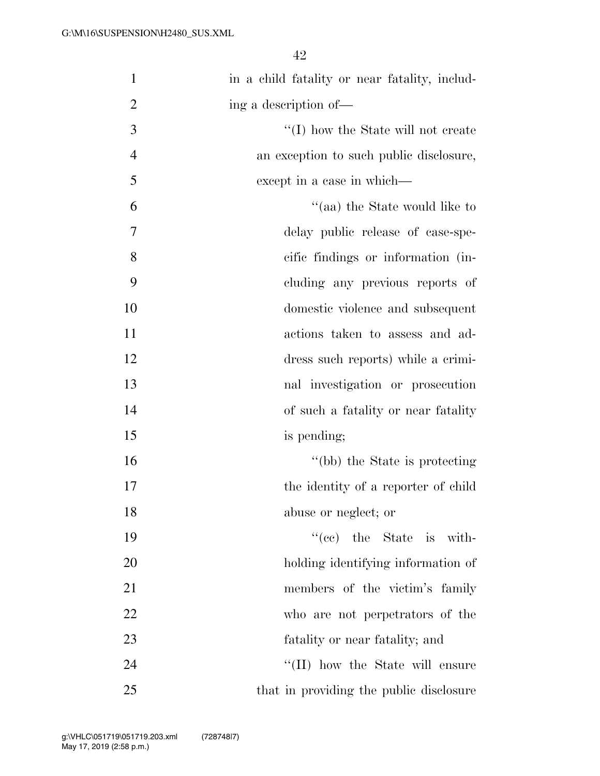| $\mathbf{1}$   | in a child fatality or near fatality, includ- |
|----------------|-----------------------------------------------|
| $\overline{2}$ | ing a description of—                         |
| 3              | $\lq\lq$ (I) how the State will not create    |
| $\overline{4}$ | an exception to such public disclosure,       |
| 5              | except in a case in which—                    |
| 6              | "(aa) the State would like to                 |
| 7              | delay public release of case-spe-             |
| 8              | cific findings or information (in-            |
| 9              | cluding any previous reports of               |
| 10             | domestic violence and subsequent              |
| 11             | actions taken to assess and ad-               |
| 12             | dress such reports) while a crimi-            |
| 13             | nal investigation or prosecution              |
| 14             | of such a fatality or near fatality           |
| 15             | is pending;                                   |
| 16             | "(bb) the State is protecting                 |
| 17             | the identity of a reporter of child           |
| 18             | abuse or neglect; or                          |
| 19             | $f'(ce)$ the State is with-                   |
| 20             | holding identifying information of            |
| 21             | members of the victim's family                |
| 22             | who are not perpetrators of the               |
| 23             | fatality or near fatality; and                |
| 24             | "(II) how the State will ensure               |
| 25             | that in providing the public disclosure       |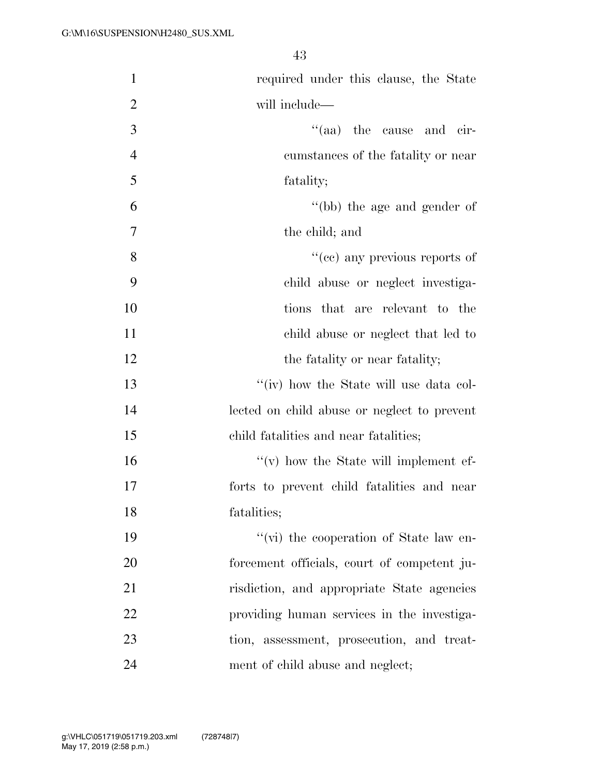| $\mathbf{1}$   | required under this clause, the State       |
|----------------|---------------------------------------------|
| $\overline{2}$ | will include—                               |
| 3              | "(aa) the cause and cir-                    |
| $\overline{4}$ | cumstances of the fatality or near          |
| 5              | fatality;                                   |
| 6              | "(bb) the age and gender of                 |
| 7              | the child; and                              |
| 8              | "(cc) any previous reports of               |
| 9              | child abuse or neglect investiga-           |
| 10             | tions that are relevant to the              |
| 11             | child abuse or neglect that led to          |
| 12             | the fatality or near fatality;              |
| 13             | "(iv) how the State will use data col-      |
| 14             | lected on child abuse or neglect to prevent |
| 15             | child fatalities and near fatalities;       |
| 16             | $f'(v)$ how the State will implement ef-    |
| 17             | forts to prevent child fatalities and near  |
| 18             | fatalities;                                 |
| 19             | "(vi) the cooperation of State law en-      |
| 20             | forcement officials, court of competent ju- |
| 21             | risdiction, and appropriate State agencies  |
| 22             | providing human services in the investiga-  |
| 23             | tion, assessment, prosecution, and treat-   |
| 24             | ment of child abuse and neglect;            |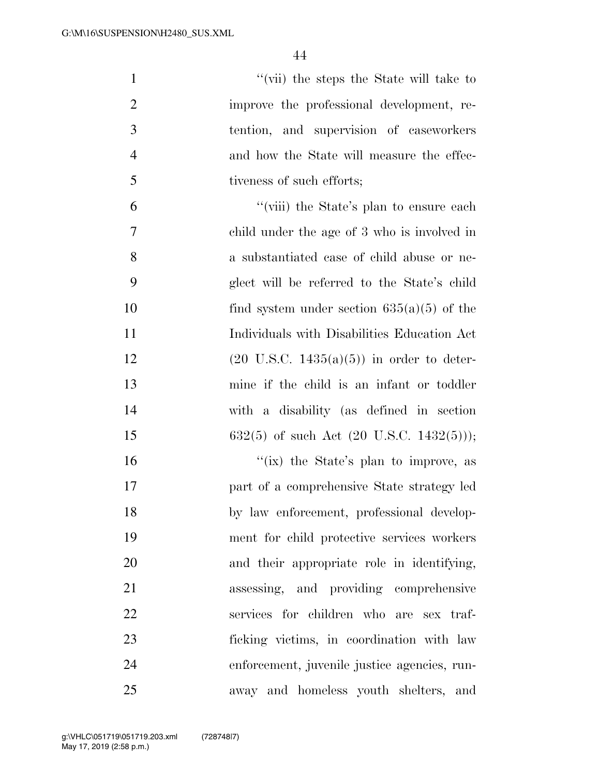''(vii) the steps the State will take to improve the professional development, re- tention, and supervision of caseworkers and how the State will measure the effec- tiveness of such efforts; ''(viii) the State's plan to ensure each child under the age of 3 who is involved in a substantiated case of child abuse or ne- glect will be referred to the State's child 10 find system under section  $635(a)(5)$  of the Individuals with Disabilities Education Act 12 (20 U.S.C.  $1435(a)(5)$ ) in order to deter- mine if the child is an infant or toddler with a disability (as defined in section 15 632(5) of such Act  $(20 \text{ U.S.C. } 1432(5))$ ; 16 ''(ix) the State's plan to improve, as part of a comprehensive State strategy led by law enforcement, professional develop- ment for child protective services workers and their appropriate role in identifying, assessing, and providing comprehensive services for children who are sex traf- ficking victims, in coordination with law enforcement, juvenile justice agencies, run-away and homeless youth shelters, and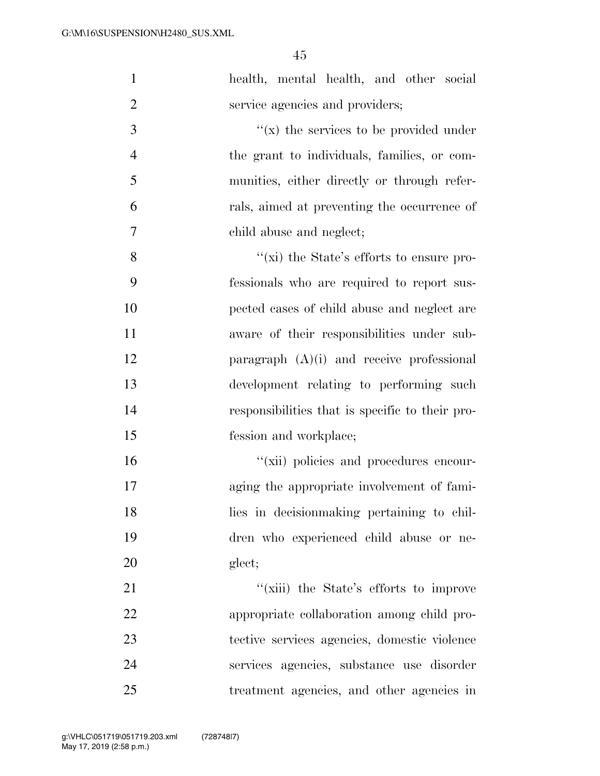| $\mathbf{1}$   | health, mental health, and other social         |
|----------------|-------------------------------------------------|
| $\overline{2}$ | service agencies and providers;                 |
| 3              | $f(x)$ the services to be provided under        |
| $\overline{4}$ | the grant to individuals, families, or com-     |
| 5              | munities, either directly or through refer-     |
| 6              | rals, aimed at preventing the occurrence of     |
| 7              | child abuse and neglect;                        |
| 8              | " $(xi)$ the State's efforts to ensure pro-     |
| 9              | fessionals who are required to report sus-      |
| 10             | pected cases of child abuse and neglect are     |
| 11             | aware of their responsibilities under sub-      |
| 12             | paragraph $(A)(i)$ and receive professional     |
| 13             | development relating to performing such         |
| 14             | responsibilities that is specific to their pro- |
| 15             | fession and workplace;                          |
| 16             | "(xii) policies and procedures encour-          |
| 17             | aging the appropriate involvement of fami-      |
| 18             | lies in decision making pertaining to chil-     |
| 19             | dren who experienced child abuse or ne-         |
| 20             | glect;                                          |
| 21             | "(xiii) the State's efforts to improve          |
| 22             | appropriate collaboration among child pro-      |
| 23             | tective services agencies, domestic violence    |
| 24             | services agencies, substance use disorder       |
| 25             | treatment agencies, and other agencies in       |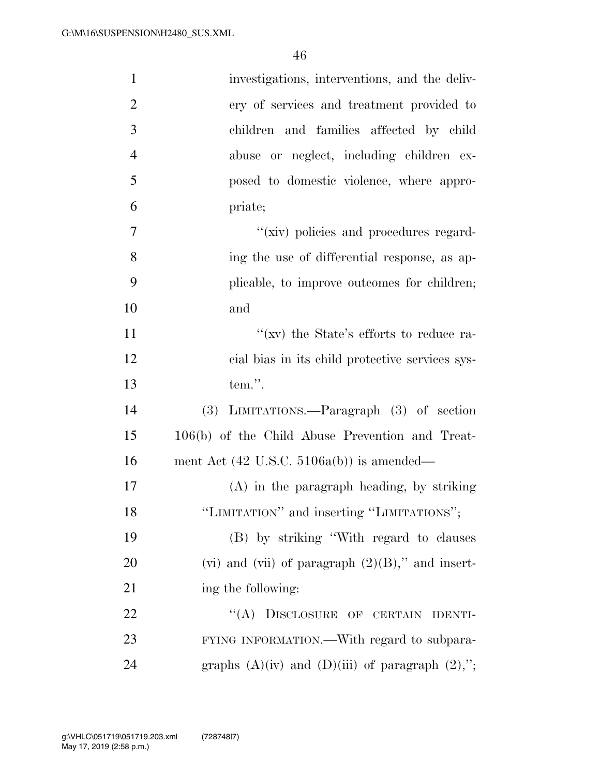| $\mathbf{1}$   | investigations, interventions, and the deliv-          |
|----------------|--------------------------------------------------------|
| $\overline{2}$ | ery of services and treatment provided to              |
| 3              | children and families affected by child                |
| $\overline{4}$ | abuse or neglect, including children ex-               |
| 5              | posed to domestic violence, where appro-               |
| 6              | priate;                                                |
| 7              | "(xiv) policies and procedures regard-                 |
| 8              | ing the use of differential response, as ap-           |
| 9              | plicable, to improve outcomes for children;            |
| 10             | and                                                    |
| 11             | "(xv) the State's efforts to reduce ra-                |
| 12             | cial bias in its child protective services sys-        |
| 13             | tem.".                                                 |
| 14             | $(3)$ LIMITATIONS.—Paragraph $(3)$ of section          |
| 15             | 106(b) of the Child Abuse Prevention and Treat-        |
| 16             | ment Act $(42 \text{ U.S.C. } 5106a(b))$ is amended—   |
| 17             | $(A)$ in the paragraph heading, by striking            |
| 18             | "LIMITATION" and inserting "LIMITATIONS";              |
| 19             | (B) by striking "With regard to clauses                |
| 20             | (vi) and (vii) of paragraph $(2)(B)$ ," and insert-    |
| 21             | ing the following:                                     |
| 22             | "(A) DISCLOSURE OF CERTAIN IDENTI-                     |
| 23             | FYING INFORMATION.—With regard to subpara-             |
| 24             | graphs $(A)(iv)$ and $(D)(iii)$ of paragraph $(2),$ "; |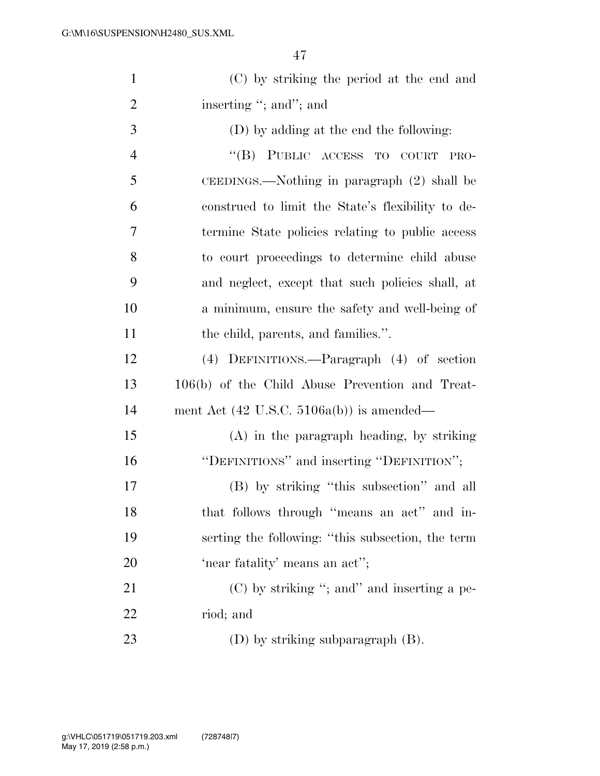| $\mathbf{1}$   | (C) by striking the period at the end and            |
|----------------|------------------------------------------------------|
| $\overline{2}$ | inserting "; and"; and                               |
| 3              | (D) by adding at the end the following:              |
| $\overline{4}$ | "(B) PUBLIC ACCESS TO COURT<br>PRO-                  |
| 5              | CEEDINGS.—Nothing in paragraph (2) shall be          |
| 6              | construed to limit the State's flexibility to de-    |
| 7              | termine State policies relating to public access     |
| 8              | to court proceedings to determine child abuse        |
| 9              | and neglect, except that such policies shall, at     |
| 10             | a minimum, ensure the safety and well-being of       |
| 11             | the child, parents, and families.".                  |
| 12             | (4) DEFINITIONS.—Paragraph (4) of section            |
| 13             | 106(b) of the Child Abuse Prevention and Treat-      |
| 14             | ment Act $(42 \text{ U.S.C. } 5106a(b))$ is amended— |
| 15             | (A) in the paragraph heading, by striking            |
| 16             | "DEFINITIONS" and inserting "DEFINITION";            |
| 17             | (B) by striking "this subsection" and all            |
| 18             | that follows through "means an act" and in-          |
| 19             | serting the following: "this subsection, the term    |
| 20             | 'near fatality' means an act'';                      |
| 21             | $(C)$ by striking "; and inserting a pe-             |
| 22             | riod; and                                            |
| 23             | (D) by striking subparagraph $(B)$ .                 |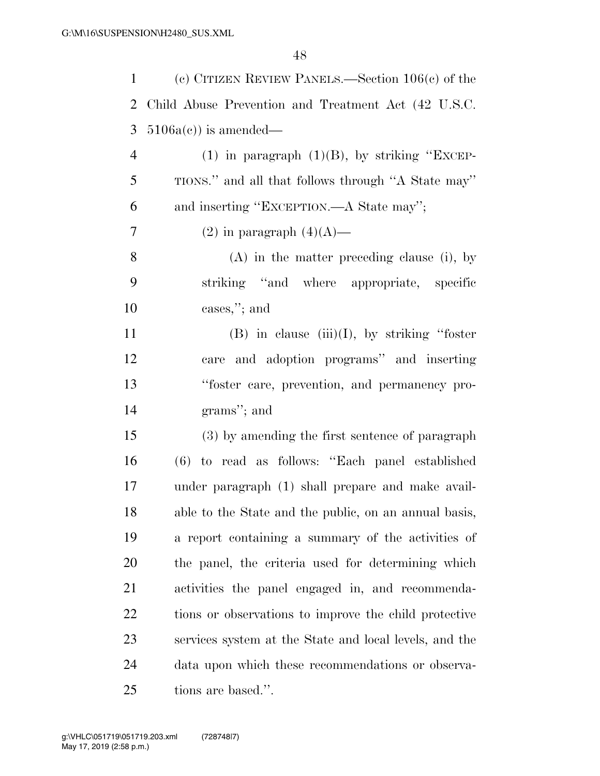| $\mathbf{1}$ | (c) CITIZEN REVIEW PANELS.—Section $106(c)$ of the     |
|--------------|--------------------------------------------------------|
| 2            | Child Abuse Prevention and Treatment Act (42 U.S.C.    |
| 3            | $5106a(c)$ is amended—                                 |
| 4            | (1) in paragraph $(1)(B)$ , by striking "EXCEP-        |
| 5            | TIONS." and all that follows through "A State may"     |
| 6            | and inserting "EXCEPTION.—A State may";                |
| 7            | $(2)$ in paragraph $(4)(A)$ —                          |
| 8            | $(A)$ in the matter preceding clause (i), by           |
| 9            | striking "and where appropriate, specific              |
| 10           | cases,"; and                                           |
| 11           | $(B)$ in clause $(iii)(I)$ , by striking "foster"      |
| 12           | care and adoption programs" and inserting              |
| 13           | "foster care, prevention, and permanency pro-          |
| 14           | grams"; and                                            |
| 15           | (3) by amending the first sentence of paragraph        |
| 16           | (6) to read as follows: "Each panel established        |
| 17           | under paragraph (1) shall prepare and make avail-      |
| 18           | able to the State and the public, on an annual basis,  |
| 19           | a report containing a summary of the activities of     |
| 20           | the panel, the criteria used for determining which     |
| 21           | activities the panel engaged in, and recommenda-       |
| 22           | tions or observations to improve the child protective  |
| 23           | services system at the State and local levels, and the |
| 24           | data upon which these recommendations or observa-      |
| 25           | tions are based.".                                     |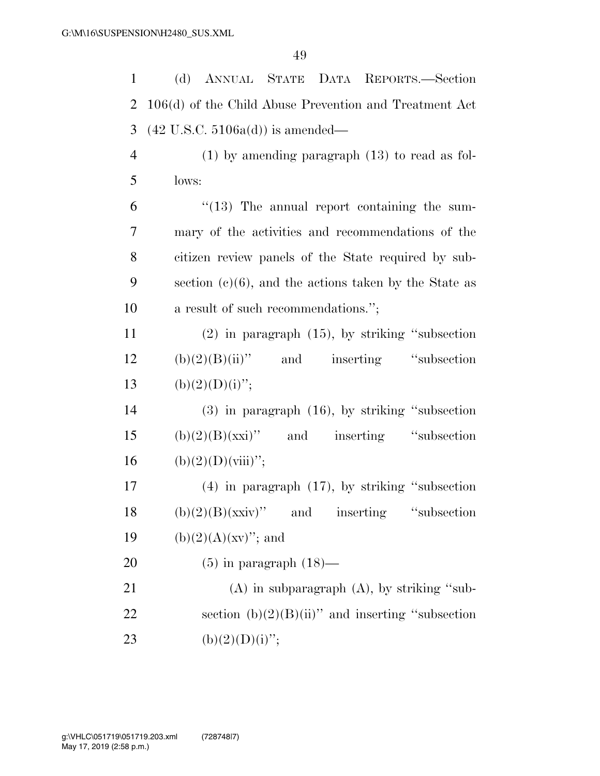(d) ANNUAL STATE DATA REPORTS.—Section 106(d) of the Child Abuse Prevention and Treatment Act (42 U.S.C. 5106a(d)) is amended— (1) by amending paragraph (13) to read as fol-5 lows: "(13) The annual report containing the sum- mary of the activities and recommendations of the citizen review panels of the State required by sub- section (c)(6), and the actions taken by the State as 10 a result of such recommendations."; (2) in paragraph (15), by striking ''subsection (b) $(2)(B)(ii)$ " and inserting "subsection" 13 (b)(2)(D)(i)"; (3) in paragraph (16), by striking ''subsection (b) $(2)(B)(xxi)$ " and inserting "subsection" 16 (b)(2)(D)(viii)"; (4) in paragraph (17), by striking ''subsection (b)(2)(B)(xxiv)'' and inserting "subsection 19 (b)(2)(A)(xv)''; and  $(5)$  in paragraph  $(18)$ — 21 (A) in subparagraph (A), by striking "sub-22 section  $(b)(2)(B)(ii)$ " and inserting "subsection 23 (b)(2)(D)(i)";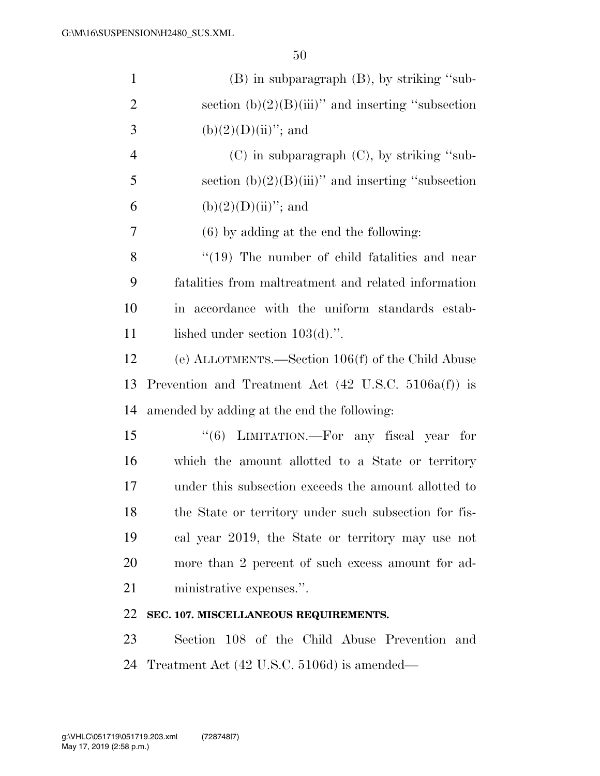| $\mathbf{1}$   | $(B)$ in subparagraph $(B)$ , by striking "sub-                     |
|----------------|---------------------------------------------------------------------|
| $\overline{2}$ | section $(b)(2)(B)(iii)$ " and inserting "subsection                |
| 3              | $(b)(2)(D)(ii)$ "; and                                              |
| $\overline{4}$ | $(C)$ in subparagraph $(C)$ , by striking "sub-                     |
| 5              | section $(b)(2)(B)(iii)$ and inserting "subsection"                 |
| 6              | $(b)(2)(D)(ii)$ "; and                                              |
| 7              | $(6)$ by adding at the end the following:                           |
| 8              | $\cdot$ (19) The number of child fatalities and near                |
| 9              | fatalities from maltreatment and related information                |
| 10             | accordance with the uniform standards estab-<br>$\operatorname{in}$ |
| 11             | lished under section $103(d)$ .".                                   |
| 12             | (e) ALLOTMENTS.—Section $106(f)$ of the Child Abuse                 |
| 13             | Prevention and Treatment Act $(42 \text{ U.S.C. } 5106a(f))$ is     |
| 14             | amended by adding at the end the following:                         |
| 15             | "(6) LIMITATION.—For any fiscal year for                            |
| 16             | which the amount allotted to a State or territory                   |
| 17             | under this subsection exceeds the amount allotted to                |
| 18             | the State or territory under such subsection for fis-               |
| 19             | cal year 2019, the State or territory may use not                   |
| 20             | more than 2 percent of such excess amount for ad-                   |
| 21             | ministrative expenses.".                                            |
| 22             | SEC. 107. MISCELLANEOUS REQUIREMENTS.                               |
| 23             | Section 108 of the Child Abuse Prevention and                       |

Treatment Act (42 U.S.C. 5106d) is amended—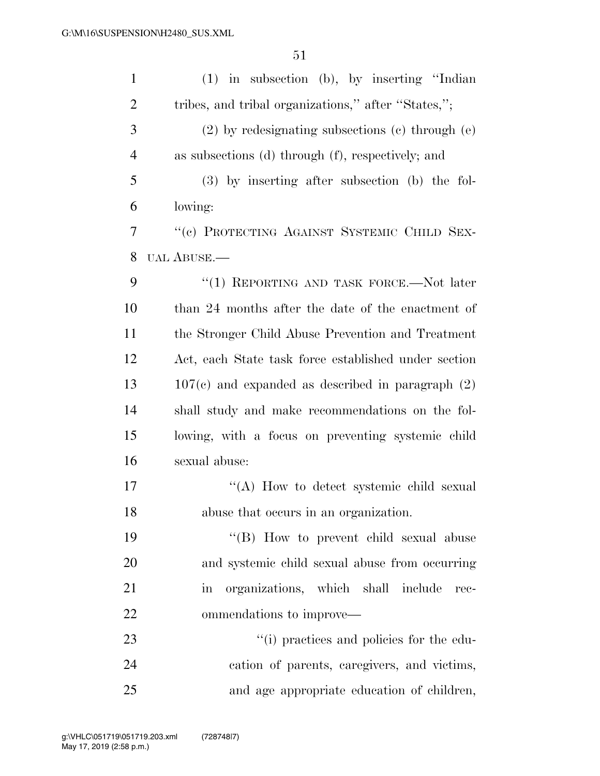| $\mathbf{1}$   | $(1)$ in subsection (b), by inserting "Indian                     |
|----------------|-------------------------------------------------------------------|
| $\overline{2}$ | tribes, and tribal organizations," after "States,";               |
| 3              | $(2)$ by redesignating subsections $(e)$ through $(e)$            |
| $\overline{4}$ | as subsections (d) through (f), respectively; and                 |
| 5              | $(3)$ by inserting after subsection (b) the fol-                  |
| 6              | lowing:                                                           |
| 7              | "(c) PROTECTING AGAINST SYSTEMIC CHILD SEX-                       |
| 8              | UAL ABUSE.—                                                       |
| 9              | "(1) REPORTING AND TASK FORCE.—Not later                          |
| 10             | than 24 months after the date of the enactment of                 |
| 11             | the Stronger Child Abuse Prevention and Treatment                 |
| 12             | Act, each State task force established under section              |
| 13             | $107(c)$ and expanded as described in paragraph $(2)$             |
| 14             | shall study and make recommendations on the fol-                  |
| 15             | lowing, with a focus on preventing systemic child                 |
| 16             | sexual abuse:                                                     |
| 17             | "(A) How to detect systemic child sexual                          |
| 18             | abuse that occurs in an organization.                             |
| 19             | "(B) How to prevent child sexual abuse                            |
| 20             | and systemic child sexual abuse from occurring                    |
| 21             | organizations, which shall include<br>$\operatorname{in}$<br>rec- |
| 22             | ommendations to improve—                                          |
| 23             | "(i) practices and policies for the edu-                          |
| 24             | cation of parents, caregivers, and victims,                       |
| 25             | and age appropriate education of children,                        |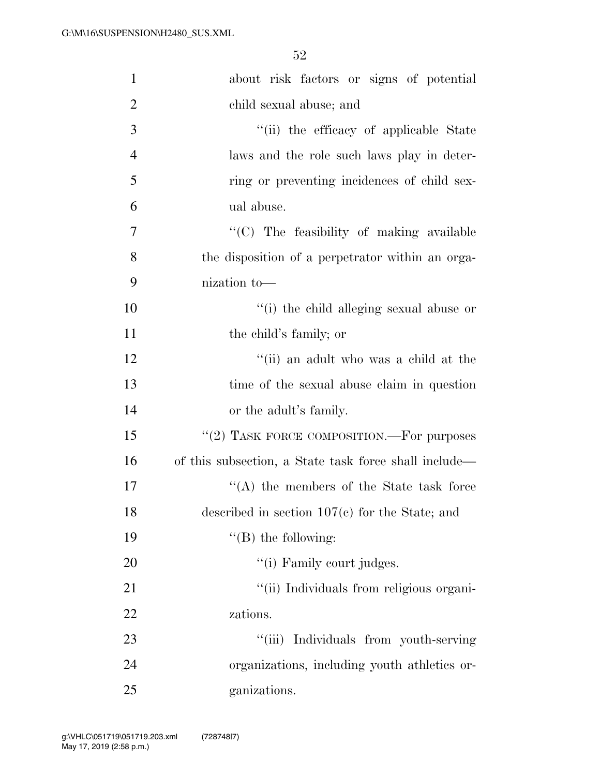| $\mathbf{1}$   | about risk factors or signs of potential              |
|----------------|-------------------------------------------------------|
| $\overline{2}$ | child sexual abuse; and                               |
| 3              | "(ii) the efficacy of applicable State                |
| $\overline{4}$ | laws and the role such laws play in deter-            |
| 5              | ring or preventing incidences of child sex-           |
| 6              | ual abuse.                                            |
| 7              | "(C) The feasibility of making available              |
| 8              | the disposition of a perpetrator within an orga-      |
| 9              | nization to-                                          |
| 10             | "(i) the child alleging sexual abuse or               |
| 11             | the child's family; or                                |
| 12             | "(ii) an adult who was a child at the                 |
| 13             | time of the sexual abuse claim in question            |
| 14             | or the adult's family.                                |
| 15             | "(2) TASK FORCE COMPOSITION.—For purposes             |
| 16             | of this subsection, a State task force shall include— |
| 17             | $\lq\lq$ the members of the State task force          |
| 18             | described in section $107(c)$ for the State; and      |
| 19             | $\lq\lq$ (B) the following:                           |
| 20             | "(i) Family court judges.                             |
| 21             | "(ii) Individuals from religious organi-              |
| 22             | zations.                                              |
| 23             | ``(iii)<br>Individuals from youth-serving             |
| 24             | organizations, including youth athletics or-          |
| 25             | ganizations.                                          |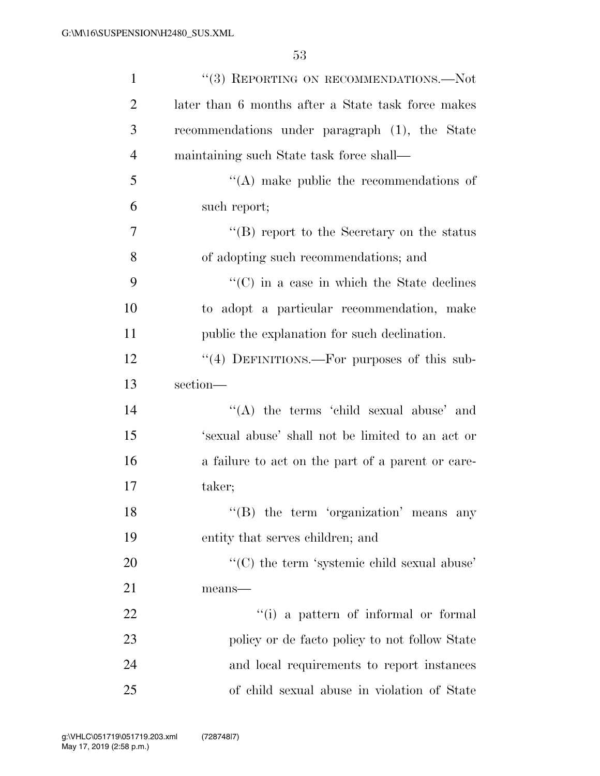| $\mathbf{1}$   | "(3) REPORTING ON RECOMMENDATIONS.-Not              |
|----------------|-----------------------------------------------------|
| $\overline{2}$ | later than 6 months after a State task force makes  |
| 3              | recommendations under paragraph (1), the State      |
| $\overline{4}$ | maintaining such State task force shall—            |
| 5              | $\lq\lq$ make public the recommendations of         |
| 6              | such report;                                        |
| 7              | $\lq\lq (B)$ report to the Secretary on the status  |
| 8              | of adopting such recommendations; and               |
| 9              | $\lq\lq$ (C) in a case in which the State declines  |
| 10             | to adopt a particular recommendation, make          |
| 11             | public the explanation for such declination.        |
| 12             | "(4) DEFINITIONS.—For purposes of this sub-         |
| 13             | section-                                            |
| 14             | "(A) the terms 'child sexual abuse' and             |
| 15             | 'sexual abuse' shall not be limited to an act or    |
| 16             | a failure to act on the part of a parent or care-   |
| 17             | taker;                                              |
| 18             | $\lq\lq$ (B) the term 'organization' means any      |
| 19             | entity that serves children; and                    |
| 20             | $\lq\lq$ (C) the term 'systemic child sexual abuse' |
| 21             | means-                                              |
| 22             | "(i) a pattern of informal or formal                |
| 23             | policy or de facto policy to not follow State       |
| 24             | and local requirements to report instances          |
| 25             | of child sexual abuse in violation of State         |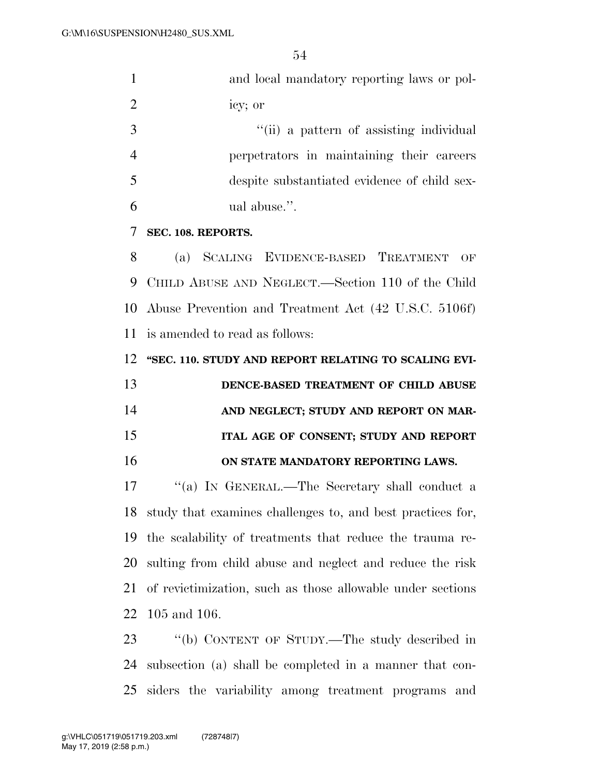|   | and local mandatory reporting laws or pol-   |
|---|----------------------------------------------|
| 2 | icy; or                                      |
| 3 | "(ii) a pattern of assisting individual      |
|   | perpetrators in maintaining their careers    |
| 5 | despite substantiated evidence of child sex- |
| 6 | ual abuse.".                                 |
|   | SEC. 108. REPORTS.                           |
|   |                                              |

 (a) SCALING EVIDENCE-BASED TREATMENT OF CHILD ABUSE AND NEGLECT.—Section 110 of the Child Abuse Prevention and Treatment Act (42 U.S.C. 5106f) is amended to read as follows:

**''SEC. 110. STUDY AND REPORT RELATING TO SCALING EVI-**

| 13 | DENCE-BASED TREATMENT OF CHILD ABUSE  |
|----|---------------------------------------|
| 14 | AND NEGLECT; STUDY AND REPORT ON MAR- |
| 15 | ITAL AGE OF CONSENT; STUDY AND REPORT |
| 16 | ON STATE MANDATORY REPORTING LAWS.    |

17 "(a) IN GENERAL.—The Secretary shall conduct a study that examines challenges to, and best practices for, the scalability of treatments that reduce the trauma re- sulting from child abuse and neglect and reduce the risk of revictimization, such as those allowable under sections 105 and 106.

 ''(b) CONTENT OF STUDY.—The study described in subsection (a) shall be completed in a manner that con-siders the variability among treatment programs and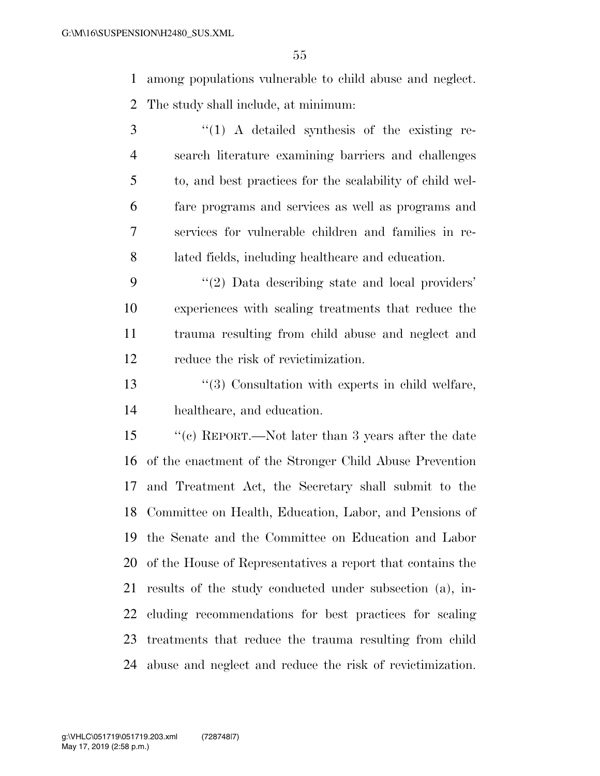among populations vulnerable to child abuse and neglect.

The study shall include, at minimum:

 ''(1) A detailed synthesis of the existing re- search literature examining barriers and challenges to, and best practices for the scalability of child wel- fare programs and services as well as programs and services for vulnerable children and families in re-lated fields, including healthcare and education.

9 "(2) Data describing state and local providers' experiences with scaling treatments that reduce the trauma resulting from child abuse and neglect and reduce the risk of revictimization.

13 ''(3) Consultation with experts in child welfare, healthcare, and education.

 ''(c) REPORT.—Not later than 3 years after the date of the enactment of the Stronger Child Abuse Prevention and Treatment Act, the Secretary shall submit to the Committee on Health, Education, Labor, and Pensions of the Senate and the Committee on Education and Labor of the House of Representatives a report that contains the results of the study conducted under subsection (a), in- cluding recommendations for best practices for scaling treatments that reduce the trauma resulting from child abuse and neglect and reduce the risk of revictimization.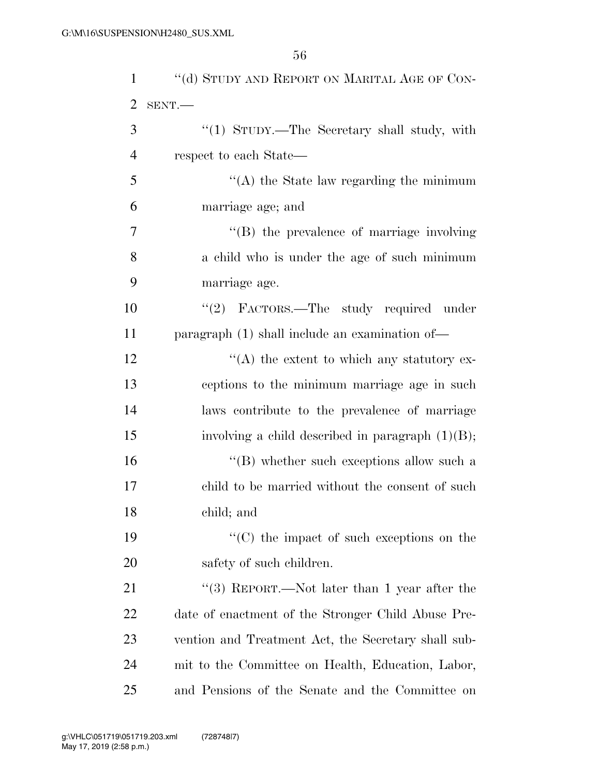| $\mathbf{1}$   | "(d) STUDY AND REPORT ON MARITAL AGE OF CON-        |
|----------------|-----------------------------------------------------|
| $\overline{2}$ | $SENT$ .                                            |
| 3              | "(1) STUDY.—The Secretary shall study, with         |
| $\overline{4}$ | respect to each State—                              |
| 5              | $\cdot$ (A) the State law regarding the minimum     |
| 6              | marriage age; and                                   |
| 7              | "(B) the prevalence of marriage involving           |
| 8              | a child who is under the age of such minimum        |
| 9              | marriage age.                                       |
| 10             | "(2) FACTORS.—The study required under              |
| 11             | paragraph $(1)$ shall include an examination of —   |
| 12             | $\lq (A)$ the extent to which any statutory ex-     |
| 13             | ceptions to the minimum marriage age in such        |
| 14             | laws contribute to the prevalence of marriage       |
| 15             | involving a child described in paragraph $(1)(B)$ ; |
| 16             | $\lq\lq (B)$ whether such exceptions allow such a   |
| 17             | child to be married without the consent of such     |
| 18             | child; and                                          |
| 19             | "(C) the impact of such exceptions on the           |
| 20             | safety of such children.                            |
| 21             | "(3) REPORT.—Not later than 1 year after the        |
| 22             | date of enactment of the Stronger Child Abuse Pre-  |
| 23             | vention and Treatment Act, the Secretary shall sub- |
| 24             | mit to the Committee on Health, Education, Labor,   |
| 25             | and Pensions of the Senate and the Committee on     |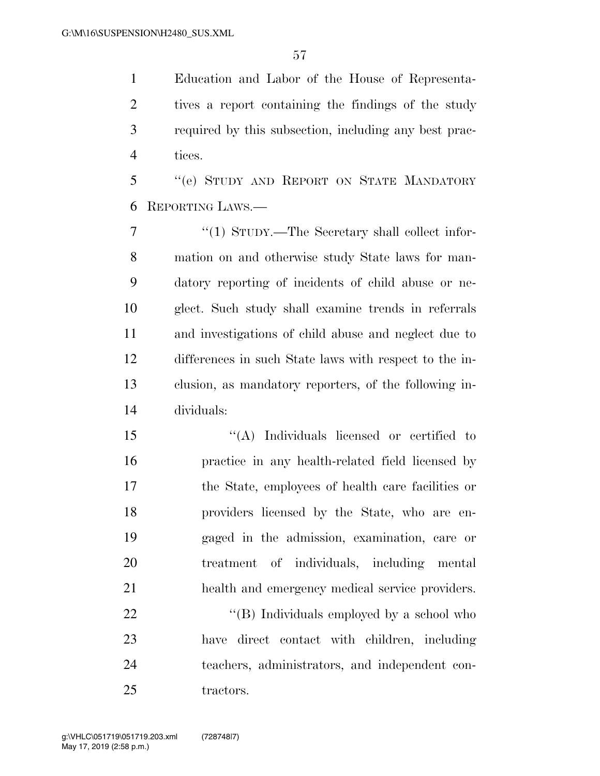Education and Labor of the House of Representa- tives a report containing the findings of the study required by this subsection, including any best prac-tices.

 ''(e) STUDY AND REPORT ON STATE MANDATORY REPORTING LAWS.—

7 "(1) STUDY.—The Secretary shall collect infor- mation on and otherwise study State laws for man- datory reporting of incidents of child abuse or ne- glect. Such study shall examine trends in referrals and investigations of child abuse and neglect due to differences in such State laws with respect to the in- clusion, as mandatory reporters, of the following in-dividuals:

15 "(A) Individuals licensed or certified to practice in any health-related field licensed by the State, employees of health care facilities or providers licensed by the State, who are en- gaged in the admission, examination, care or treatment of individuals, including mental health and emergency medical service providers.

22 "'(B) Individuals employed by a school who have direct contact with children, including teachers, administrators, and independent con-25 tractors.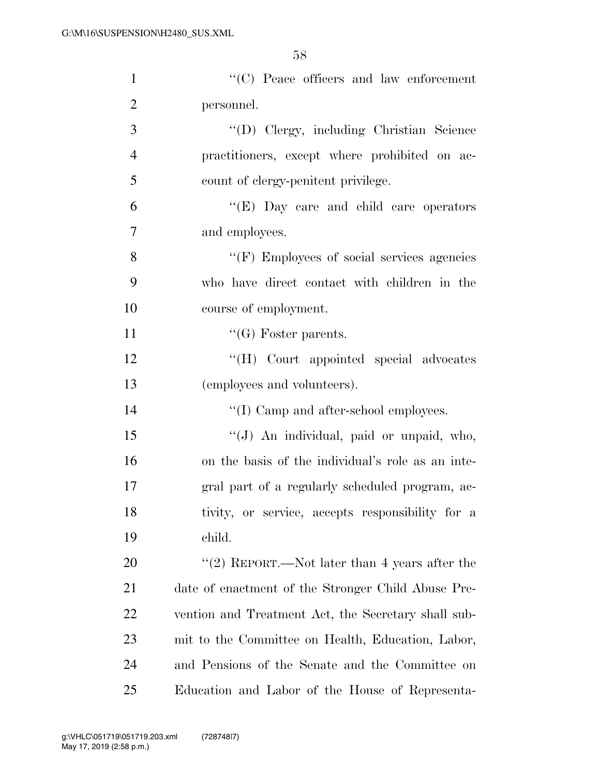| $\mathbf{1}$   | $\lq\lq$ (C) Peace officers and law enforcement     |
|----------------|-----------------------------------------------------|
| $\overline{2}$ | personnel.                                          |
| 3              | "(D) Clergy, including Christian Science            |
| $\overline{4}$ | practitioners, except where prohibited on ac-       |
| 5              | count of clergy-penitent privilege.                 |
| 6              | " $(E)$ Day care and child care operators"          |
| 7              | and employees.                                      |
| 8              | $\lq\lq(F)$ Employees of social services agencies   |
| 9              | who have direct contact with children in the        |
| 10             | course of employment.                               |
| 11             | $\lq\lq(G)$ Foster parents.                         |
| 12             | "(H) Court appointed special advocates              |
| 13             | (employees and volunteers).                         |
| 14             | "(I) Camp and after-school employees.               |
| 15             | "(J) An individual, paid or unpaid, who,            |
| 16             | on the basis of the individual's role as an inte-   |
| 17             | gral part of a regularly scheduled program, ac-     |
| 18             | tivity, or service, accepts responsibility for a    |
| 19             | child.                                              |
| 20             | "(2) REPORT.—Not later than 4 years after the       |
| 21             | date of enactment of the Stronger Child Abuse Pre-  |
| 22             | vention and Treatment Act, the Secretary shall sub- |
| 23             | mit to the Committee on Health, Education, Labor,   |
| 24             | and Pensions of the Senate and the Committee on     |
| 25             | Education and Labor of the House of Representa-     |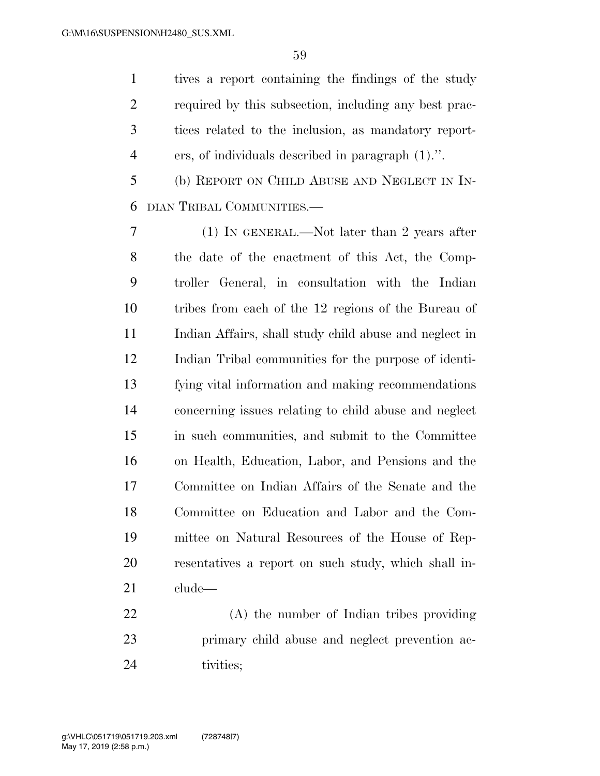tives a report containing the findings of the study required by this subsection, including any best prac- tices related to the inclusion, as mandatory report-ers, of individuals described in paragraph (1).''.

 (b) REPORT ON CHILD ABUSE AND NEGLECT IN IN-DIAN TRIBAL COMMUNITIES.—

 (1) IN GENERAL.—Not later than 2 years after the date of the enactment of this Act, the Comp- troller General, in consultation with the Indian tribes from each of the 12 regions of the Bureau of Indian Affairs, shall study child abuse and neglect in Indian Tribal communities for the purpose of identi- fying vital information and making recommendations concerning issues relating to child abuse and neglect in such communities, and submit to the Committee on Health, Education, Labor, and Pensions and the Committee on Indian Affairs of the Senate and the Committee on Education and Labor and the Com- mittee on Natural Resources of the House of Rep- resentatives a report on such study, which shall in-clude—

 (A) the number of Indian tribes providing primary child abuse and neglect prevention ac-tivities;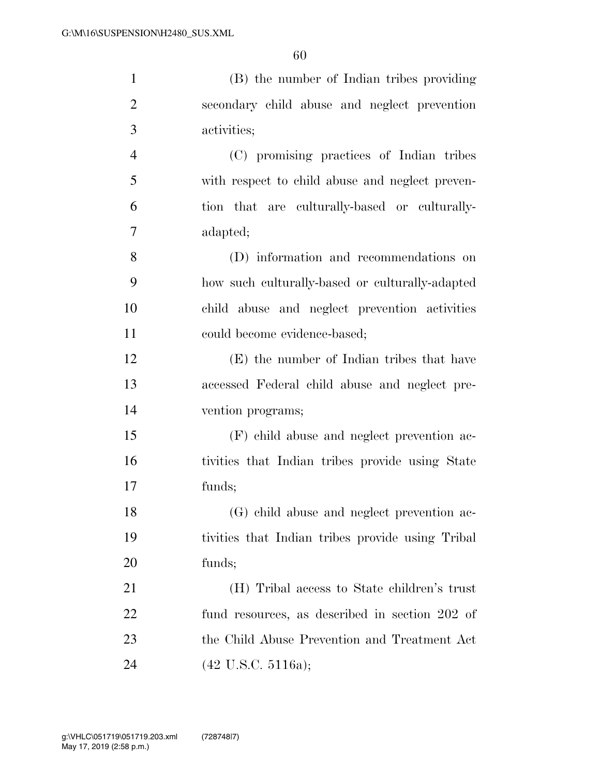| $\mathbf{1}$   | (B) the number of Indian tribes providing        |
|----------------|--------------------------------------------------|
| $\overline{2}$ | secondary child abuse and neglect prevention     |
| 3              | activities;                                      |
| $\overline{4}$ | (C) promising practices of Indian tribes         |
| 5              | with respect to child abuse and neglect preven-  |
| 6              | tion that are culturally-based or culturally-    |
| 7              | adapted;                                         |
| 8              | (D) information and recommendations on           |
| 9              | how such culturally-based or culturally-adapted  |
| 10             | child abuse and neglect prevention activities    |
| 11             | could become evidence-based;                     |
| 12             | (E) the number of Indian tribes that have        |
| 13             | accessed Federal child abuse and neglect pre-    |
| 14             | vention programs;                                |
| 15             | (F) child abuse and neglect prevention ac-       |
| 16             | tivities that Indian tribes provide using State  |
| 17             | funds;                                           |
| 18             | (G) child abuse and neglect prevention ac-       |
| 19             | tivities that Indian tribes provide using Tribal |
| 20             | funds;                                           |
| 21             | (H) Tribal access to State children's trust      |
| 22             | fund resources, as described in section 202 of   |
| 23             | the Child Abuse Prevention and Treatment Act     |
| 24             | $(42 \text{ U.S.C. } 5116a);$                    |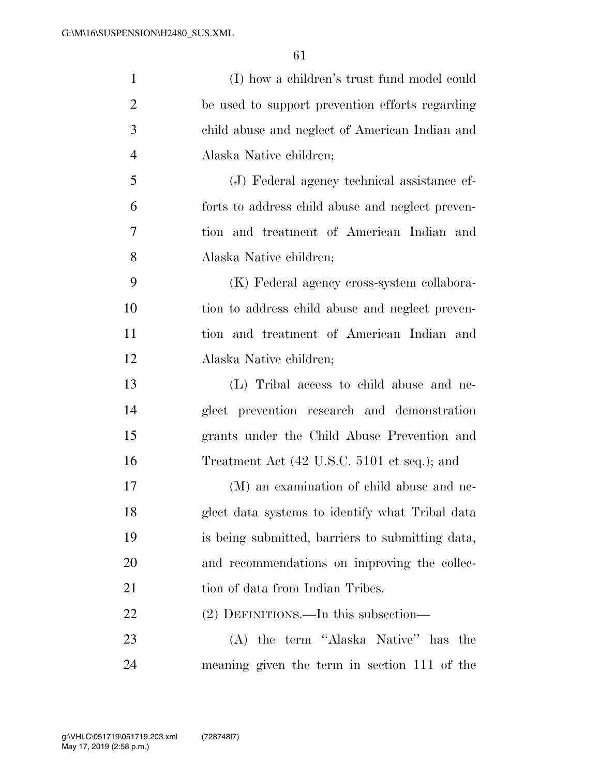| $\mathbf{1}$   | (I) how a children's trust fund model could      |
|----------------|--------------------------------------------------|
| $\overline{2}$ | be used to support prevention efforts regarding  |
| 3              | child abuse and neglect of American Indian and   |
| 4              | Alaska Native children;                          |
| 5              | (J) Federal agency technical assistance ef-      |
| 6              | forts to address child abuse and neglect preven- |
| 7              | tion and treatment of American Indian and        |
| 8              | Alaska Native children;                          |
| 9              | (K) Federal agency cross-system collabora-       |
| 10             | tion to address child abuse and neglect preven-  |
| 11             | tion and treatment of American Indian and        |
| 12             | Alaska Native children;                          |
| 13             | (L) Tribal access to child abuse and ne-         |
| 14             | glect prevention research and demonstration      |
| 15             | grants under the Child Abuse Prevention and      |
| 16             | Treatment Act (42 U.S.C. 5101 et seq.); and      |
| 17             | (M) an examination of child abuse and ne-        |
| 18             | glect data systems to identify what Tribal data  |
| 19             | is being submitted, barriers to submitting data, |
| 20             | and recommendations on improving the collec-     |
| 21             | tion of data from Indian Tribes.                 |
| 22             | (2) DEFINITIONS.—In this subsection—             |
| 23             | (A) the term "Alaska Native" has the             |
| 24             | meaning given the term in section 111 of the     |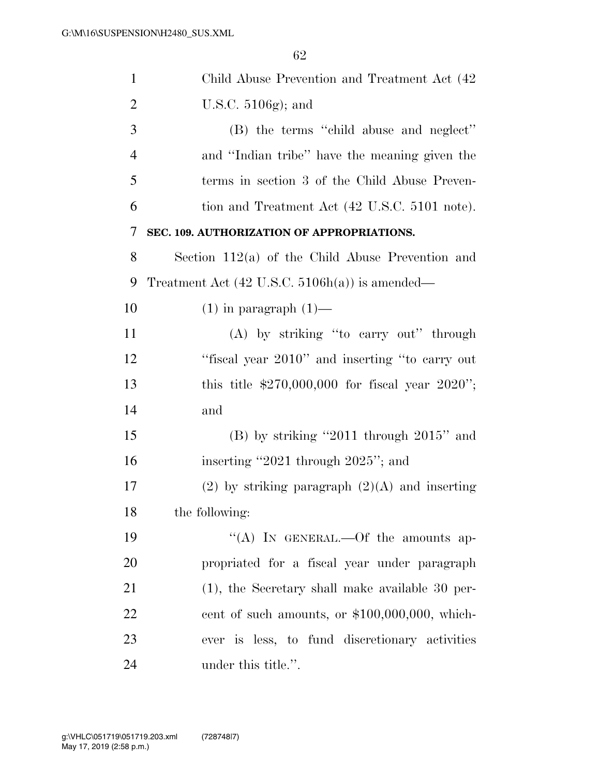| $\mathbf{1}$   | Child Abuse Prevention and Treatment Act (42)             |
|----------------|-----------------------------------------------------------|
| $\overline{2}$ | U.S.C. $5106g$ ; and                                      |
| 3              | (B) the terms "child abuse and neglect"                   |
| $\overline{4}$ | and "Indian tribe" have the meaning given the             |
| 5              | terms in section 3 of the Child Abuse Preven-             |
| 6              | tion and Treatment Act (42 U.S.C. 5101 note).             |
| 7              | SEC. 109. AUTHORIZATION OF APPROPRIATIONS.                |
| 8              | Section $112(a)$ of the Child Abuse Prevention and        |
| 9              | Treatment Act $(42 \text{ U.S.C. } 5106h(a))$ is amended— |
| 10             | $(1)$ in paragraph $(1)$ —                                |
| 11             | (A) by striking "to carry out" through                    |
| 12             | "fiscal year 2010" and inserting "to carry out            |
| 13             | this title $$270,000,000$ for fiscal year $2020$ ";       |
| 14             | and                                                       |
| 15             | $(B)$ by striking "2011 through 2015" and                 |
| 16             | inserting "2021 through 2025"; and                        |
| 17             | $(2)$ by striking paragraph $(2)(A)$ and inserting        |
| 18             | the following:                                            |
| 19             | "(A) IN GENERAL.—Of the amounts ap-                       |
| 20             | propriated for a fiscal year under paragraph              |
| 21             | $(1)$ , the Secretary shall make available 30 per-        |
| 22             | cent of such amounts, or \$100,000,000, which-            |
| 23             | ever is less, to fund discretionary activities            |
| 24             | under this title.".                                       |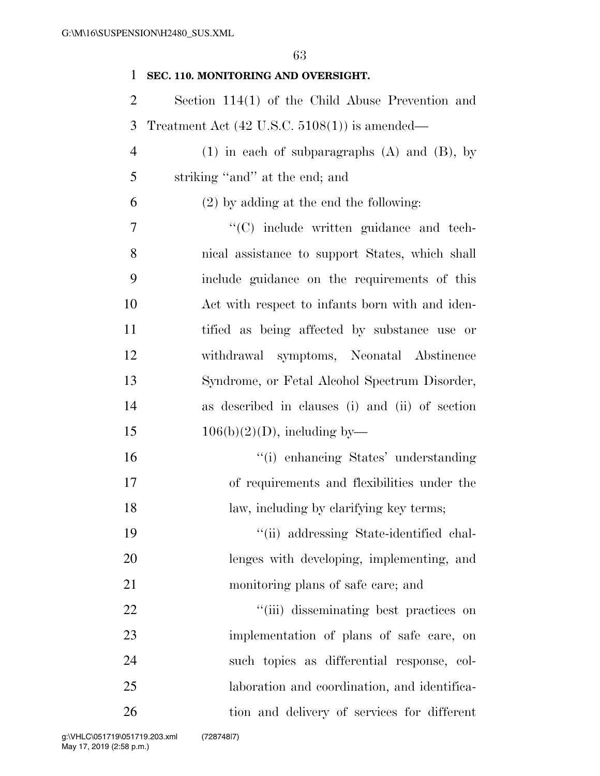## **SEC. 110. MONITORING AND OVERSIGHT.**

- Section 114(1) of the Child Abuse Prevention and Treatment Act (42 U.S.C. 5108(1)) is amended—
- (1) in each of subparagraphs (A) and (B), by striking ''and'' at the end; and

## (2) by adding at the end the following:

 $\lq\lq$  (C) include written guidance and tech- nical assistance to support States, which shall include guidance on the requirements of this Act with respect to infants born with and iden- tified as being affected by substance use or withdrawal symptoms, Neonatal Abstinence Syndrome, or Fetal Alcohol Spectrum Disorder, as described in clauses (i) and (ii) of section  $106(b)(2)(D)$ , including by—

 ''(i) enhancing States' understanding of requirements and flexibilities under the 18 law, including by clarifying key terms;

 ''(ii) addressing State-identified chal- lenges with developing, implementing, and monitoring plans of safe care; and

 $\frac{1}{1}$   $(iii)$  disseminating best practices on implementation of plans of safe care, on such topics as differential response, col- laboration and coordination, and identifica-tion and delivery of services for different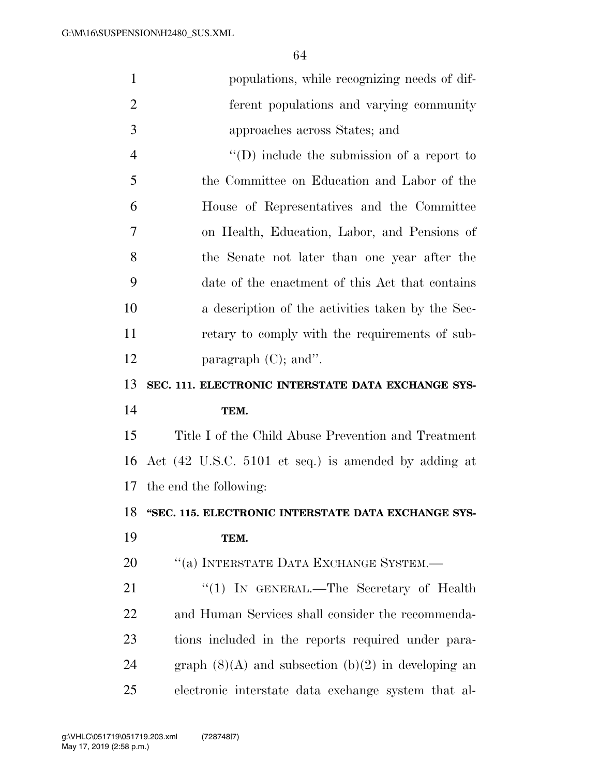| $\mathbf{1}$   | populations, while recognizing needs of dif-            |
|----------------|---------------------------------------------------------|
| $\overline{2}$ | ferent populations and varying community                |
| 3              | approaches across States; and                           |
| $\overline{4}$ | $\lq\lq$ (D) include the submission of a report to      |
| 5              | the Committee on Education and Labor of the             |
| 6              | House of Representatives and the Committee              |
| 7              | on Health, Education, Labor, and Pensions of            |
| 8              | the Senate not later than one year after the            |
| 9              | date of the enactment of this Act that contains         |
| 10             | a description of the activities taken by the Sec-       |
| 11             | retary to comply with the requirements of sub-          |
| 12             | paragraph $(C)$ ; and".                                 |
| 13             | SEC. 111. ELECTRONIC INTERSTATE DATA EXCHANGE SYS-      |
|                |                                                         |
| 14             | TEM.                                                    |
| 15             | Title I of the Child Abuse Prevention and Treatment     |
| 16             | Act (42 U.S.C. 5101 et seq.) is amended by adding at    |
|                | 17 the end the following:                               |
| 18             | "SEC. 115. ELECTRONIC INTERSTATE DATA EXCHANGE SYS-     |
| 19             | TEM.                                                    |
| 20             | "(a) INTERSTATE DATA EXCHANGE SYSTEM.—                  |
| 21             | "(1) IN GENERAL.—The Secretary of Health                |
| 22             | and Human Services shall consider the recommenda-       |
| 23             | tions included in the reports required under para-      |
| 24             | graph $(8)(A)$ and subsection $(b)(2)$ in developing an |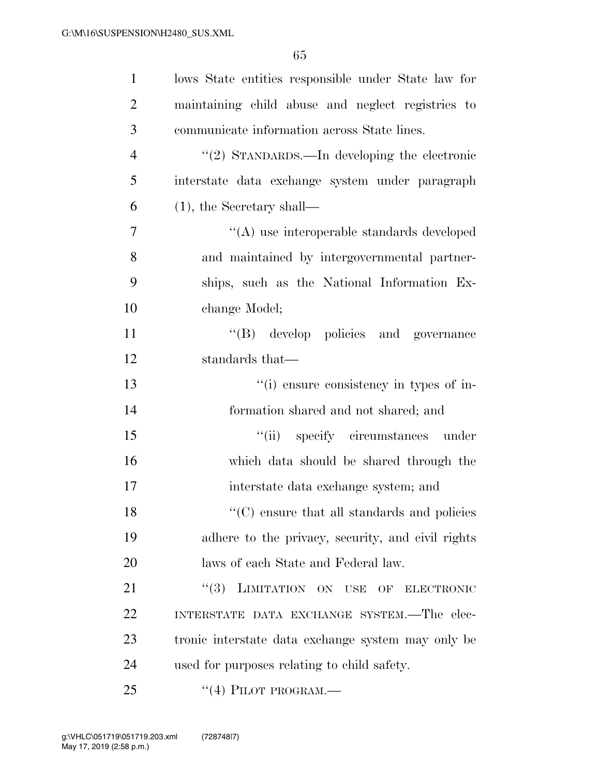| $\mathbf{1}$   | lows State entities responsible under State law for |
|----------------|-----------------------------------------------------|
| $\overline{2}$ | maintaining child abuse and neglect registries to   |
| 3              | communicate information across State lines.         |
| $\overline{4}$ | "(2) STANDARDS.—In developing the electronic        |
| 5              | interstate data exchange system under paragraph     |
| 6              | $(1)$ , the Secretary shall—                        |
| $\overline{7}$ | "(A) use interoperable standards developed          |
| 8              | and maintained by intergovernmental partner-        |
| 9              | ships, such as the National Information Ex-         |
| 10             | change Model;                                       |
| 11             | "(B) develop policies and governance                |
| 12             | standards that—                                     |
| 13             | "(i) ensure consistency in types of in-             |
| 14             | formation shared and not shared; and                |
| 15             | "(ii) specify circumstances under                   |
| 16             | which data should be shared through the             |
| 17             | interstate data exchange system; and                |
| 18             | "(C) ensure that all standards and policies         |
| 19             | adhere to the privacy, security, and civil rights   |
| 20             | laws of each State and Federal law.                 |
| 21             | "(3) LIMITATION ON USE OF ELECTRONIC                |
| 22             | INTERSTATE DATA EXCHANGE SYSTEM.-The elec-          |
| 23             | tronic interstate data exchange system may only be  |
| 24             | used for purposes relating to child safety.         |
| 25             | $``(4)$ PILOT PROGRAM.—                             |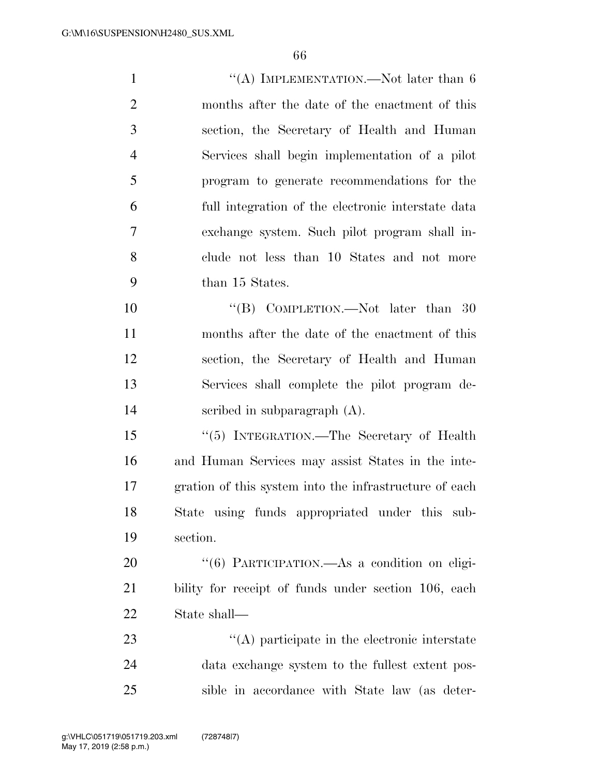| $\mathbf{1}$   | "(A) IMPLEMENTATION.—Not later than $6$                |
|----------------|--------------------------------------------------------|
| $\overline{2}$ | months after the date of the enactment of this         |
| 3              | section, the Secretary of Health and Human             |
| $\overline{4}$ | Services shall begin implementation of a pilot         |
| 5              | program to generate recommendations for the            |
| 6              | full integration of the electronic interstate data     |
| 7              | exchange system. Such pilot program shall in-          |
| 8              | clude not less than 10 States and not more             |
| 9              | than 15 States.                                        |
| 10             | "(B) COMPLETION.—Not later than $30$                   |
| 11             | months after the date of the enactment of this         |
| 12             | section, the Secretary of Health and Human             |
| 13             | Services shall complete the pilot program de-          |
| 14             | scribed in subparagraph $(A)$ .                        |
| 15             | "(5) INTEGRATION.—The Secretary of Health              |
| 16             | and Human Services may assist States in the inte-      |
| 17             | gration of this system into the infrastructure of each |
| 18             | State using funds appropriated under this sub-         |
| 19             | section.                                               |
| 20             | "(6) PARTICIPATION.—As a condition on eligi-           |
| 21             | bility for receipt of funds under section 106, each    |
| 22             | State shall—                                           |
|                |                                                        |

23 ''(A) participate in the electronic interstate data exchange system to the fullest extent pos-sible in accordance with State law (as deter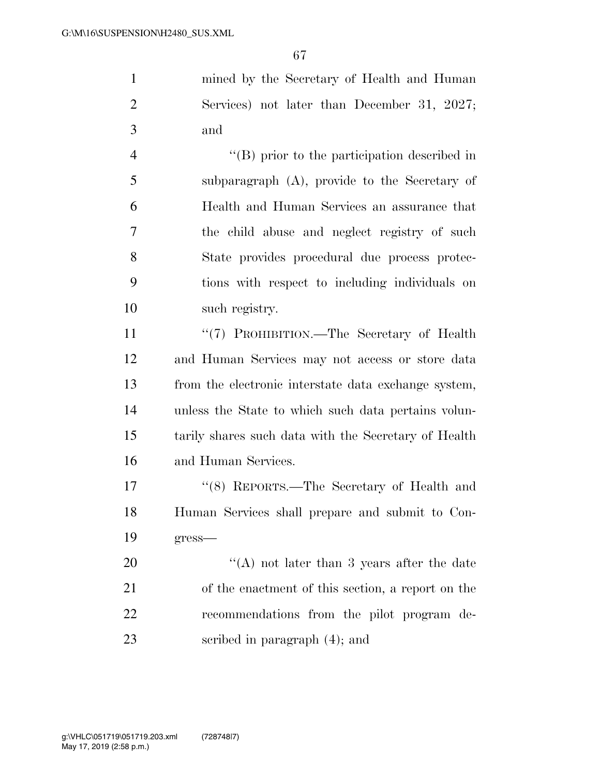mined by the Secretary of Health and Human Services) not later than December 31, 2027; and

 ''(B) prior to the participation described in subparagraph (A), provide to the Secretary of Health and Human Services an assurance that the child abuse and neglect registry of such State provides procedural due process protec- tions with respect to including individuals on such registry.

11 ''(7) PROHIBITION.—The Secretary of Health and Human Services may not access or store data from the electronic interstate data exchange system, unless the State to which such data pertains volun- tarily shares such data with the Secretary of Health and Human Services.

 ''(8) REPORTS.—The Secretary of Health and Human Services shall prepare and submit to Con-gress—

20 ''(A) not later than 3 years after the date of the enactment of this section, a report on the recommendations from the pilot program de-scribed in paragraph (4); and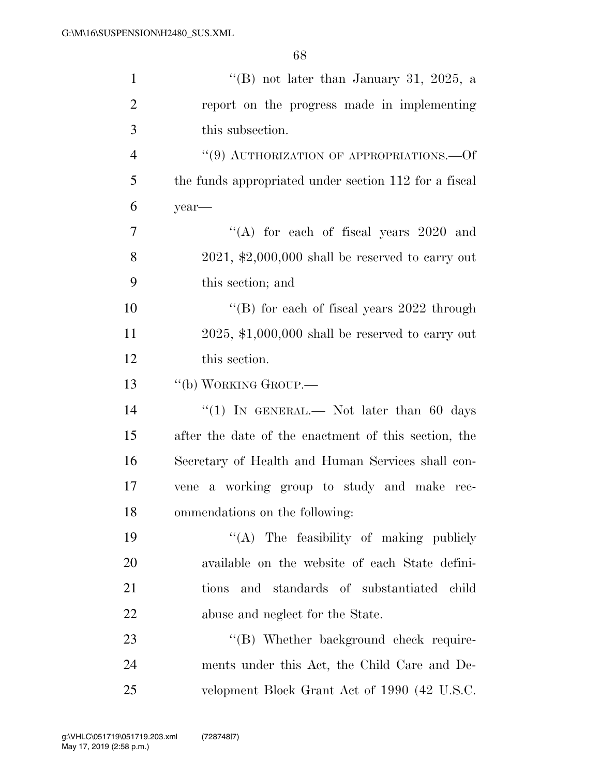| $\mathbf{1}$   | "(B) not later than January 31, 2025, a               |
|----------------|-------------------------------------------------------|
| $\overline{2}$ | report on the progress made in implementing           |
| 3              | this subsection.                                      |
| $\overline{4}$ | $``(9)$ AUTHORIZATION OF APPROPRIATIONS.—Of           |
| 5              | the funds appropriated under section 112 for a fiscal |
| 6              | year-                                                 |
| 7              | "(A) for each of fiscal years $2020$ and              |
| 8              | $2021,$ \$2,000,000 shall be reserved to carry out    |
| 9              | this section; and                                     |
| 10             | "(B) for each of fiscal years $2022$ through          |
| 11             | $2025,$ \$1,000,000 shall be reserved to carry out    |
| 12             | this section.                                         |
| 13             | "(b) WORKING GROUP.—                                  |
| 14             | "(1) IN GENERAL.— Not later than 60 days              |
| 15             | after the date of the enactment of this section, the  |
| 16             | Secretary of Health and Human Services shall con-     |
| 17             | vene a working group to study and make rec-           |
| 18             | ommendations on the following:                        |
| 19             | "(A) The feasibility of making publicly               |
| 20             | available on the website of each State defini-        |
| 21             | and standards of substantiated child<br>tions         |
| 22             | abuse and neglect for the State.                      |
| 23             | "(B) Whether background check require-                |
| 24             | ments under this Act, the Child Care and De-          |
| 25             | velopment Block Grant Act of 1990 (42 U.S.C.          |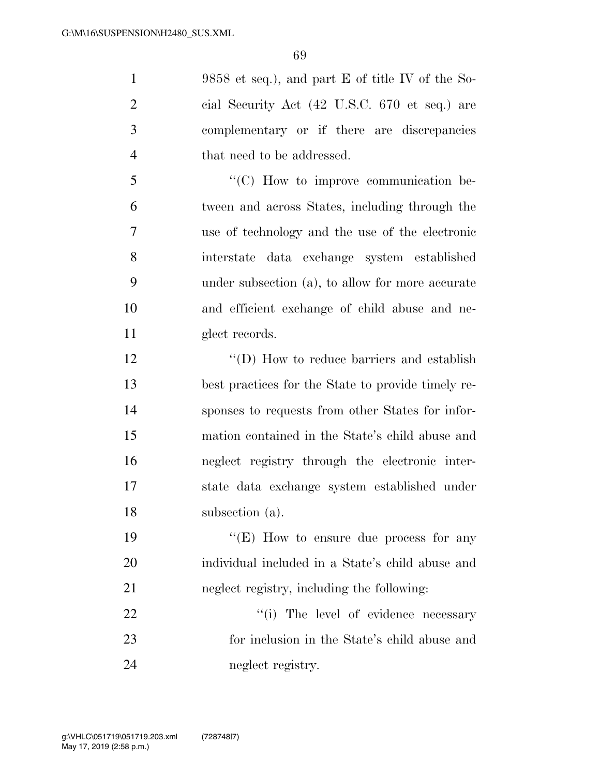9858 et seq.), and part E of title IV of the So- cial Security Act (42 U.S.C. 670 et seq.) are complementary or if there are discrepancies 4 that need to be addressed. ''(C) How to improve communication be-tween and across States, including through the

 use of technology and the use of the electronic interstate data exchange system established under subsection (a), to allow for more accurate and efficient exchange of child abuse and ne-11 glect records.

12 ''(D) How to reduce barriers and establish best practices for the State to provide timely re- sponses to requests from other States for infor- mation contained in the State's child abuse and neglect registry through the electronic inter- state data exchange system established under subsection (a).

19 ''(E) How to ensure due process for any individual included in a State's child abuse and neglect registry, including the following:

22  $\frac{1}{2}$  The level of evidence necessary for inclusion in the State's child abuse and 24 neglect registry.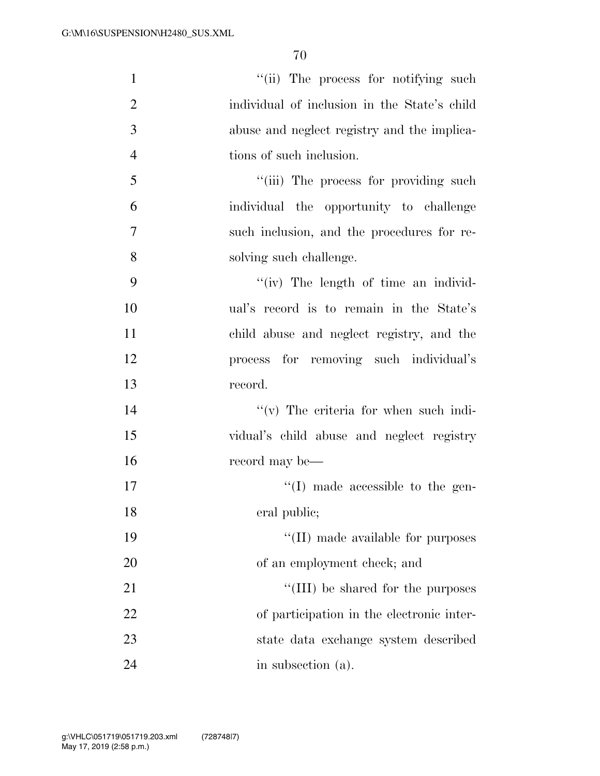| $\mathbf{1}$   | "(ii) The process for notifying such         |
|----------------|----------------------------------------------|
| $\overline{2}$ | individual of inclusion in the State's child |
| 3              | abuse and neglect registry and the implica-  |
| $\overline{4}$ | tions of such inclusion.                     |
| 5              | "(iii) The process for providing such        |
| 6              | individual the opportunity to challenge      |
| $\tau$         | such inclusion, and the procedures for re-   |
| 8              | solving such challenge.                      |
| 9              | "(iv) The length of time an individ-         |
| 10             | ual's record is to remain in the State's     |
| 11             | child abuse and neglect registry, and the    |
| 12             | process for removing such individual's       |
| 13             | record.                                      |
| 14             | $f'(v)$ The criteria for when such indi-     |
| 15             | vidual's child abuse and neglect registry    |
| 16             | record may be—                               |
| 17             | $\lq\lq$ (I) made accessible to the gen-     |
| 18             | eral public;                                 |
| 19             | "(II) made available for purposes            |
| 20             | of an employment check; and                  |
| 21             | "(III) be shared for the purposes            |
| 22             | of participation in the electronic inter-    |
| 23             | state data exchange system described         |
| 24             | in subsection (a).                           |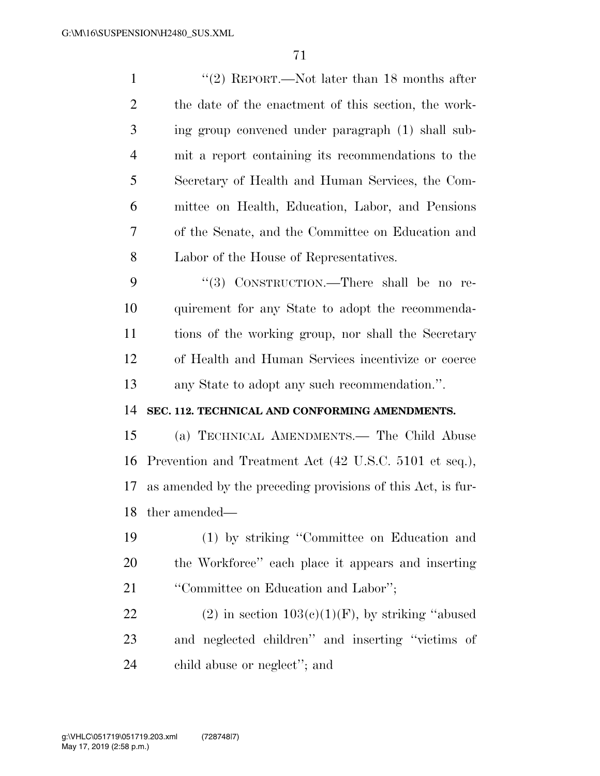1 ''(2) REPORT.—Not later than 18 months after the date of the enactment of this section, the work- ing group convened under paragraph (1) shall sub- mit a report containing its recommendations to the Secretary of Health and Human Services, the Com- mittee on Health, Education, Labor, and Pensions of the Senate, and the Committee on Education and Labor of the House of Representatives. 9 "(3) CONSTRUCTION.—There shall be no re-

 quirement for any State to adopt the recommenda- tions of the working group, nor shall the Secretary of Health and Human Services incentivize or coerce any State to adopt any such recommendation.''.

## **SEC. 112. TECHNICAL AND CONFORMING AMENDMENTS.**

 (a) TECHNICAL AMENDMENTS.— The Child Abuse Prevention and Treatment Act (42 U.S.C. 5101 et seq.), as amended by the preceding provisions of this Act, is fur-ther amended—

 (1) by striking ''Committee on Education and the Workforce'' each place it appears and inserting ''Committee on Education and Labor'';

22 (2) in section  $103(c)(1)(F)$ , by striking "abused and neglected children'' and inserting ''victims of child abuse or neglect''; and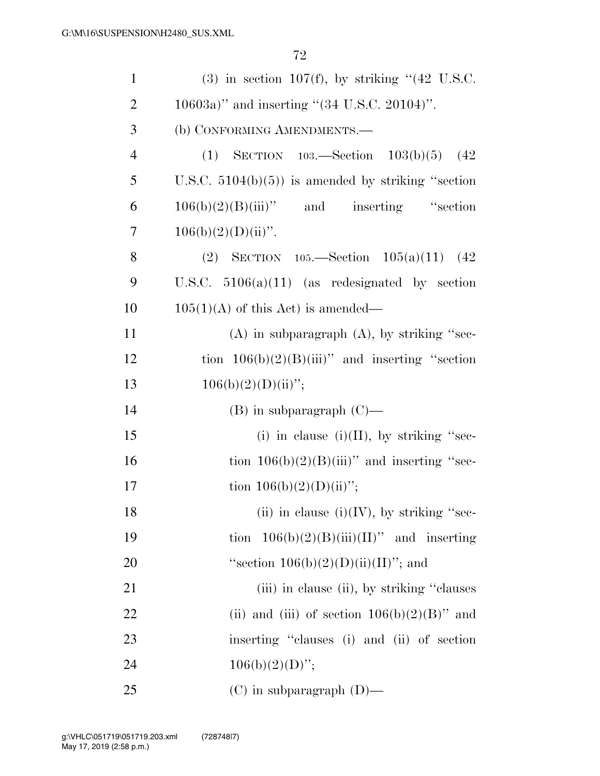| $\mathbf{1}$   | $(3)$ in section 107(f), by striking " $(42 \text{ U.S.C.})$ |
|----------------|--------------------------------------------------------------|
| $\overline{2}$ | $10603a$ " and inserting "(34 U.S.C. 20104)".                |
| 3              | (b) CONFORMING AMENDMENTS.-                                  |
| $\overline{4}$ | (1) SECTION $103$ —Section $103(b)(5)$ (42)                  |
| 5              | U.S.C. $5104(b)(5)$ is amended by striking "section"         |
| 6              | $106(b)(2)(B)(iii)$ " and inserting "section                 |
| 7              | $106(b)(2)(D)(ii)$ ".                                        |
| 8              | (2) SECTION $105$ —Section $105(a)(11)$ (42)                 |
| 9              | U.S.C. $5106(a)(11)$ (as redesignated by section             |
| 10             | $105(1)(A)$ of this Act) is amended—                         |
| 11             | $(A)$ in subparagraph $(A)$ , by striking "sec-              |
| 12             | tion $106(b)(2)(B)(iii)$ and inserting "section"             |
| 13             | $106(b)(2)(D)(ii)$ ";                                        |
| 14             | $(B)$ in subparagraph $(C)$ —                                |
| 15             | (i) in clause (i)(II), by striking "sec-                     |
| 16             | tion $106(b)(2)(B(iii))$ and inserting "sec-                 |
| 17             | tion $106(b)(2)(D)(ii)$ ";                                   |
| 18             | (ii) in clause (i)(IV), by striking "sec-                    |
| 19             | tion $106(b)(2)(B(iii)(II))$ and inserting                   |
| 20             | "section $106(b)(2)(D)(ii)(II)$ "; and                       |
| 21             | (iii) in clause (ii), by striking "clauses                   |
| 22             | (ii) and (iii) of section $106(b)(2)(B)$ " and               |
| 23             | inserting "clauses (i) and (ii) of section                   |
| 24             | $106(b)(2)(D)$ ";                                            |
| 25             | $(C)$ in subparagraph $(D)$ —                                |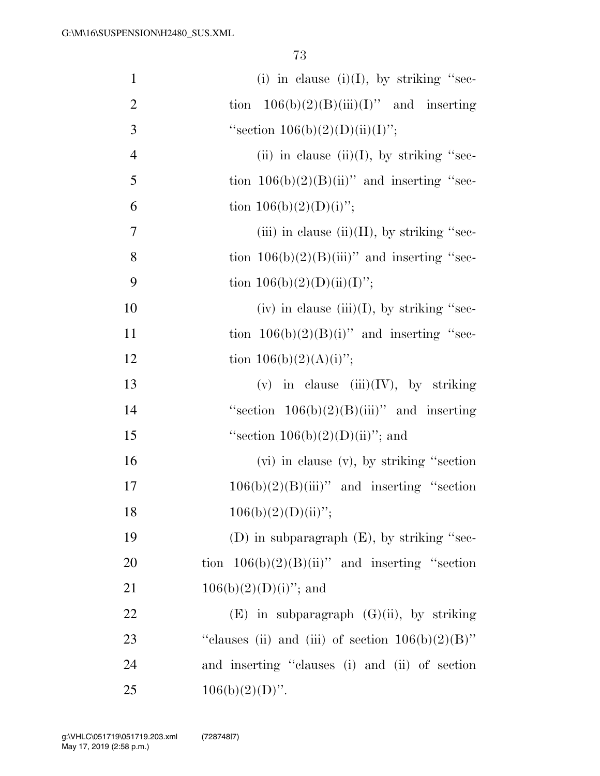| $\mathbf{1}$   | (i) in clause (i)(I), by striking "sec-             |
|----------------|-----------------------------------------------------|
| $\overline{2}$ | tion $106(b)(2)(B)(iii)(I)$ " and inserting         |
| 3              | "section $106(b)(2)(D)(ii)(I)$ ";                   |
| $\overline{4}$ | (ii) in clause (ii)(I), by striking "sec-           |
| 5              | tion $106(b)(2)(B)(ii)$ " and inserting "sec-       |
| 6              | tion $106(b)(2)(D)(i)$ ";                           |
| 7              | (iii) in clause (ii)(II), by striking "sec-         |
| 8              | tion $106(b)(2)(B(iii))$ and inserting "sec-        |
| 9              | tion $106(b)(2)(D)(ii)(I)$ ";                       |
| 10             | (iv) in clause (iii)(I), by striking "sec-          |
| 11             | tion $106(b)(2)(B)(i)$ " and inserting "sec-        |
| 12             | tion $106(b)(2)(A)(i)$ ";                           |
| 13             | (v) in clause $(iii)(IV)$ , by striking             |
| 14             | "section $106(b)(2)(B(iii))$ " and inserting        |
| 15             | "section $106(b)(2)(D)(ii)$ "; and                  |
| 16             | (vi) in clause (v), by striking "section"           |
| 17             | $106(b)(2)(B)(iii)$ " and inserting "section        |
| 18             | $106(b)(2)(D)(ii)$ ";                               |
| 19             | (D) in subparagraph $(E)$ , by striking "sec-       |
| 20             | tion $106(b)(2)(B)(ii)$ " and inserting "section    |
| 21             | $106(b)(2)(D)(i)$ "; and                            |
| 22             | $(E)$ in subparagraph $(G)(ii)$ , by striking       |
| 23             | "clauses (ii) and (iii) of section $106(b)(2)(B)$ " |
| 24             | and inserting "clauses (i) and (ii) of section      |
| 25             | $106(b)(2)(D)$ ".                                   |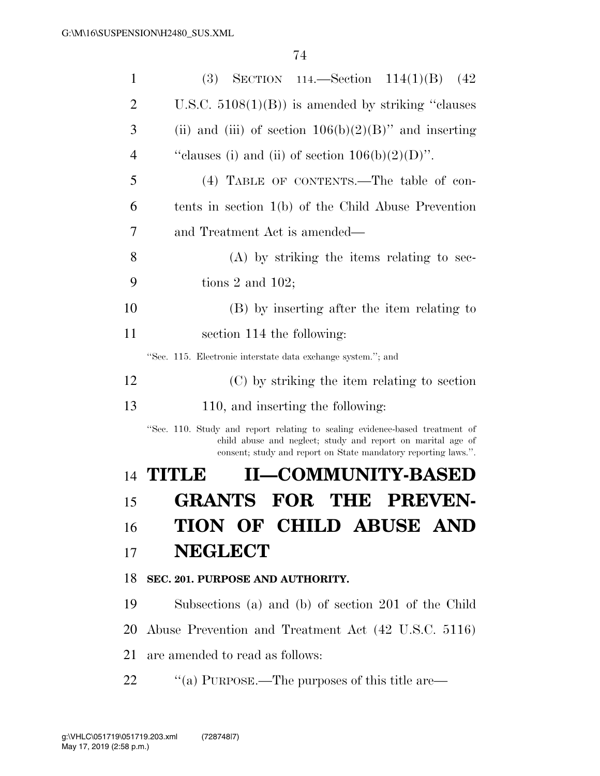| $\mathbf{1}$ | (3) SECTION 114.—Section $114(1)(B)$ (42)                                                                                                                                                                    |
|--------------|--------------------------------------------------------------------------------------------------------------------------------------------------------------------------------------------------------------|
| 2            | U.S.C. $5108(1)(B)$ is amended by striking "clauses"                                                                                                                                                         |
| 3            | (ii) and (iii) of section $106(b)(2)(B)$ " and inserting                                                                                                                                                     |
| 4            | "clauses (i) and (ii) of section $106(b)(2)(D)$ ".                                                                                                                                                           |
| 5            | (4) TABLE OF CONTENTS.—The table of con-                                                                                                                                                                     |
| 6            | tents in section $1(b)$ of the Child Abuse Prevention                                                                                                                                                        |
| 7            | and Treatment Act is amended—                                                                                                                                                                                |
| 8            | (A) by striking the items relating to sec-                                                                                                                                                                   |
| 9            | tions 2 and $102$ ;                                                                                                                                                                                          |
| 10           | (B) by inserting after the item relating to                                                                                                                                                                  |
| 11           | section 114 the following:                                                                                                                                                                                   |
|              | "Sec. 115. Electronic interstate data exchange system."; and                                                                                                                                                 |
| 12           | (C) by striking the item relating to section                                                                                                                                                                 |
| 13           | 110, and inserting the following:                                                                                                                                                                            |
|              | "Sec. 110. Study and report relating to scaling evidence-based treatment of<br>child abuse and neglect; study and report on marital age of<br>consent; study and report on State mandatory reporting laws.". |
|              | <b>II-COMMUNITY-BASED</b><br>14 <b>TITLE</b>                                                                                                                                                                 |
| 15           | <b>PREVEN-</b><br>GRANTS<br>FOR<br>TH<br>Đ                                                                                                                                                                   |
| 16           | TION OF CHILD ABUSE AND                                                                                                                                                                                      |
| 17           | <b>NEGLECT</b>                                                                                                                                                                                               |
| 18           | SEC. 201. PURPOSE AND AUTHORITY.                                                                                                                                                                             |
| 19           | Subsections (a) and (b) of section 201 of the Child                                                                                                                                                          |
| 20           | Abuse Prevention and Treatment Act (42 U.S.C. 5116)                                                                                                                                                          |
| 21           | are amended to read as follows:                                                                                                                                                                              |
| 22           | "(a) PURPOSE.—The purposes of this title are—                                                                                                                                                                |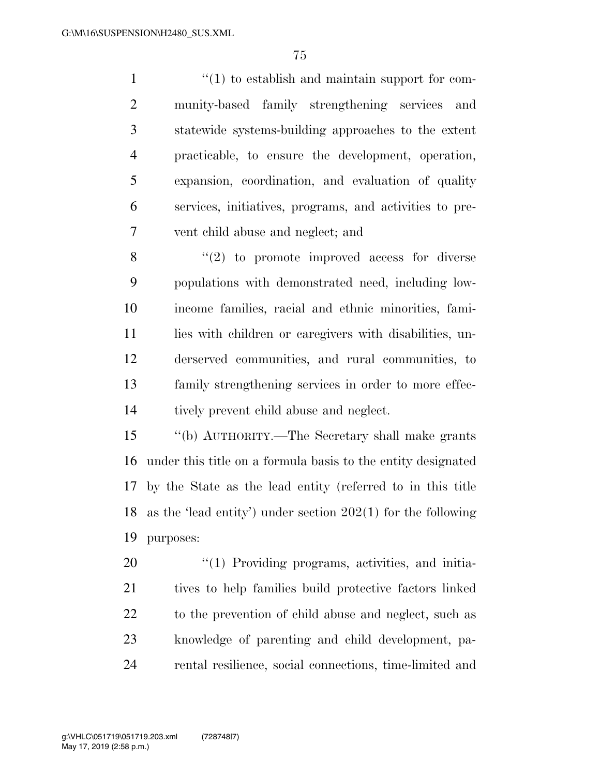$\frac{1}{1}$  to establish and maintain support for com- munity-based family strengthening services and statewide systems-building approaches to the extent practicable, to ensure the development, operation, expansion, coordination, and evaluation of quality services, initiatives, programs, and activities to pre-vent child abuse and neglect; and

 ''(2) to promote improved access for diverse populations with demonstrated need, including low- income families, racial and ethnic minorities, fami-11 lies with children or caregivers with disabilities, un- derserved communities, and rural communities, to family strengthening services in order to more effec-tively prevent child abuse and neglect.

 ''(b) AUTHORITY.—The Secretary shall make grants under this title on a formula basis to the entity designated by the State as the lead entity (referred to in this title as the 'lead entity') under section 202(1) for the following purposes:

 $\frac{1}{20}$  Providing programs, activities, and initia- tives to help families build protective factors linked to the prevention of child abuse and neglect, such as knowledge of parenting and child development, pa-rental resilience, social connections, time-limited and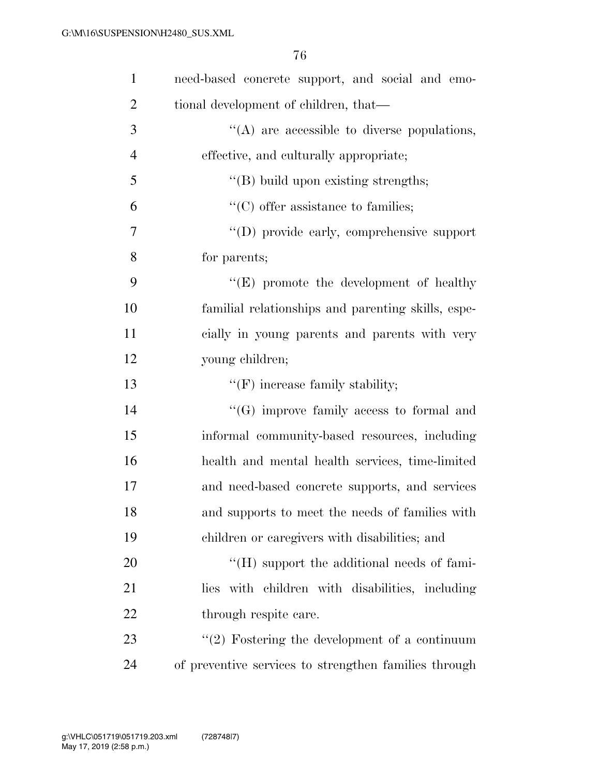| $\mathbf{1}$   | need-based concrete support, and social and emo-   |
|----------------|----------------------------------------------------|
| $\overline{2}$ | tional development of children, that—              |
| 3              | $\lq\lq$ are accessible to diverse populations,    |
| $\overline{4}$ | effective, and culturally appropriate;             |
| 5              | $\lq\lq$ build upon existing strengths;            |
| 6              | $\lq\lq$ (C) offer assistance to families;         |
| 7              | "(D) provide early, comprehensive support          |
| 8              | for parents;                                       |
| 9              | $\lq\lq(E)$ promote the development of healthy     |
| 10             | familial relationships and parenting skills, espe- |
| 11             | cially in young parents and parents with very      |
| 12             | young children;                                    |
| 13             | $f'(F)$ increase family stability;                 |
| 14             | $\lq\lq(G)$ improve family access to formal and    |
| 15             | informal community-based resources, including      |
| 16             | health and mental health services, time-limited    |
| 17             | and need-based concrete supports, and services     |
| 18             |                                                    |
|                | and supports to meet the needs of families with    |
| 19             | children or caregivers with disabilities; and      |
| 20             | $\lq\lq (H)$ support the additional needs of fami- |
| 21             | lies with children with disabilities, including    |
| 22             | through respite care.                              |
| 23             | $\lq(2)$ Fostering the development of a continuum  |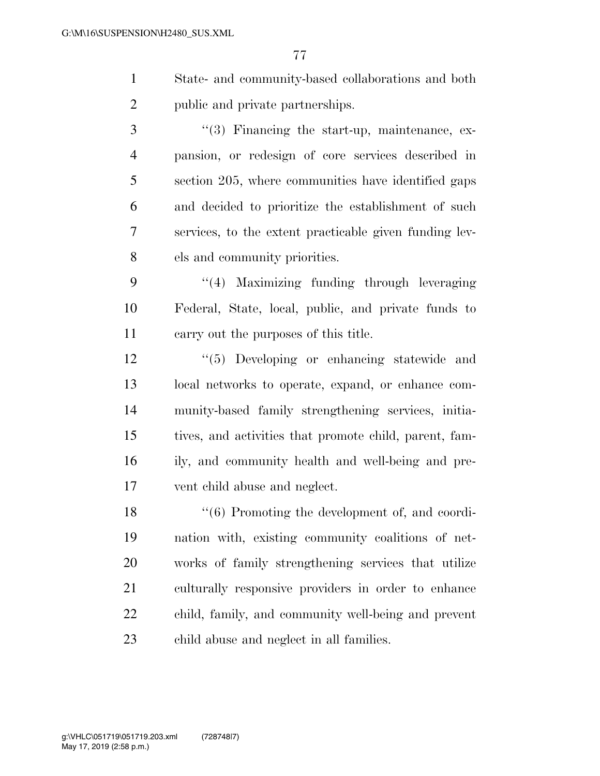- State- and community-based collaborations and both public and private partnerships.
- 3 ''(3) Financing the start-up, maintenance, ex- pansion, or redesign of core services described in section 205, where communities have identified gaps and decided to prioritize the establishment of such services, to the extent practicable given funding lev-els and community priorities.
- ''(4) Maximizing funding through leveraging Federal, State, local, public, and private funds to carry out the purposes of this title.
- ''(5) Developing or enhancing statewide and local networks to operate, expand, or enhance com- munity-based family strengthening services, initia- tives, and activities that promote child, parent, fam- ily, and community health and well-being and pre-vent child abuse and neglect.
- 18 ''(6) Promoting the development of, and coordi- nation with, existing community coalitions of net- works of family strengthening services that utilize culturally responsive providers in order to enhance child, family, and community well-being and prevent child abuse and neglect in all families.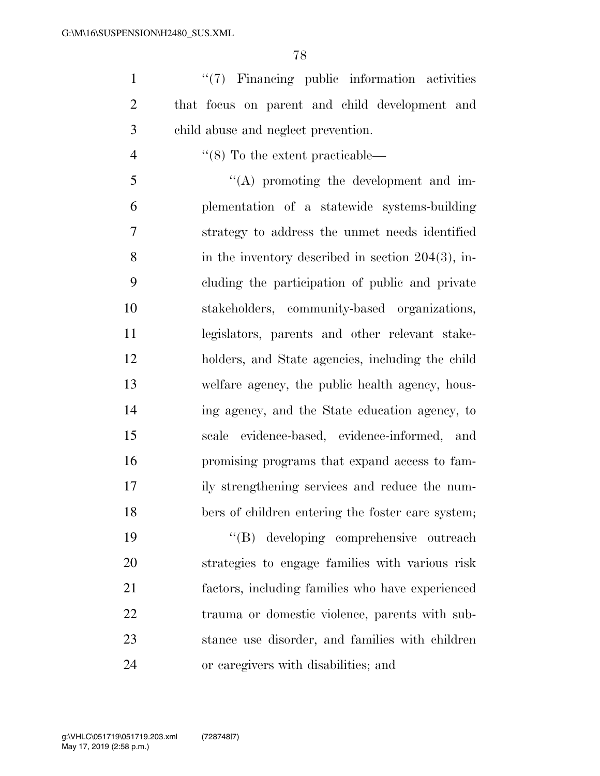1 ''(7) Financing public information activities that focus on parent and child development and child abuse and neglect prevention.

4  $\frac{4}{8}$  To the extent practicable—

 ''(A) promoting the development and im- plementation of a statewide systems-building strategy to address the unmet needs identified 8 in the inventory described in section 204(3), in- cluding the participation of public and private stakeholders, community-based organizations, legislators, parents and other relevant stake- holders, and State agencies, including the child welfare agency, the public health agency, hous- ing agency, and the State education agency, to scale evidence-based, evidence-informed, and promising programs that expand access to fam- ily strengthening services and reduce the num-bers of children entering the foster care system;

 ''(B) developing comprehensive outreach strategies to engage families with various risk factors, including families who have experienced trauma or domestic violence, parents with sub- stance use disorder, and families with children or caregivers with disabilities; and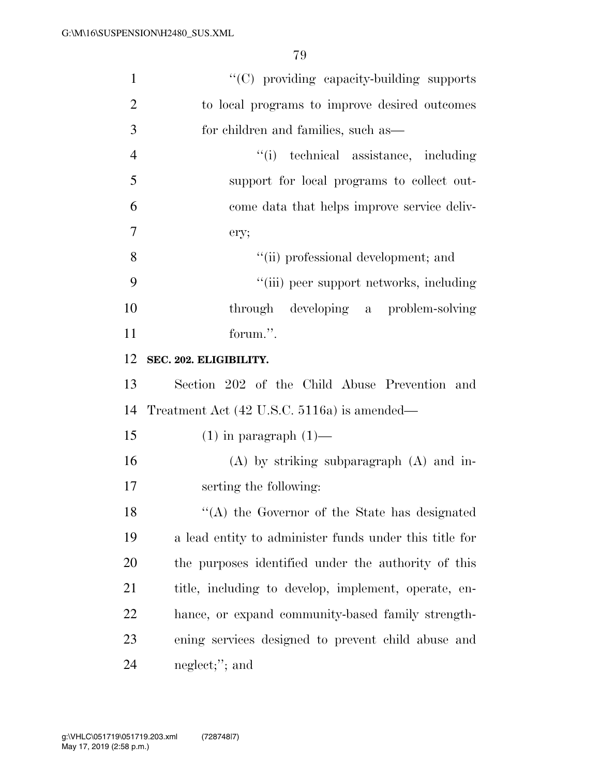| $\mathbf{1}$   | "(C) providing capacity-building supports              |
|----------------|--------------------------------------------------------|
| $\overline{2}$ | to local programs to improve desired outcomes          |
| 3              | for children and families, such as—                    |
| $\overline{4}$ | "(i) technical assistance, including                   |
| 5              | support for local programs to collect out-             |
| 6              | come data that helps improve service deliv-            |
| 7              | ery;                                                   |
| 8              | "(ii) professional development; and                    |
| 9              | "(iii) peer support networks, including                |
| 10             | through developing a problem-solving                   |
| 11             | forum.".                                               |
| 12             | SEC. 202. ELIGIBILITY.                                 |
| 13             | Section 202 of the Child Abuse Prevention and          |
| 14             | Treatment Act (42 U.S.C. 5116a) is amended—            |
| 15             | $(1)$ in paragraph $(1)$ —                             |
| 16             | $(A)$ by striking subparagraph $(A)$ and in-           |
| 17             | serting the following:                                 |
| 18             | "(A) the Governor of the State has designated          |
| 19             | a lead entity to administer funds under this title for |
| 20             | the purposes identified under the authority of this    |
| 21             | title, including to develop, implement, operate, en-   |
| <u>22</u>      | hance, or expand community-based family strength-      |
| 23             | ening services designed to prevent child abuse and     |
| 24             | neglect;"; and                                         |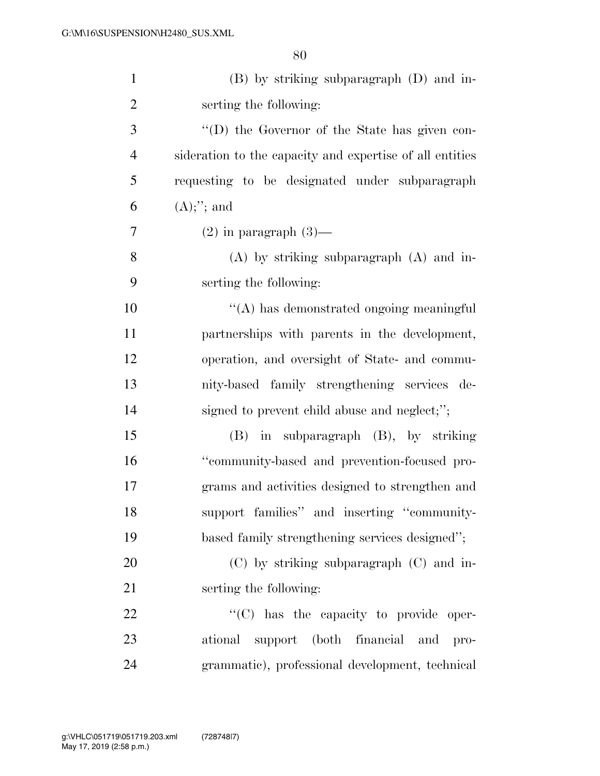| $\mathbf{1}$   | $(B)$ by striking subparagraph $(D)$ and in-             |
|----------------|----------------------------------------------------------|
| $\overline{2}$ | serting the following:                                   |
| 3              | "(D) the Governor of the State has given con-            |
| $\overline{4}$ | sideration to the capacity and expertise of all entities |
| 5              | requesting to be designated under subparagraph           |
| 6              | $(A);$ "; and                                            |
| 7              | $(2)$ in paragraph $(3)$ —                               |
| 8              | $(A)$ by striking subparagraph $(A)$ and in-             |
| 9              | serting the following:                                   |
| 10             | "(A) has demonstrated ongoing meaningful                 |
| 11             | partnerships with parents in the development,            |
| 12             | operation, and oversight of State- and commu-            |
| 13             | nity-based family strengthening services de-             |
| 14             | signed to prevent child abuse and neglect;";             |
| 15             | in subparagraph (B), by striking<br>(B)                  |
| 16             | "community-based and prevention-focused pro-             |
| 17             | grams and activities designed to strengthen and          |
| 18             | support families" and inserting "community-              |
| 19             | based family strengthening services designed";           |
| 20             | $(C)$ by striking subparagraph $(C)$ and in-             |
| 21             | serting the following:                                   |
| 22             | "(C) has the capacity to provide oper-                   |
| 23             | ational support (both financial and pro-                 |
| 24             | grammatic), professional development, technical          |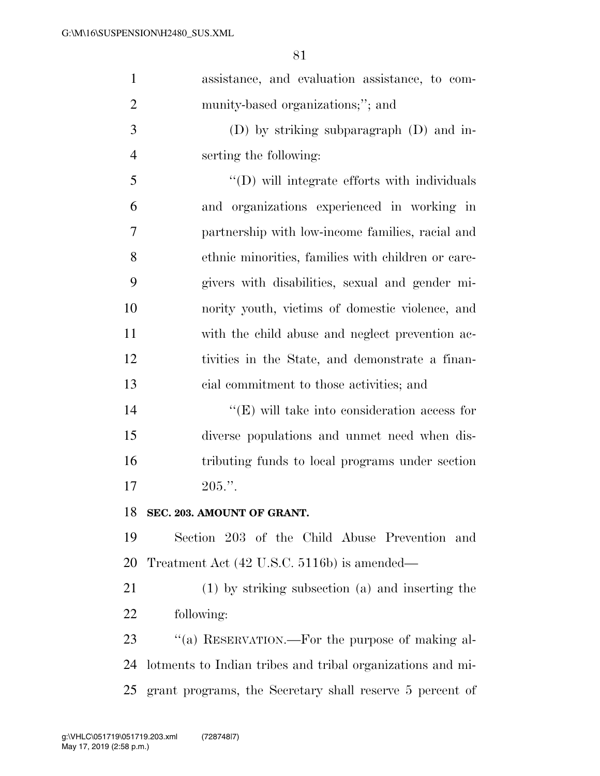| $\mathbf{1}$   | assistance, and evaluation assistance, to com-             |
|----------------|------------------------------------------------------------|
| $\overline{2}$ | munity-based organizations;"; and                          |
| 3              | $(D)$ by striking subparagraph $(D)$ and in-               |
| $\overline{4}$ | serting the following:                                     |
| 5              | "(D) will integrate efforts with individuals               |
| 6              | and organizations experienced in working in                |
| 7              | partnership with low-income families, racial and           |
| 8              | ethnic minorities, families with children or care-         |
| 9              | givers with disabilities, sexual and gender mi-            |
| 10             | nority youth, victims of domestic violence, and            |
| 11             | with the child abuse and neglect prevention ac-            |
| 12             | tivities in the State, and demonstrate a finan-            |
| 13             | cial commitment to those activities; and                   |
| 14             | $\lq\lq$ (E) will take into consideration access for       |
| 15             | diverse populations and unmet need when dis-               |
| 16             | tributing funds to local programs under section            |
| 17             | $205."$ .                                                  |
| 18             | SEC. 203. AMOUNT OF GRANT.                                 |
| 19             | Section 203 of the Child Abuse Prevention and              |
| 20             | Treatment Act (42 U.S.C. 5116b) is amended—                |
| 21             | (1) by striking subsection (a) and inserting the           |
| 22             | following:                                                 |
| 23             | "(a) RESERVATION.—For the purpose of making al-            |
| 24             | lotments to Indian tribes and tribal organizations and mi- |
| 25             | grant programs, the Secretary shall reserve 5 percent of   |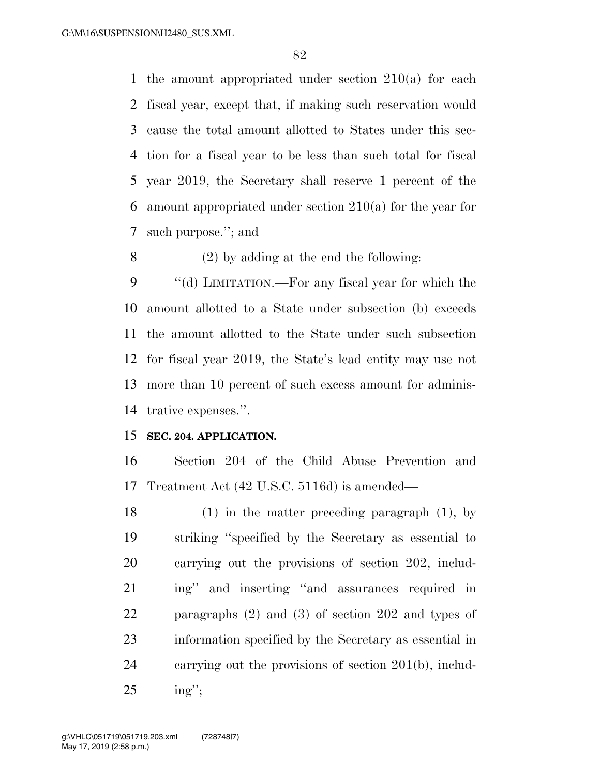the amount appropriated under section 210(a) for each fiscal year, except that, if making such reservation would cause the total amount allotted to States under this sec- tion for a fiscal year to be less than such total for fiscal year 2019, the Secretary shall reserve 1 percent of the amount appropriated under section 210(a) for the year for such purpose.''; and

(2) by adding at the end the following:

9 "(d) LIMITATION.—For any fiscal year for which the amount allotted to a State under subsection (b) exceeds the amount allotted to the State under such subsection for fiscal year 2019, the State's lead entity may use not more than 10 percent of such excess amount for adminis-trative expenses.''.

### **SEC. 204. APPLICATION.**

 Section 204 of the Child Abuse Prevention and Treatment Act (42 U.S.C. 5116d) is amended—

 (1) in the matter preceding paragraph (1), by striking ''specified by the Secretary as essential to carrying out the provisions of section 202, includ- ing'' and inserting ''and assurances required in paragraphs (2) and (3) of section 202 and types of information specified by the Secretary as essential in carrying out the provisions of section 201(b), includ-ing'';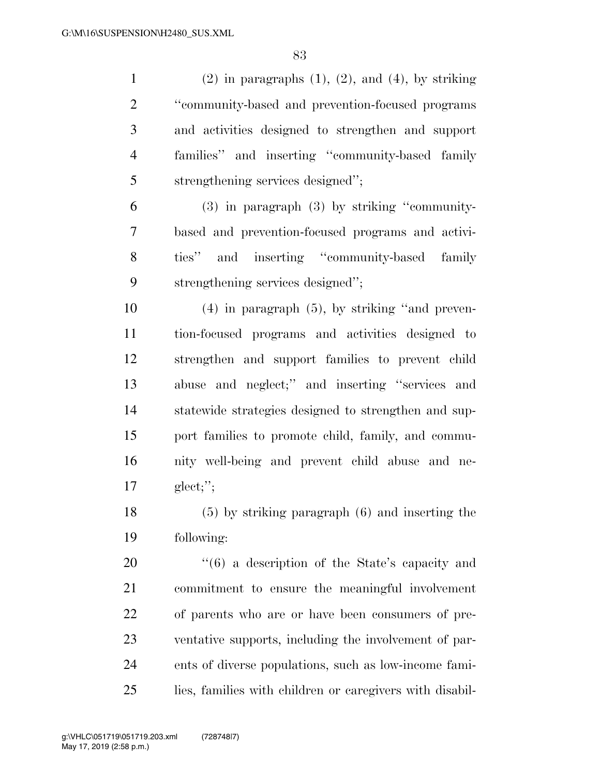1 (2) in paragraphs  $(1)$ ,  $(2)$ , and  $(4)$ , by striking ''community-based and prevention-focused programs and activities designed to strengthen and support families'' and inserting ''community-based family strengthening services designed''; (3) in paragraph (3) by striking ''community- based and prevention-focused programs and activi- ties'' and inserting ''community-based family strengthening services designed''; (4) in paragraph (5), by striking ''and preven- tion-focused programs and activities designed to strengthen and support families to prevent child abuse and neglect;'' and inserting ''services and statewide strategies designed to strengthen and sup- port families to promote child, family, and commu- nity well-being and prevent child abuse and ne-glect;'';

 (5) by striking paragraph (6) and inserting the following:

 $\frac{1}{16}$  a description of the State's capacity and commitment to ensure the meaningful involvement of parents who are or have been consumers of pre- ventative supports, including the involvement of par- ents of diverse populations, such as low-income fami-lies, families with children or caregivers with disabil-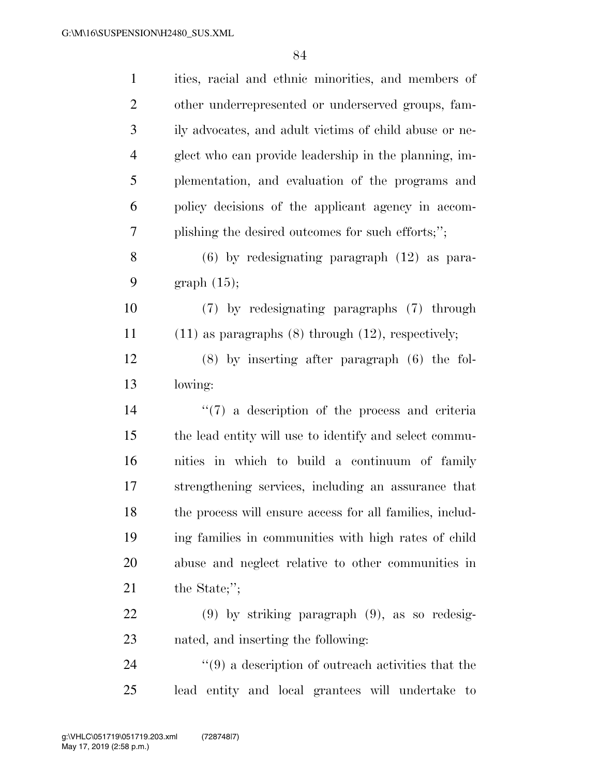| $\mathbf{1}$   | ities, racial and ethnic minorities, and members of                |
|----------------|--------------------------------------------------------------------|
| $\overline{2}$ | other underrepresented or underserved groups, fam-                 |
| 3              | ily advocates, and adult victims of child abuse or ne-             |
| $\overline{4}$ | glect who can provide leadership in the planning, im-              |
| 5              | plementation, and evaluation of the programs and                   |
| 6              | policy decisions of the applicant agency in accom-                 |
| 7              | plishing the desired outcomes for such efforts;";                  |
| 8              | $(6)$ by redesignating paragraph $(12)$ as para-                   |
| 9              | graph $(15)$ ;                                                     |
| 10             | (7) by redesignating paragraphs (7) through                        |
| 11             | $(11)$ as paragraphs $(8)$ through $(12)$ , respectively;          |
| 12             | $(8)$ by inserting after paragraph $(6)$ the fol-                  |
| 13             | lowing:                                                            |
| 14             | $\lq(7)$ a description of the process and criteria                 |
| 15             | the lead entity will use to identify and select commu-             |
| 16             | nities in which to build a continuum of family                     |
| 17             | strengthening services, including an assurance that                |
| 18             | the process will ensure access for all families, includ-           |
| 19             | ing families in communities with high rates of child               |
| 20             | abuse and neglect relative to other communities in                 |
| 21             | the State;";                                                       |
| 22             | $(9)$ by striking paragraph $(9)$ , as so redesig-                 |
| 23             | nated, and inserting the following:                                |
| 24             |                                                                    |
|                | $\cdot\cdot\cdot(9)$ a description of outreach activities that the |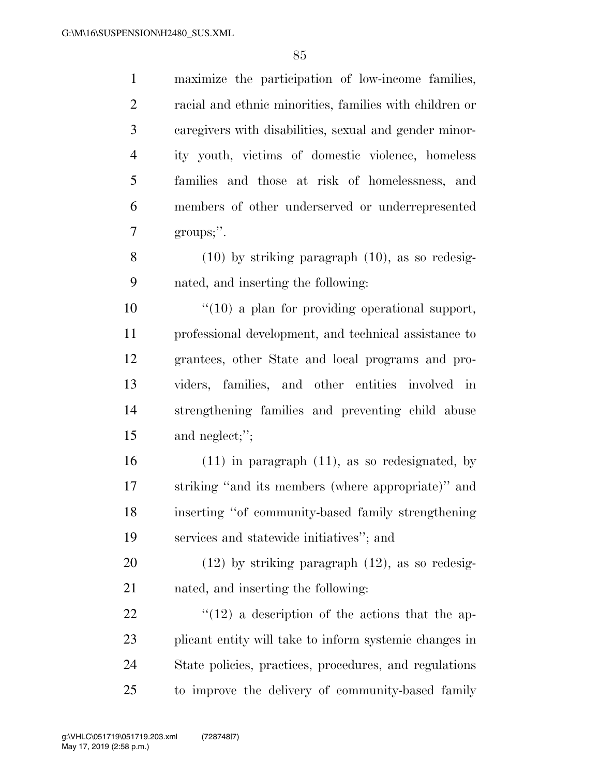maximize the participation of low-income families, racial and ethnic minorities, families with children or caregivers with disabilities, sexual and gender minor- ity youth, victims of domestic violence, homeless families and those at risk of homelessness, and members of other underserved or underrepresented groups;''. (10) by striking paragraph (10), as so redesig-

nated, and inserting the following:

 ''(10) a plan for providing operational support, professional development, and technical assistance to grantees, other State and local programs and pro- viders, families, and other entities involved in strengthening families and preventing child abuse and neglect;'';

 (11) in paragraph (11), as so redesignated, by striking ''and its members (where appropriate)'' and inserting ''of community-based family strengthening services and statewide initiatives''; and

 (12) by striking paragraph (12), as so redesig-nated, and inserting the following:

 $\frac{1}{2}$  (12) a description of the actions that the ap- plicant entity will take to inform systemic changes in State policies, practices, procedures, and regulations to improve the delivery of community-based family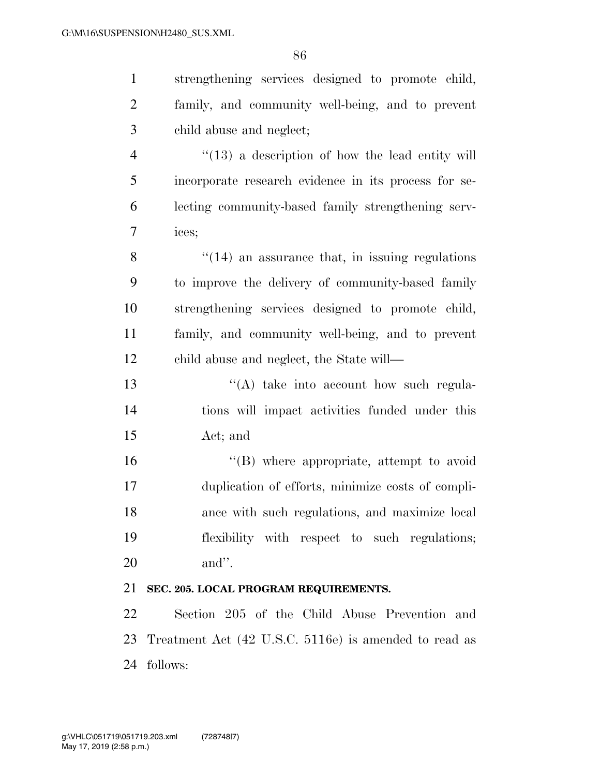| $\mathbf{1}$   | strengthening services designed to promote child,          |
|----------------|------------------------------------------------------------|
| $\overline{2}$ | family, and community well-being, and to prevent           |
| 3              | child abuse and neglect;                                   |
| $\overline{4}$ | $\cdot\cdot(13)$ a description of how the lead entity will |
| 5              | incorporate research evidence in its process for se-       |
| 6              | lecting community-based family strengthening serv-         |
| $\tau$         | ices;                                                      |
| 8              | $\cdot$ (14) an assurance that, in issuing regulations     |
| 9              | to improve the delivery of community-based family          |
| 10             | strengthening services designed to promote child,          |
| 11             | family, and community well-being, and to prevent           |
| 12             | child abuse and neglect, the State will—                   |
| 13             | $\lq\lq$ take into account how such regula-                |
| 14             | tions will impact activities funded under this             |
| 15             | Act; and                                                   |
| 16             | "(B) where appropriate, attempt to avoid                   |
| 17             | duplication of efforts, minimize costs of compli-          |
| 18             | ance with such regulations, and maximize local             |
| 19             | flexibility with respect to such regulations;              |
| 20             | and".                                                      |
| 21             | SEC. 205. LOCAL PROGRAM REQUIREMENTS.                      |
| 22             | Section 205 of the Child Abuse Prevention and              |
| 23             | Treatment Act (42 U.S.C. 5116e) is amended to read as      |
| 24             | follows:                                                   |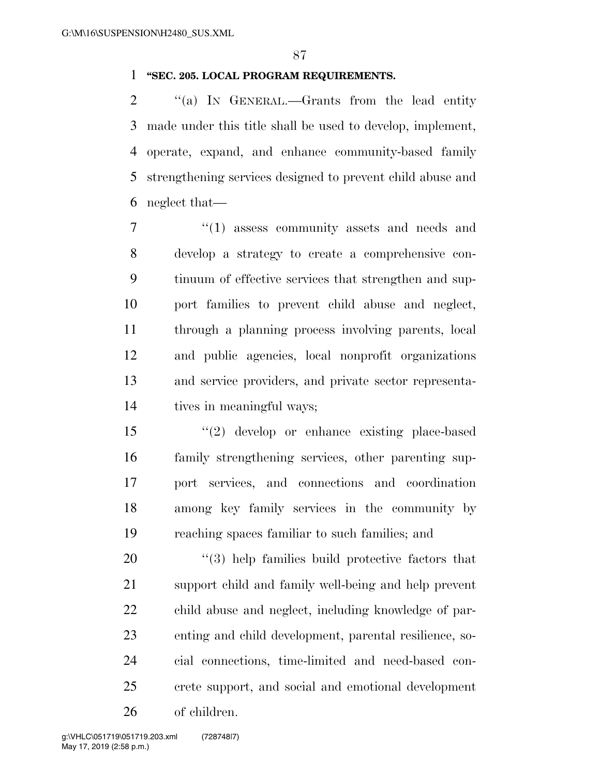### **''SEC. 205. LOCAL PROGRAM REQUIREMENTS.**

2 "(a) In GENERAL.—Grants from the lead entity made under this title shall be used to develop, implement, operate, expand, and enhance community-based family strengthening services designed to prevent child abuse and neglect that—

 $\frac{1}{1}$  assess community assets and needs and develop a strategy to create a comprehensive con- tinuum of effective services that strengthen and sup- port families to prevent child abuse and neglect, through a planning process involving parents, local and public agencies, local nonprofit organizations and service providers, and private sector representa-tives in meaningful ways;

 ''(2) develop or enhance existing place-based family strengthening services, other parenting sup- port services, and connections and coordination among key family services in the community by reaching spaces familiar to such families; and

 $\frac{1}{20}$  help families build protective factors that support child and family well-being and help prevent child abuse and neglect, including knowledge of par- enting and child development, parental resilience, so- cial connections, time-limited and need-based con- crete support, and social and emotional development of children.

May 17, 2019 (2:58 p.m.) g:\VHLC\051719\051719.203.xml (728748|7)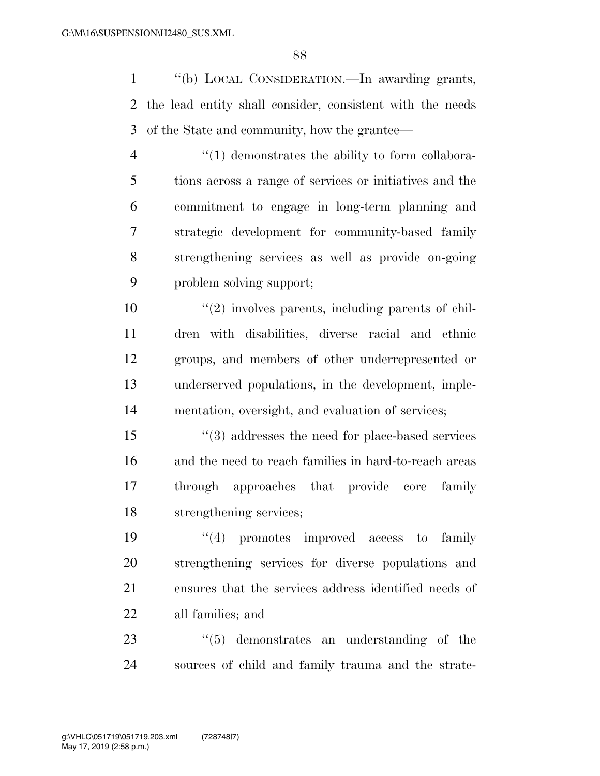''(b) LOCAL CONSIDERATION.—In awarding grants, the lead entity shall consider, consistent with the needs of the State and community, how the grantee—

 $\frac{4}{1}$  demonstrates the ability to form collabora- tions across a range of services or initiatives and the commitment to engage in long-term planning and strategic development for community-based family strengthening services as well as provide on-going problem solving support;

 $\frac{10}{2}$  ''(2) involves parents, including parents of chil- dren with disabilities, diverse racial and ethnic groups, and members of other underrepresented or underserved populations, in the development, imple-mentation, oversight, and evaluation of services;

 ''(3) addresses the need for place-based services and the need to reach families in hard-to-reach areas through approaches that provide core family strengthening services;

 ''(4) promotes improved access to family strengthening services for diverse populations and ensures that the services address identified needs of all families; and

23 ''(5) demonstrates an understanding of the sources of child and family trauma and the strate-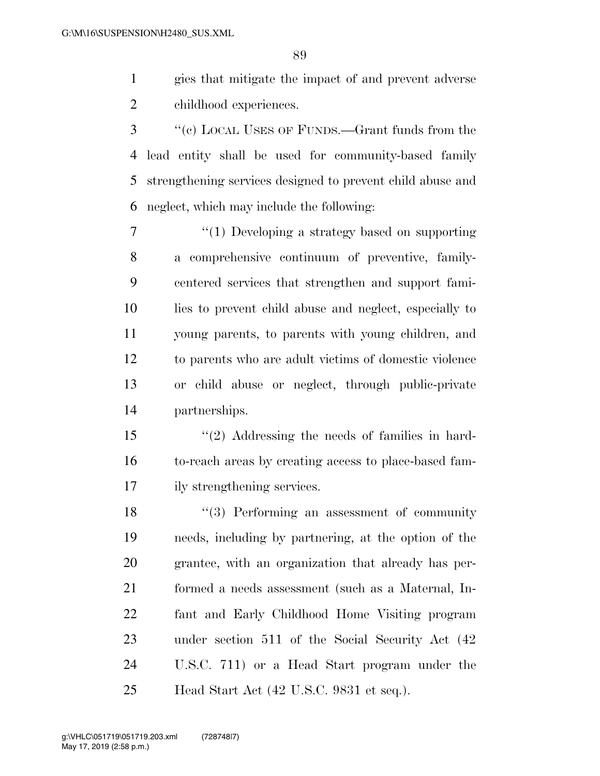gies that mitigate the impact of and prevent adverse childhood experiences.

 ''(c) LOCAL USES OF FUNDS.—Grant funds from the lead entity shall be used for community-based family strengthening services designed to prevent child abuse and neglect, which may include the following:

 ''(1) Developing a strategy based on supporting a comprehensive continuum of preventive, family- centered services that strengthen and support fami- lies to prevent child abuse and neglect, especially to young parents, to parents with young children, and to parents who are adult victims of domestic violence or child abuse or neglect, through public-private partnerships.

 ''(2) Addressing the needs of families in hard- to-reach areas by creating access to place-based fam-ily strengthening services.

18 ''(3) Performing an assessment of community needs, including by partnering, at the option of the grantee, with an organization that already has per- formed a needs assessment (such as a Maternal, In- fant and Early Childhood Home Visiting program under section 511 of the Social Security Act (42 U.S.C. 711) or a Head Start program under the Head Start Act (42 U.S.C. 9831 et seq.).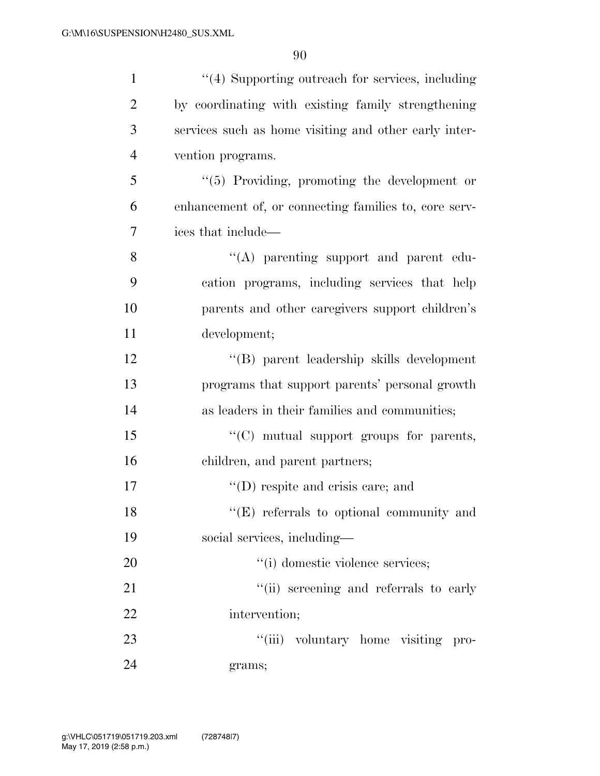| $\mathbf{1}$   | "(4) Supporting outreach for services, including      |
|----------------|-------------------------------------------------------|
| $\overline{2}$ | by coordinating with existing family strengthening    |
| 3              | services such as home visiting and other early inter- |
| $\overline{4}$ | vention programs.                                     |
| 5              | "(5) Providing, promoting the development or          |
| 6              | enhancement of, or connecting families to, core serv- |
| 7              | ices that include—                                    |
| 8              | "(A) parenting support and parent edu-                |
| 9              | cation programs, including services that help         |
| 10             | parents and other caregivers support children's       |
| 11             | development;                                          |
| 12             | "(B) parent leadership skills development             |
| 13             | programs that support parents' personal growth        |
| 14             | as leaders in their families and communities;         |
| 15             | $\lq\lq$ (C) mutual support groups for parents,       |
| 16             | children, and parent partners;                        |
| 17             | $\lq\lq$ (D) respite and crisis care; and             |
| 18             | "(E) referrals to optional community and              |
| 19             | social services, including—                           |
| 20             | "(i) domestic violence services;                      |
| 21             | "(ii) screening and referrals to early                |
| 22             | intervention;                                         |
| 23             | "(iii) voluntary home visiting pro-                   |
| 24             | grams;                                                |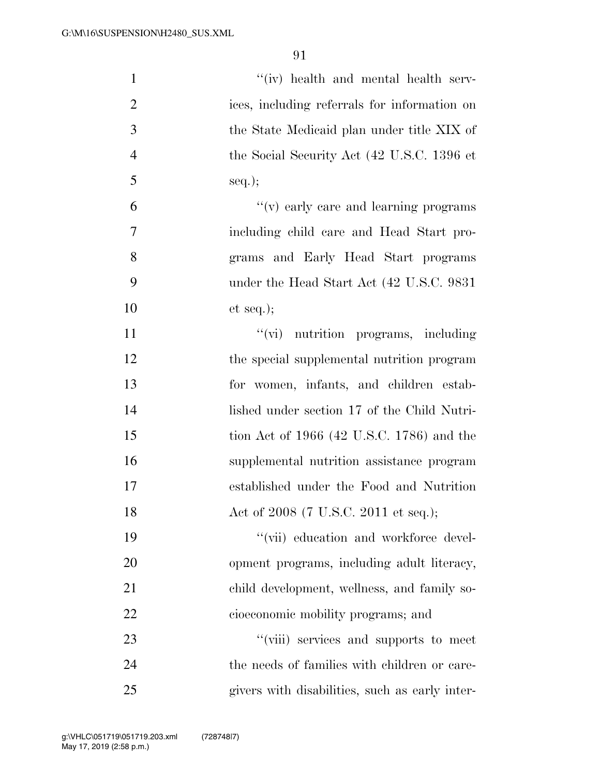| $\mathbf{1}$   | "(iv) health and mental health serv-           |
|----------------|------------------------------------------------|
| $\overline{c}$ | ices, including referrals for information on   |
| 3              | the State Medicaid plan under title XIX of     |
| $\overline{4}$ | the Social Security Act (42 U.S.C. 1396 et     |
| 5              | $seq.$ ;                                       |
| 6              | $f'(v)$ early care and learning programs       |
| $\tau$         | including child care and Head Start pro-       |
| 8              | grams and Early Head Start programs            |
| 9              | under the Head Start Act (42 U.S.C. 9831)      |
| 10             | et seq.);                                      |
| 11             | "(vi) nutrition programs, including            |
| 12             | the special supplemental nutrition program     |
| 13             | for women, infants, and children estab-        |
| 14             | lished under section 17 of the Child Nutri-    |
| 15             | tion Act of $1966$ (42 U.S.C. 1786) and the    |
| 16             | supplemental nutrition assistance program      |
| 17             | established under the Food and Nutrition       |
| 18             | Act of 2008 (7 U.S.C. 2011 et seq.);           |
| 19             | "(vii) education and workforce devel-          |
| 20             | opment programs, including adult literacy,     |
| 21             | child development, wellness, and family so-    |
| 22             | cioeconomic mobility programs; and             |
| 23             | "(viii) services and supports to meet          |
| 24             | the needs of families with children or care-   |
| 25             | givers with disabilities, such as early inter- |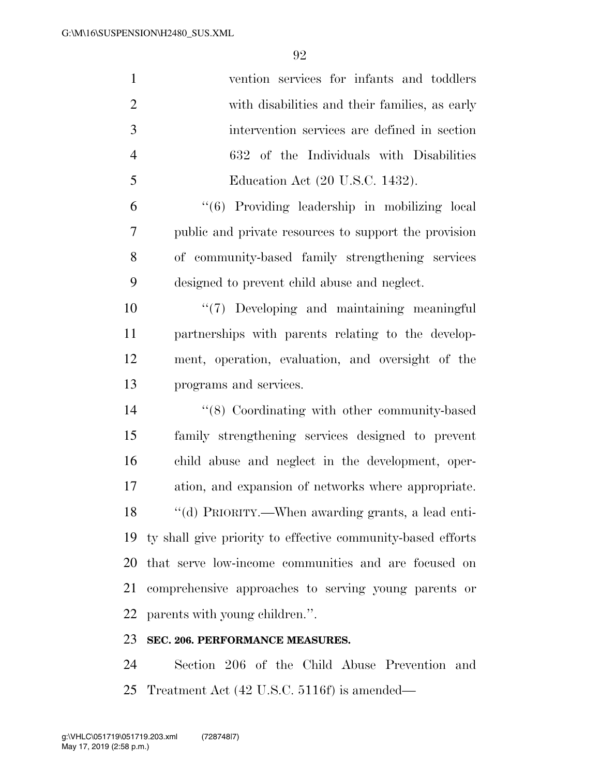| $\mathbf{1}$   | vention services for infants and toddlers                      |
|----------------|----------------------------------------------------------------|
| $\overline{2}$ | with disabilities and their families, as early                 |
| 3              | intervention services are defined in section                   |
| $\overline{4}$ | 632 of the Individuals with Disabilities                       |
| 5              | Education Act (20 U.S.C. 1432).                                |
| 6              | "(6) Providing leadership in mobilizing local                  |
| 7              | public and private resources to support the provision          |
| 8              | of community-based family strengthening services               |
| 9              | designed to prevent child abuse and neglect.                   |
| 10             | "(7) Developing and maintaining meaningful                     |
| 11             | partnerships with parents relating to the develop-             |
| 12             | ment, operation, evaluation, and oversight of the              |
| 13             | programs and services.                                         |
| 14             | $\cdot$ (8) Coordinating with other community-based            |
| 15             | family strengthening services designed to prevent              |
| 16             | child abuse and neglect in the development, oper-              |
| 17             | ation, and expansion of networks where appropriate.            |
| 18             | "(d) PRIORITY.—When awarding grants, a lead enti-              |
|                | 19 ty shall give priority to effective community-based efforts |
| 20             | that serve low-income communities and are focused on           |
| 21             | comprehensive approaches to serving young parents or           |
| 22             | parents with young children.".                                 |
| 23             | SEC. 206. PERFORMANCE MEASURES.                                |
| 24             | Section 206 of the Child Abuse Prevention and                  |

Treatment Act (42 U.S.C. 5116f) is amended—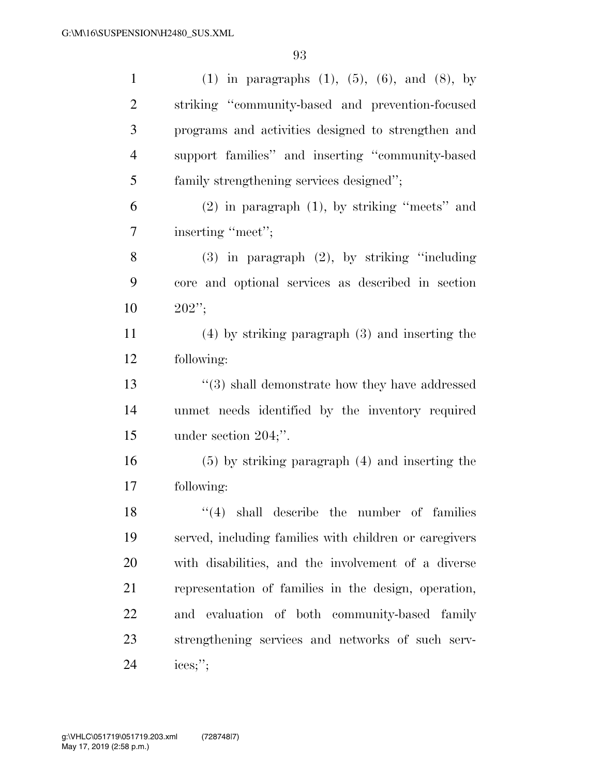| $\mathbf{1}$   | (1) in paragraphs $(1)$ , $(5)$ , $(6)$ , and $(8)$ , by |
|----------------|----------------------------------------------------------|
| $\overline{2}$ | striking "community-based and prevention-focused         |
| 3              | programs and activities designed to strengthen and       |
| $\overline{4}$ | support families" and inserting "community-based         |
| 5              | family strengthening services designed";                 |
| 6              | $(2)$ in paragraph $(1)$ , by striking "meets" and       |
| 7              | inserting "meet";                                        |
| $8\phantom{1}$ | $(3)$ in paragraph $(2)$ , by striking "including        |
| 9              | core and optional services as described in section       |
| 10             | $202$ ";                                                 |
| 11             | $(4)$ by striking paragraph $(3)$ and inserting the      |
| 12             | following:                                               |
| 13             | $\lq(3)$ shall demonstrate how they have addressed       |
| 14             | unmet needs identified by the inventory required         |
| 15             | under section $204$ ;".                                  |
| 16             | $(5)$ by striking paragraph $(4)$ and inserting the      |
| 17             | following:                                               |
| 18             | $(4)$ shall describe the number of families              |
| 19             | served, including families with children or caregivers   |
| 20             | with disabilities, and the involvement of a diverse      |
| 21             | representation of families in the design, operation,     |
| 22             | and evaluation of both community-based family            |
| 23             | strengthening services and networks of such serv-        |
| 24             | ices;";                                                  |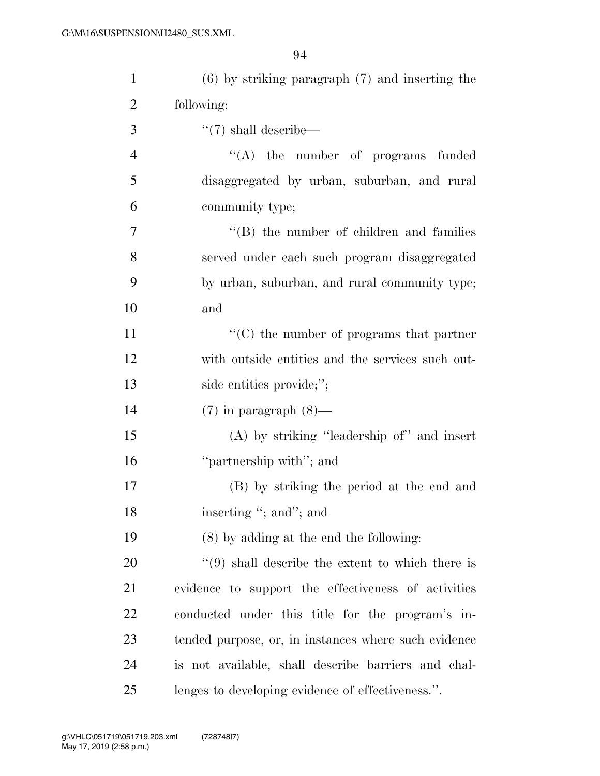| $\mathbf{1}$   | $(6)$ by striking paragraph $(7)$ and inserting the  |
|----------------|------------------------------------------------------|
| $\overline{2}$ | following:                                           |
| 3              | $\lq(7)$ shall describe—                             |
| $\overline{4}$ | $\lq\lq$ the number of programs funded               |
| 5              | disaggregated by urban, suburban, and rural          |
| 6              | community type;                                      |
| $\overline{7}$ | $\lq\lq$ the number of children and families         |
| 8              | served under each such program disaggregated         |
| 9              | by urban, suburban, and rural community type;        |
| 10             | and                                                  |
| 11             | $\lq\lq$ (C) the number of programs that partner     |
| 12             | with outside entities and the services such out-     |
| 13             | side entities provide;";                             |
| 14             | $(7)$ in paragraph $(8)$ —                           |
| 15             | $(A)$ by striking "leadership of" and insert         |
| 16             | "partnership with"; and                              |
| 17             | (B) by striking the period at the end and            |
| 18             | inserting "; and"; and                               |
| 19             | $(8)$ by adding at the end the following:            |
| 20             | $\lq(9)$ shall describe the extent to which there is |
| 21             | evidence to support the effectiveness of activities  |
| 22             | conducted under this title for the program's in-     |
| 23             | tended purpose, or, in instances where such evidence |
| 24             | is not available, shall describe barriers and chal-  |
| 25             | lenges to developing evidence of effectiveness.".    |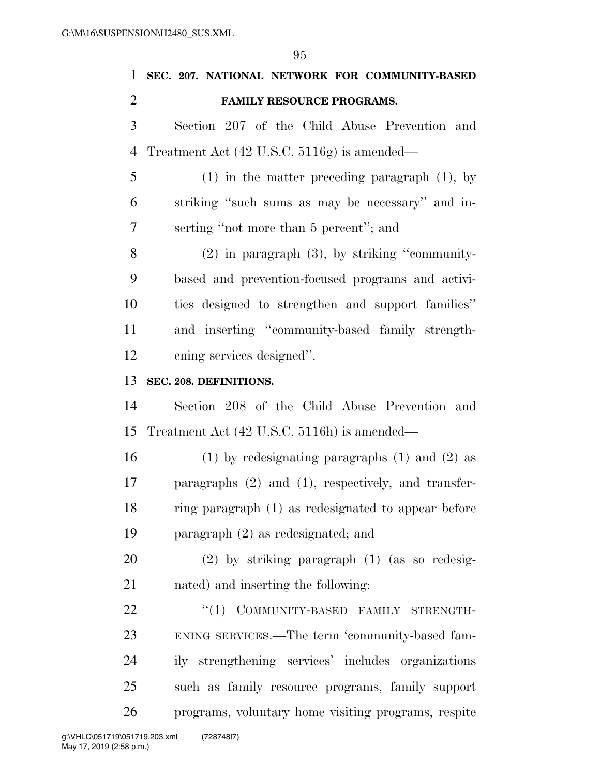| 1              | SEC. 207. NATIONAL NETWORK FOR COMMUNITY-BASED           |
|----------------|----------------------------------------------------------|
| $\overline{2}$ | FAMILY RESOURCE PROGRAMS.                                |
| 3              | Section 207 of the Child Abuse Prevention and            |
| $\overline{4}$ | Treatment Act $(42 \text{ U.S.C. } 5116g)$ is amended—   |
| 5              | $(1)$ in the matter preceding paragraph $(1)$ , by       |
| 6              | striking "such sums as may be necessary" and in-         |
| 7              | serting "not more than 5 percent"; and                   |
| 8              | $(2)$ in paragraph $(3)$ , by striking "community-       |
| 9              | based and prevention-focused programs and activi-        |
| 10             | ties designed to strengthen and support families"        |
| 11             | and inserting "community-based family strength-          |
| 12             | ening services designed".                                |
| 13             | SEC. 208. DEFINITIONS.                                   |
| 14             | Section 208 of the Child Abuse Prevention and            |
| 15             | Treatment Act (42 U.S.C. 5116h) is amended—              |
| 16             | $(1)$ by redesignating paragraphs $(1)$ and $(2)$ as     |
| 17             | paragraphs $(2)$ and $(1)$ , respectively, and transfer- |
| 18             | ring paragraph (1) as redesignated to appear before      |
| 19             | paragraph $(2)$ as redesignated; and                     |
| 20             | $(2)$ by striking paragraph $(1)$ (as so redesig-        |
| 21             | nated) and inserting the following:                      |
| 22             | "(1) COMMUNITY-BASED FAMILY STRENGTH-                    |
| 23             | ENING SERVICES.—The term 'community-based fam-           |
| 24             | ily strengthening services' includes organizations       |
| 25             | such as family resource programs, family support         |
| 26             | programs, voluntary home visiting programs, respite      |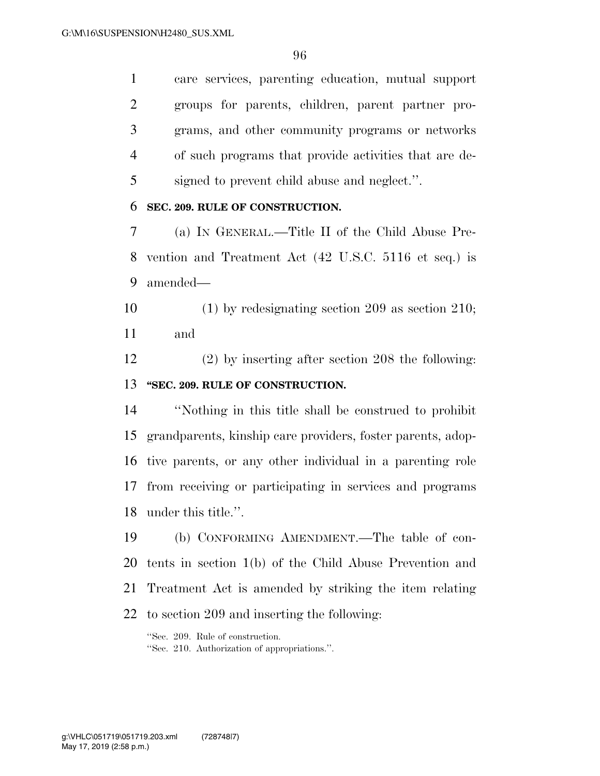care services, parenting education, mutual support groups for parents, children, parent partner pro- grams, and other community programs or networks of such programs that provide activities that are de-signed to prevent child abuse and neglect.''.

#### **SEC. 209. RULE OF CONSTRUCTION.**

 (a) IN GENERAL.—Title II of the Child Abuse Pre- vention and Treatment Act (42 U.S.C. 5116 et seq.) is amended—

 (1) by redesignating section 209 as section 210; and

 (2) by inserting after section 208 the following: **''SEC. 209. RULE OF CONSTRUCTION.** 

 ''Nothing in this title shall be construed to prohibit grandparents, kinship care providers, foster parents, adop- tive parents, or any other individual in a parenting role from receiving or participating in services and programs under this title.''.

 (b) CONFORMING AMENDMENT.—The table of con- tents in section 1(b) of the Child Abuse Prevention and Treatment Act is amended by striking the item relating to section 209 and inserting the following:

''Sec. 209. Rule of construction. ''Sec. 210. Authorization of appropriations.''.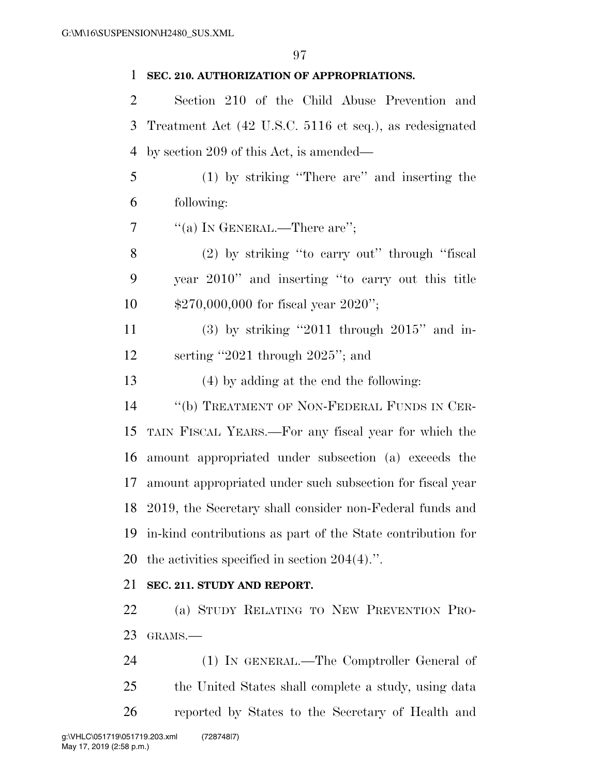### **SEC. 210. AUTHORIZATION OF APPROPRIATIONS.**

 Section 210 of the Child Abuse Prevention and Treatment Act (42 U.S.C. 5116 et seq.), as redesignated by section 209 of this Act, is amended—

 (1) by striking ''There are'' and inserting the following:

7  $\frac{u'(a)}{x}$  In GENERAL.—There are";

 (2) by striking ''to carry out'' through ''fiscal year 2010'' and inserting ''to carry out this title \$270,000,000 for fiscal year 2020'';

 (3) by striking ''2011 through 2015'' and in-serting ''2021 through 2025''; and

(4) by adding at the end the following:

 ''(b) TREATMENT OF NON-FEDERAL FUNDS IN CER- TAIN FISCAL YEARS.—For any fiscal year for which the amount appropriated under subsection (a) exceeds the amount appropriated under such subsection for fiscal year 2019, the Secretary shall consider non-Federal funds and in-kind contributions as part of the State contribution for the activities specified in section 204(4).''.

### **SEC. 211. STUDY AND REPORT.**

 (a) STUDY RELATING TO NEW PREVENTION PRO-GRAMS.—

 (1) IN GENERAL.—The Comptroller General of the United States shall complete a study, using data reported by States to the Secretary of Health and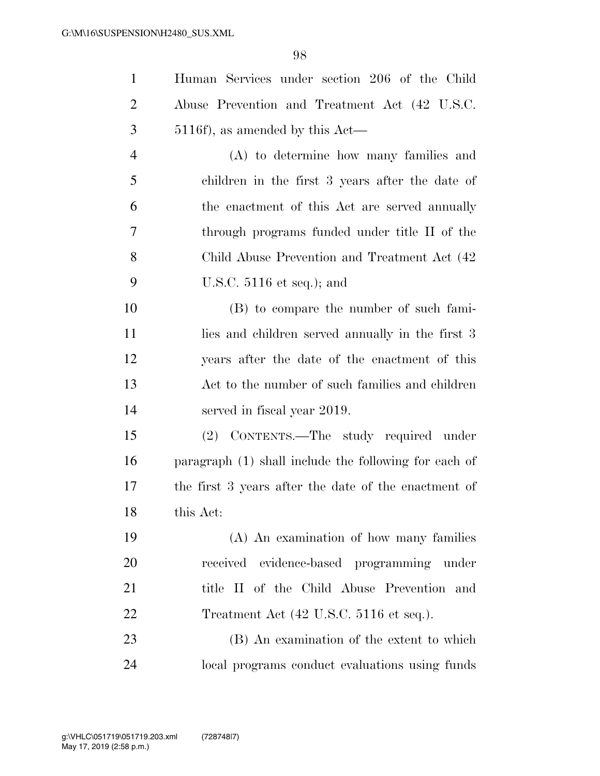| $\mathbf{1}$   | Human Services under section 206 of the Child              |
|----------------|------------------------------------------------------------|
| $\overline{2}$ | Abuse Prevention and Treatment Act (42 U.S.C.              |
| 3              | $5116f$ , as amended by this Act—                          |
| $\overline{4}$ | (A) to determine how many families and                     |
| 5              | children in the first 3 years after the date of            |
| 6              | the enactment of this Act are served annually              |
| 7              | through programs funded under title II of the              |
| 8              | Child Abuse Prevention and Treatment Act (42)              |
| 9              | U.S.C. $5116$ et seq.); and                                |
| 10             | (B) to compare the number of such fami-                    |
| 11             | lies and children served annually in the first 3           |
| 12             | years after the date of the enactment of this              |
| 13             | Act to the number of such families and children            |
| 14             | served in fiscal year 2019.                                |
| 15             | (2) CONTENTS.—The study required under                     |
| 16             | paragraph (1) shall include the following for each of      |
| 17             | the first 3 years after the date of the enactment of       |
| 18             | this Act:                                                  |
| 19             | (A) An examination of how many families                    |
| 20             | received evidence-based programming under                  |
| 21             | title II of the Child Abuse Prevention and                 |
| 22             | Treatment Act $(42 \text{ U.S.C. } 5116 \text{ et seq.}).$ |
| 23             | (B) An examination of the extent to which                  |
| 24             | local programs conduct evaluations using funds             |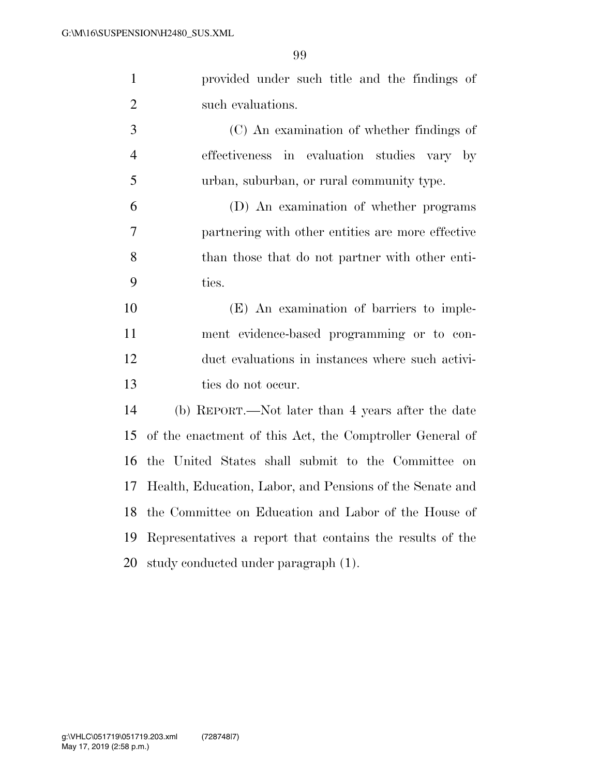|                | provided under such title and the findings of |  |  |  |  |
|----------------|-----------------------------------------------|--|--|--|--|
| $\overline{2}$ | such evaluations.                             |  |  |  |  |

 (C) An examination of whether findings of effectiveness in evaluation studies vary by urban, suburban, or rural community type.

 (D) An examination of whether programs partnering with other entities are more effective than those that do not partner with other enti-ties.

 (E) An examination of barriers to imple- ment evidence-based programming or to con- duct evaluations in instances where such activi-ties do not occur.

 (b) REPORT.—Not later than 4 years after the date of the enactment of this Act, the Comptroller General of the United States shall submit to the Committee on Health, Education, Labor, and Pensions of the Senate and the Committee on Education and Labor of the House of Representatives a report that contains the results of the study conducted under paragraph (1).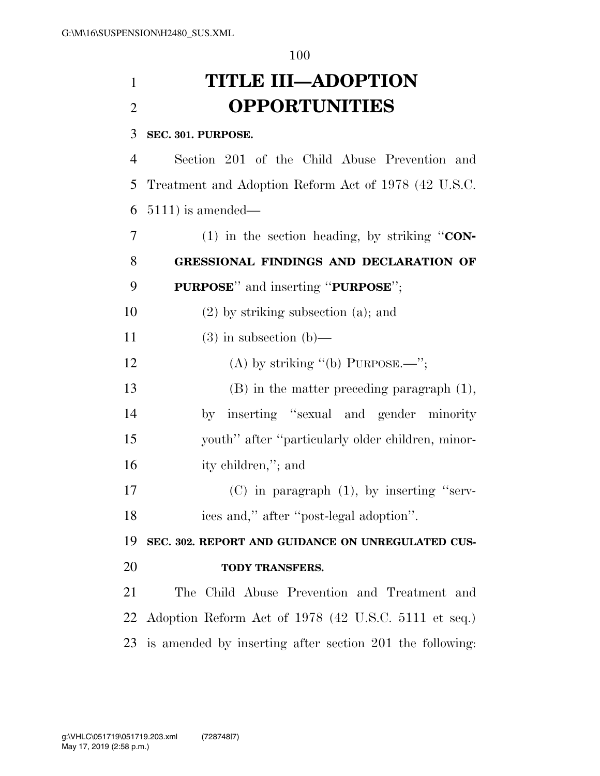# **TITLE III—ADOPTION OPPORTUNITIES**

# **SEC. 301. PURPOSE.**

 Section 201 of the Child Abuse Prevention and Treatment and Adoption Reform Act of 1978 (42 U.S.C. 5111) is amended—

 (1) in the section heading, by striking ''**CON- GRESSIONAL FINDINGS AND DECLARATION OF PURPOSE**'' and inserting ''**PURPOSE**'';

(2) by striking subsection (a); and

11 (3) in subsection (b)—

12 (A) by striking  $(6)$  PURPOSE.—";

 (B) in the matter preceding paragraph (1), by inserting ''sexual and gender minority youth'' after ''particularly older children, minor-ity children,''; and

 (C) in paragraph (1), by inserting ''serv-ices and,'' after ''post-legal adoption''.

 **SEC. 302. REPORT AND GUIDANCE ON UNREGULATED CUS-TODY TRANSFERS.** 

 The Child Abuse Prevention and Treatment and Adoption Reform Act of 1978 (42 U.S.C. 5111 et seq.) is amended by inserting after section 201 the following: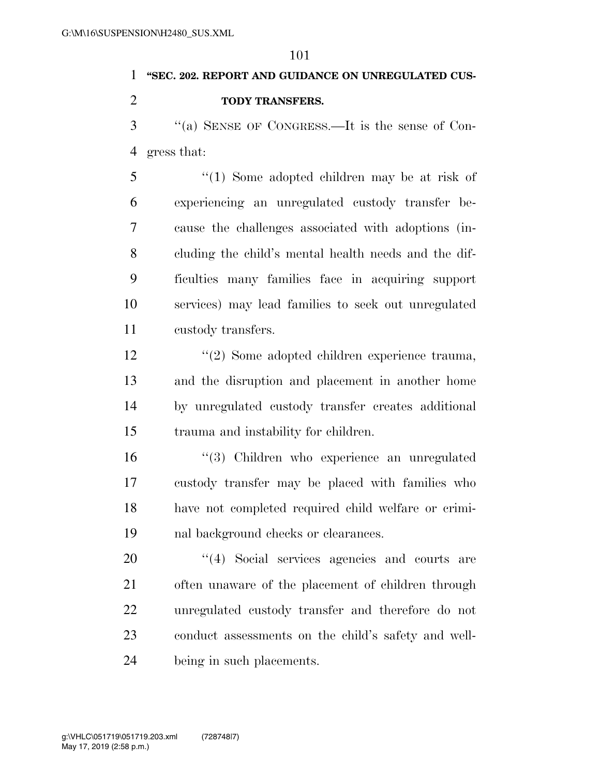# **''SEC. 202. REPORT AND GUIDANCE ON UNREGULATED CUS-**

**TODY TRANSFERS.** 

 ''(a) SENSE OF CONGRESS.—It is the sense of Con-gress that:

 ''(1) Some adopted children may be at risk of experiencing an unregulated custody transfer be- cause the challenges associated with adoptions (in- cluding the child's mental health needs and the dif- ficulties many families face in acquiring support services) may lead families to seek out unregulated custody transfers.

 ''(2) Some adopted children experience trauma, and the disruption and placement in another home by unregulated custody transfer creates additional trauma and instability for children.

 ''(3) Children who experience an unregulated custody transfer may be placed with families who have not completed required child welfare or crimi-nal background checks or clearances.

 $\frac{1}{4}$  Social services agencies and courts are often unaware of the placement of children through unregulated custody transfer and therefore do not conduct assessments on the child's safety and well-being in such placements.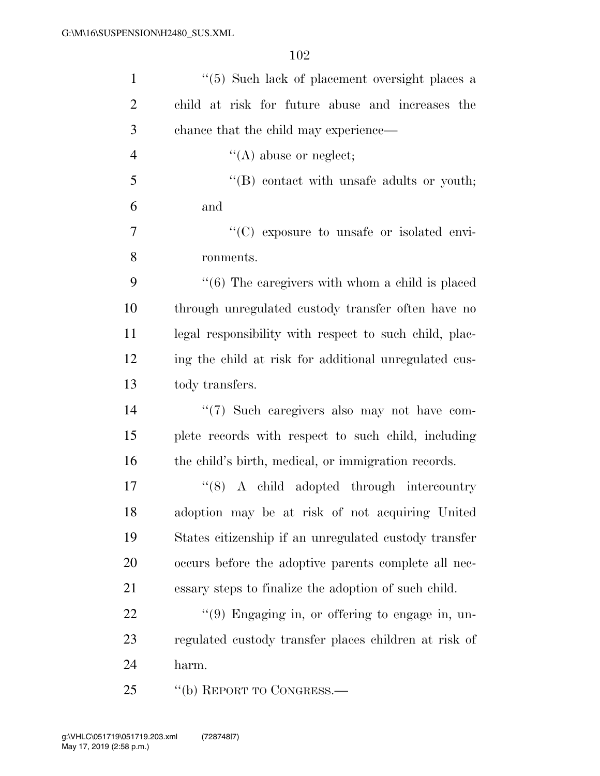| $\mathbf{1}$   | "(5) Such lack of placement oversight places a         |
|----------------|--------------------------------------------------------|
| $\overline{2}$ | child at risk for future abuse and increases the       |
| 3              | chance that the child may experience—                  |
| $\overline{4}$ | $\lq\lq$ abuse or neglect;                             |
| 5              | $\lq\lq$ contact with unsafe adults or youth;          |
| 6              | and                                                    |
| $\overline{7}$ | "(C) exposure to unsafe or isolated envi-              |
| 8              | ronments.                                              |
| 9              | $\lq(6)$ The caregivers with whom a child is placed    |
| 10             | through unregulated custody transfer often have no     |
| 11             | legal responsibility with respect to such child, plac- |
| 12             | ing the child at risk for additional unregulated cus-  |
| 13             | tody transfers.                                        |
| 14             | $\lq(7)$ Such caregivers also may not have com-        |
| 15             | plete records with respect to such child, including    |
| 16             | the child's birth, medical, or immigration records.    |
| 17             | $\lq(8)$ A child adopted through intercountry          |
| 18             | adoption may be at risk of not acquiring United        |
| 19             | States citizenship if an unregulated custody transfer  |
| <b>20</b>      | occurs before the adoptive parents complete all nec-   |
| 21             | essary steps to finalize the adoption of such child.   |
| 22             | $\lq(9)$ Engaging in, or offering to engage in, un-    |
| 23             | regulated custody transfer places children at risk of  |
| 24             | harm.                                                  |
| 25             | "(b) REPORT TO CONGRESS.—                              |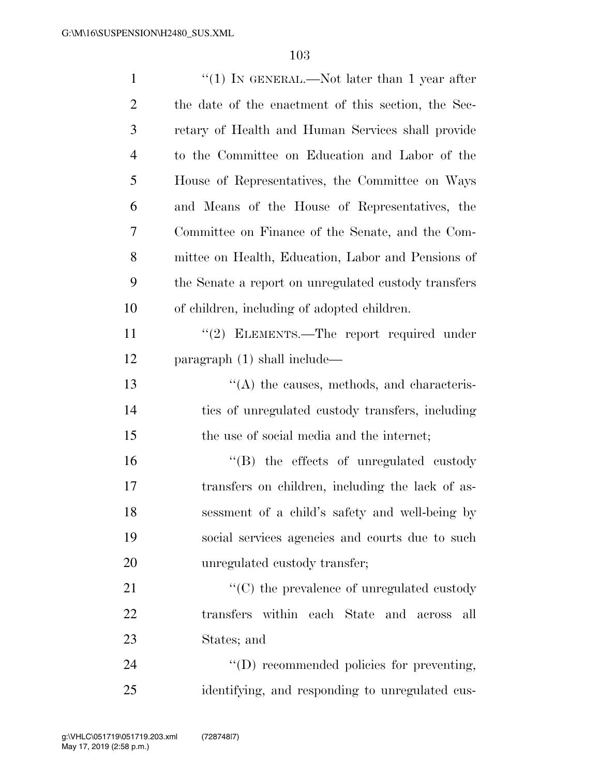| $\mathbf{1}$   | "(1) IN GENERAL.—Not later than 1 year after         |
|----------------|------------------------------------------------------|
| $\overline{2}$ | the date of the enactment of this section, the Sec-  |
| 3              | retary of Health and Human Services shall provide    |
| 4              | to the Committee on Education and Labor of the       |
| 5              | House of Representatives, the Committee on Ways      |
| 6              | and Means of the House of Representatives, the       |
| 7              | Committee on Finance of the Senate, and the Com-     |
| 8              | mittee on Health, Education, Labor and Pensions of   |
| 9              | the Senate a report on unregulated custody transfers |
| 10             | of children, including of adopted children.          |
| 11             | $\lq(2)$ ELEMENTS.—The report required under         |
| 12             | paragraph $(1)$ shall include—                       |
| 13             | $\lq\lq$ the causes, methods, and characteris-       |
| 14             | tics of unregulated custody transfers, including     |
| 15             | the use of social media and the internet;            |
| 16             | "(B) the effects of unregulated custody              |
| 17             | transfers on children, including the lack of as-     |
| 18             | sessment of a child's safety and well-being by       |
| 19             | social services agencies and courts due to such      |
| 20             | unregulated custody transfer;                        |
| 21             | $\lq\lq$ (C) the prevalence of unregulated custody   |
| 22             | transfers within each State and across<br>all        |
| 23             | States; and                                          |
| 24             | "(D) recommended policies for preventing,            |
| 25             | identifying, and responding to unregulated cus-      |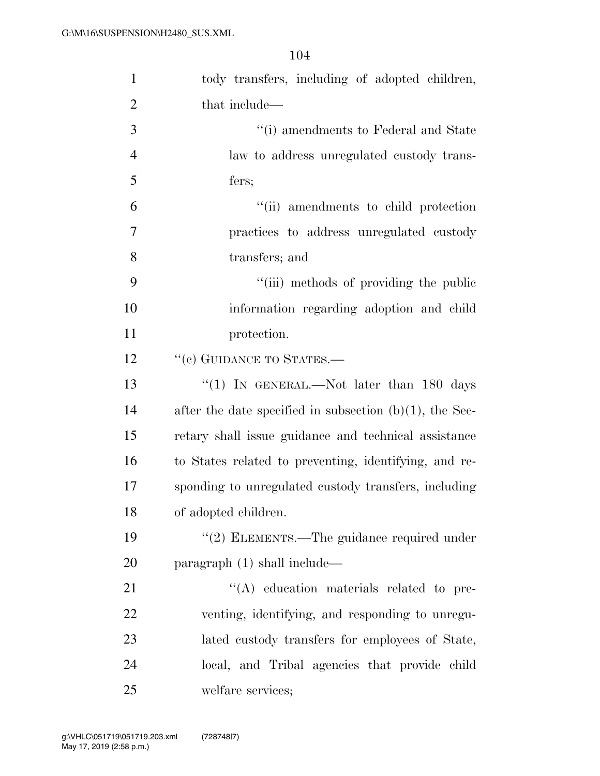| $\mathbf{1}$   | tody transfers, including of adopted children,             |
|----------------|------------------------------------------------------------|
| $\overline{2}$ | that include—                                              |
| 3              | "(i) amendments to Federal and State                       |
| $\overline{4}$ | law to address unregulated custody trans-                  |
| 5              | fers;                                                      |
| 6              | "(ii) amendments to child protection                       |
| $\tau$         | practices to address unregulated custody                   |
| 8              | transfers; and                                             |
| 9              | "(iii) methods of providing the public                     |
| 10             | information regarding adoption and child                   |
| 11             | protection.                                                |
| 12             | "(c) GUIDANCE TO STATES.-                                  |
| 13             | "(1) IN GENERAL.—Not later than 180 days                   |
| 14             | after the date specified in subsection $(b)(1)$ , the Sec- |
| 15             | retary shall issue guidance and technical assistance       |
| 16             | to States related to preventing, identifying, and re-      |
| 17             | sponding to unregulated custody transfers, including       |
| 18             | of adopted children.                                       |
| 19             | $\cdot\cdot\cdot(2)$ ELEMENTS.—The guidance required under |
| <b>20</b>      | paragraph (1) shall include—                               |
| 21             | "(A) education materials related to pre-                   |
| 22             | venting, identifying, and responding to unregu-            |
| 23             | lated custody transfers for employees of State,            |
| 24             | local, and Tribal agencies that provide child              |
| 25             | welfare services;                                          |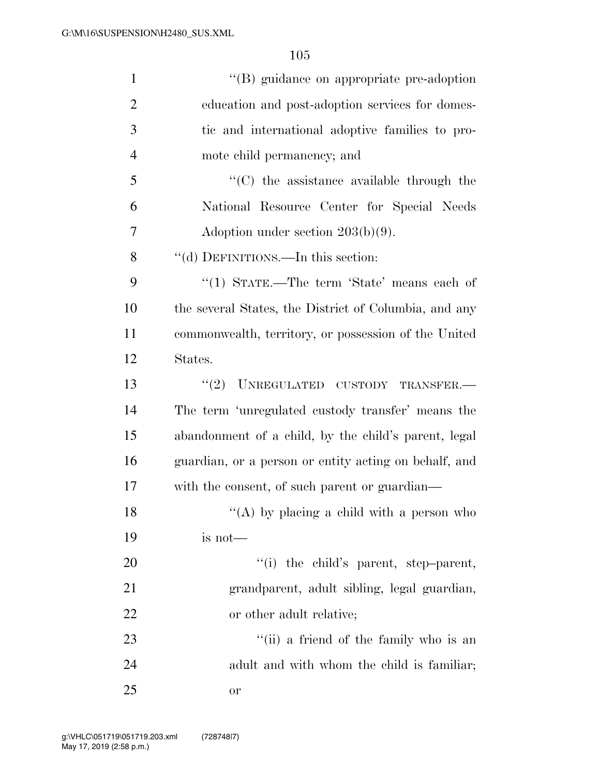| $\mathbf{1}$   | "(B) guidance on appropriate pre-adoption             |
|----------------|-------------------------------------------------------|
| $\overline{2}$ | education and post-adoption services for domes-       |
| 3              | tic and international adoptive families to pro-       |
| $\overline{4}$ | mote child permanency; and                            |
| 5              | $\cdot$ (C) the assistance available through the      |
| 6              | National Resource Center for Special Needs            |
| 7              | Adoption under section $203(b)(9)$ .                  |
| 8              | "(d) DEFINITIONS.—In this section:                    |
| 9              | "(1) STATE.—The term 'State' means each of            |
| 10             | the several States, the District of Columbia, and any |
| 11             | commonwealth, territory, or possession of the United  |
| 12             | States.                                               |
| 13             | "(2) UNREGULATED CUSTODY TRANSFER.                    |
| 14             | The term 'unregulated custody transfer' means the     |
| 15             | abandonment of a child, by the child's parent, legal  |
| 16             | guardian, or a person or entity acting on behalf, and |
| 17             | with the consent, of such parent or guardian—         |
| 18             | "(A) by placing a child with a person who             |
| 19             | is not—                                               |
| <b>20</b>      | "(i) the child's parent, step-parent,                 |
| 21             | grandparent, adult sibling, legal guardian,           |
| 22             | or other adult relative;                              |
| 23             | "(ii) a friend of the family who is an                |
| 24             | adult and with whom the child is familiar;            |
| 25             | or                                                    |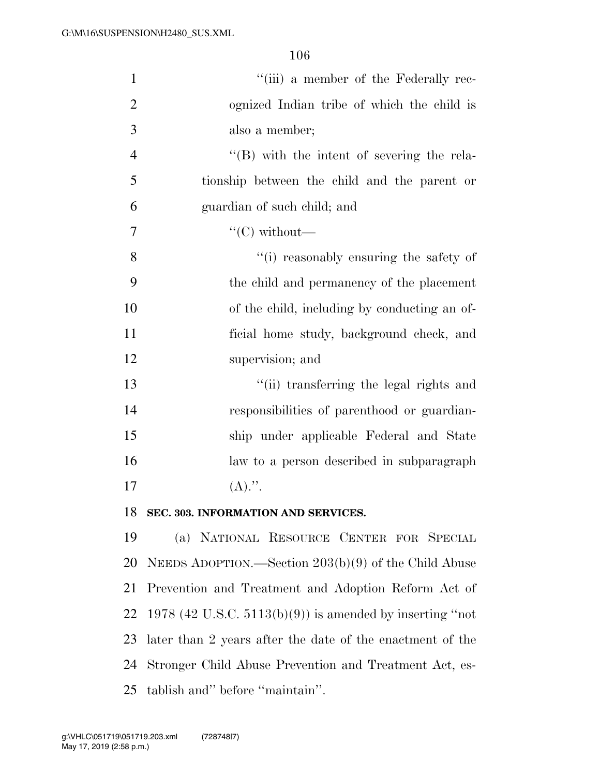| $\mathbf{1}$   | "(iii) a member of the Federally rec-                       |
|----------------|-------------------------------------------------------------|
| $\overline{2}$ | ognized Indian tribe of which the child is                  |
| 3              | also a member;                                              |
| $\overline{4}$ | $\lq\lq (B)$ with the intent of severing the rela-          |
| 5              | tionship between the child and the parent or                |
| 6              | guardian of such child; and                                 |
| 7              | " $(C)$ without—                                            |
| 8              | "(i) reasonably ensuring the safety of                      |
| 9              | the child and permanency of the placement                   |
| 10             | of the child, including by conducting an of-                |
| 11             | ficial home study, background check, and                    |
| 12             | supervision; and                                            |
| 13             | "(ii) transferring the legal rights and                     |
| 14             | responsibilities of parenthood or guardian-                 |
| 15             | ship under applicable Federal and State                     |
| 16             | law to a person described in subparagraph                   |
| 17             | $(A).$ ".                                                   |
| 18             | SEC. 303. INFORMATION AND SERVICES.                         |
| 19             | (a) NATIONAL RESOURCE CENTER FOR SPECIAL                    |
| 20             | NEEDS ADOPTION.—Section $203(b)(9)$ of the Child Abuse      |
| 21             | Prevention and Treatment and Adoption Reform Act of         |
| 22             | 1978 (42 U.S.C. $5113(b)(9)$ ) is amended by inserting "not |
| 23             | later than 2 years after the date of the enactment of the   |
| 24             | Stronger Child Abuse Prevention and Treatment Act, es-      |
| 25             | tablish and" before "maintain".                             |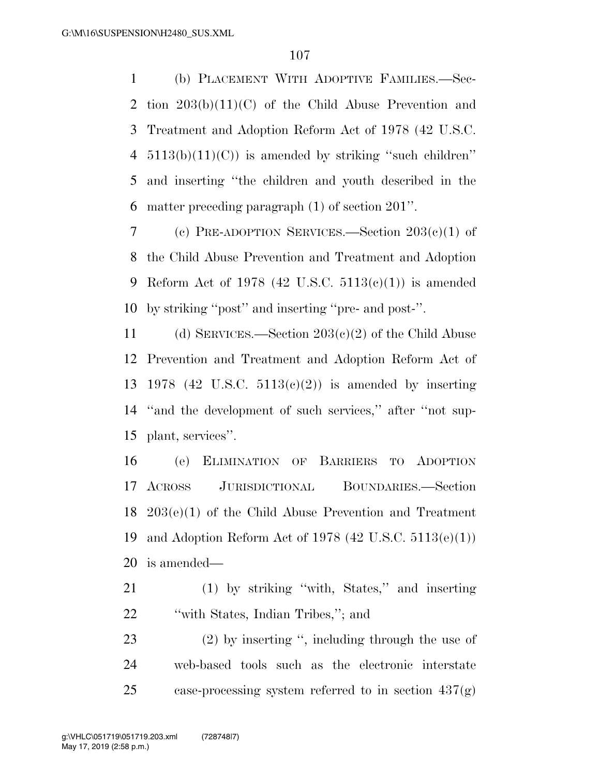(b) PLACEMENT WITH ADOPTIVE FAMILIES.—Sec- tion 203(b)(11)(C) of the Child Abuse Prevention and Treatment and Adoption Reform Act of 1978 (42 U.S.C.  $5113(b)(11)(C)$  is amended by striking "such children" and inserting ''the children and youth described in the matter preceding paragraph (1) of section 201''.

 (c) PRE-ADOPTION SERVICES.—Section 203(c)(1) of the Child Abuse Prevention and Treatment and Adoption 9 Reform Act of 1978 (42 U.S.C.  $5113(c)(1)$ ) is amended by striking ''post'' and inserting ''pre- and post-''.

11 (d) SERVICES.—Section  $203(c)(2)$  of the Child Abuse Prevention and Treatment and Adoption Reform Act of 1978 (42 U.S.C. 5113(c)(2)) is amended by inserting ''and the development of such services,'' after ''not sup-plant, services''.

 (e) ELIMINATION OF BARRIERS TO ADOPTION ACROSS JURISDICTIONAL BOUNDARIES.—Section 203(e)(1) of the Child Abuse Prevention and Treatment and Adoption Reform Act of 1978 (42 U.S.C. 5113(e)(1)) is amended—

 (1) by striking ''with, States,'' and inserting 22 "with States, Indian Tribes,"; and

 (2) by inserting '', including through the use of web-based tools such as the electronic interstate case-processing system referred to in section 437(g)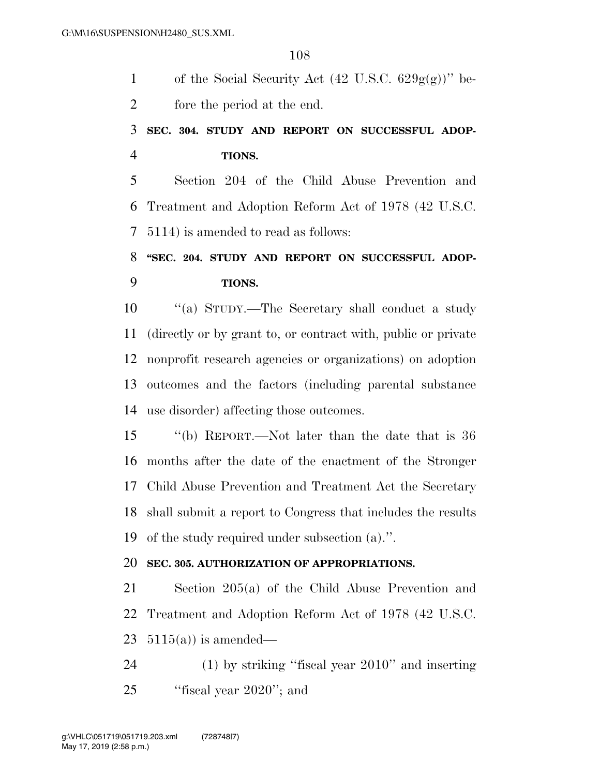1 of the Social Security Act  $(42 \text{ U.S.C. } 629g(g))^{\prime\prime}$  be-fore the period at the end.

# **SEC. 304. STUDY AND REPORT ON SUCCESSFUL ADOP-TIONS.**

 Section 204 of the Child Abuse Prevention and Treatment and Adoption Reform Act of 1978 (42 U.S.C. 5114) is amended to read as follows:

# **''SEC. 204. STUDY AND REPORT ON SUCCESSFUL ADOP-TIONS.**

 ''(a) STUDY.—The Secretary shall conduct a study (directly or by grant to, or contract with, public or private nonprofit research agencies or organizations) on adoption outcomes and the factors (including parental substance use disorder) affecting those outcomes.

 ''(b) REPORT.—Not later than the date that is 36 months after the date of the enactment of the Stronger Child Abuse Prevention and Treatment Act the Secretary shall submit a report to Congress that includes the results of the study required under subsection (a).''.

## **SEC. 305. AUTHORIZATION OF APPROPRIATIONS.**

 Section 205(a) of the Child Abuse Prevention and Treatment and Adoption Reform Act of 1978 (42 U.S.C. 23  $5115(a)$  is amended—

 (1) by striking ''fiscal year 2010'' and inserting ''fiscal year 2020''; and